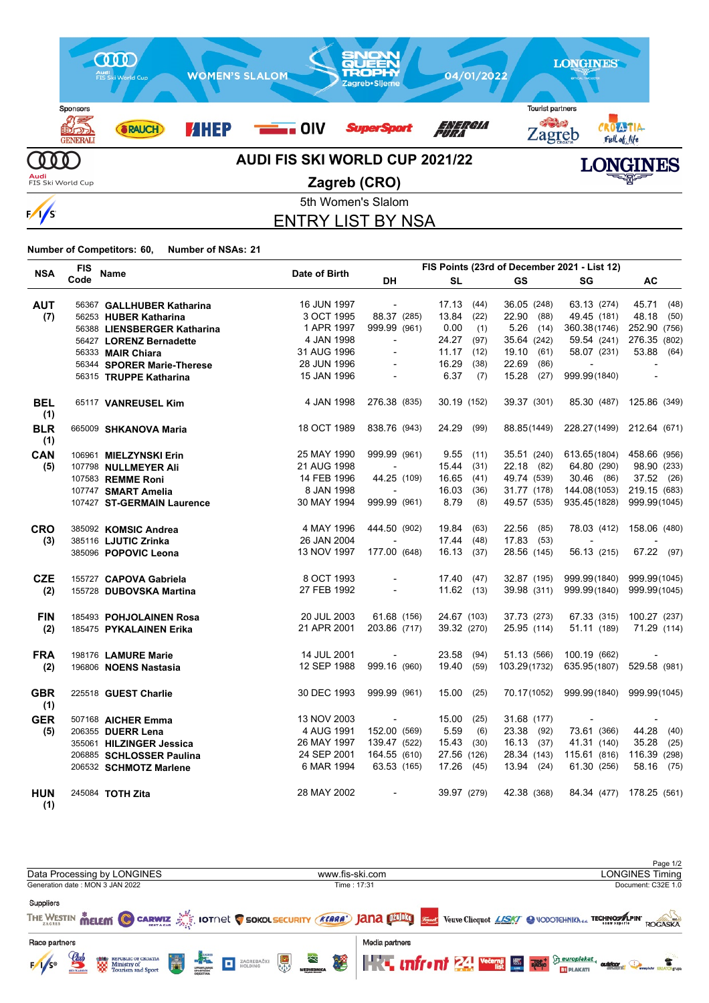

5th Women's Slalom ENTRY LIST BY NSA

**Number of Competitors: 60, Number of NSAs: 21**

| <b>NSA</b>        | FIS  | <b>Name</b>                 | Date of Birth | FIS Points (23rd of December 2021 - List 12) |               |               |                           |                          |
|-------------------|------|-----------------------------|---------------|----------------------------------------------|---------------|---------------|---------------------------|--------------------------|
|                   | Code |                             |               | DH                                           | <b>SL</b>     | GS            | SG                        | AC                       |
| <b>AUT</b>        |      | 56367 GALLHUBER Katharina   | 16 JUN 1997   | $\sim$                                       | 17.13<br>(44) | 36.05 (248)   | 63.13 (274)               | 45.71 (48)               |
| (7)               |      | 56253 HUBER Katharina       | 3 OCT 1995    | 88.37 (285)                                  | 13.84<br>(22) | 22.90 (88)    | 49.45 (181)               | 48.18<br>(50)            |
|                   |      | 56388 LIENSBERGER Katharina | 1 APR 1997    | 999.99 (961)                                 | 0.00<br>(1)   | 5.26<br>(14)  | 360.38(1746)              | 252.90 (756)             |
|                   |      | 56427 LORENZ Bernadette     | 4 JAN 1998    | $\overline{\phantom{a}}$                     | 24.27<br>(97) | 35.64 (242)   | 59.54 (241)               | 276.35 (802)             |
|                   |      | 56333 MAIR Chiara           | 31 AUG 1996   | $\overline{a}$                               | 11.17<br>(12) | 19.10 (61)    | 58.07 (231)               | 53.88 (64)               |
|                   |      | 56344 SPORER Marie-Therese  | 28 JUN 1996   |                                              | 16.29<br>(38) | 22.69<br>(86) | $\blacksquare$            |                          |
|                   |      | 56315 TRUPPE Katharina      | 15 JAN 1996   | $\overline{\phantom{a}}$                     | 6.37<br>(7)   | 15.28 (27)    | 999.99(1840)              | $\overline{\phantom{a}}$ |
| <b>BEL</b><br>(1) |      | 65117 VANREUSEL Kim         | 4 JAN 1998    | 276.38 (835)                                 | 30.19 (152)   | 39.37 (301)   | 85.30 (487)               | 125.86 (349)             |
| <b>BLR</b><br>(1) |      | 665009 SHKANOVA Maria       | 18 OCT 1989   | 838.76 (943)                                 | 24.29 (99)    | 88.85(1449)   | 228.27(1499) 212.64 (671) |                          |
| CAN               |      | 106961 MIELZYNSKI Erin      | 25 MAY 1990   | 999.99 (961)                                 | 9.55(11)      | 35.51 (240)   | 613.65(1804)              | 458.66 (956)             |
| (5)               |      | 107798 NULLMEYER Ali        | 21 AUG 1998   |                                              | $15.44$ (31)  | 22.18 (82)    | 64.80 (290)               | 98.90 (233)              |
|                   |      | 107583 REMME Roni           | 14 FEB 1996   | 44.25 (109)                                  | 16.65<br>(41) | 49.74 (539)   | 30.46 (86)                | 37.52 (26)               |
|                   |      | 107747 SMART Amelia         | 8 JAN 1998    |                                              | 16.03<br>(36) | 31.77 (178)   | 144.08(1053)              | 219.15 (683)             |
|                   |      | 107427 ST-GERMAIN Laurence  | 30 MAY 1994   | 999.99 (961)                                 | 8.79<br>(8)   | 49.57 (535)   | 935.45(1828)              | 999.99(1045)             |
| <b>CRO</b>        |      | 385092 KOMSIC Andrea        | 4 MAY 1996    | 444.50 (902)                                 | 19.84<br>(63) | 22.56 (85)    | 78.03 (412)               | 158.06 (480)             |
| (3)               |      | 385116 LJUTIC Zrinka        | 26 JAN 2004   |                                              | 17.44 (48)    | 17.83 (53)    | $\sim$                    |                          |
|                   |      | 385096 POPOVIC Leona        | 13 NOV 1997   | 177.00 (648)                                 | 16.13 (37)    | 28.56 (145)   | 56.13 (215)               | 67.22 (97)               |
| <b>CZE</b>        |      | 155727 CAPOVA Gabriela      | 8 OCT 1993    |                                              | 17.40 (47)    | 32.87 (195)   | 999.99(1840)              | 999.99(1045)             |
| (2)               |      | 155728 DUBOVSKA Martina     | 27 FEB 1992   | $\blacksquare$                               | $11.62$ (13)  | 39.98 (311)   | 999.99(1840)              | 999.99(1045)             |
| <b>FIN</b>        |      | 185493 POHJOLAINEN Rosa     | 20 JUL 2003   | 61.68 (156)                                  | 24.67 (103)   | 37.73 (273)   | 67.33 (315)               | 100.27 (237)             |
| (2)               |      | 185475 PYKALAINEN Erika     | 21 APR 2001   | 203.86 (717)                                 | 39.32 (270)   | 25.95 (114)   | 51.11 (189)               | 71.29 (114)              |
| <b>FRA</b>        |      | 198176 LAMURE Marie         | 14 JUL 2001   | $\blacksquare$                               | 23.58<br>(94) | 51.13 (566)   | 100.19 (662)              | $\overline{\phantom{a}}$ |
| (2)               |      | 196806 NOENS Nastasia       | 12 SEP 1988   | 999.16 (960)                                 | 19.40 (59)    | 103.29(1732)  | 635.95(1807)              | 529.58 (981)             |
| <b>GBR</b><br>(1) |      | 225518 GUEST Charlie        | 30 DEC 1993   | 999.99 (961)                                 | $15.00$ (25)  | 70.17(1052)   | 999.99(1840) 999.99(1045) |                          |
| <b>GER</b>        |      | 507168 AICHER Emma          | 13 NOV 2003   | $\overline{\phantom{a}}$                     | 15.00<br>(25) | 31.68 (177)   | $\overline{\phantom{a}}$  |                          |
| (5)               |      | 206355 DUERR Lena           | 4 AUG 1991    | 152.00 (569)                                 | 5.59<br>(6)   | 23.38 (92)    | 73.61 (366)               | 44.28 (40)               |
|                   |      | 355061 HILZINGER Jessica    | 26 MAY 1997   | 139.47 (522)                                 | $15.43$ (30)  | 16.13(37)     | 41.31 (140)               | 35.28<br>(25)            |
|                   |      | 206885 SCHLOSSER Paulina    | 24 SEP 2001   | 164.55 (610)                                 | 27.56 (126)   | 28.34 (143)   | 115.61 (816)              | 116.39 (298)             |
|                   |      | 206532 SCHMOTZ Marlene      | 6 MAR 1994    | 63.53 (165)                                  | 17.26 (45)    | 13.94 (24)    | 61.30 (256)               | 58.16 (75)               |
| <b>HUN</b><br>(1) |      | 245084 TOTH Zita            | 28 MAY 2002   | $\overline{\phantom{a}}$                     | 39.97 (279)   | 42.38 (368)   |                           | 84.34 (477) 178.25 (561) |

Page 1/2<br>LONGINES Timing Data Processing by LONGINES www.fis-ski.com Generation date : MON 3 JAN 2022 Time : 17:31 Document: C32E 1.0 Suppliers THE WESTIN **MELEM CO CARWIZ** SO LOT NOT CO SOKOLSECURITY (KARA JANA DIESO STARK Veuve Clicquot LASK COLODOTCHNIKA A TECHNOMAPINT ROGASKA Race partners Media partners REPUBLIC OF CROATIA<br>Ministry of<br>Tourism and Sport **KE unfront 24 vecemii 15 Ribe** beuroplakat ZAGREBAČKI<br>HOLDING  $F/1/s$ o t outdoor. **BT** PLAKATI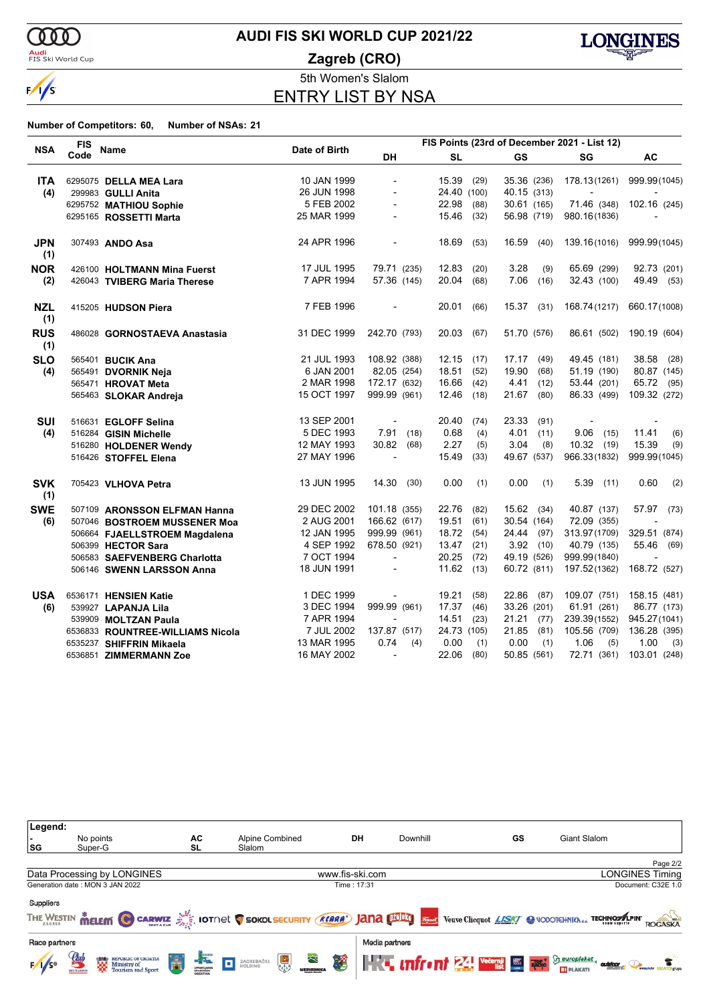

**Audi**<br>FIS Ski World Cup

### **AUDI FIS SKI WORLD CUP 2021/22**





5th Women's Slalom

ENTRY LIST BY NSA

|                   | <b>FIS</b> |                                  |               |                          |             |      |               | FIS Points (23rd of December 2021 - List 12) |                           |
|-------------------|------------|----------------------------------|---------------|--------------------------|-------------|------|---------------|----------------------------------------------|---------------------------|
| <b>NSA</b>        | Code       | Name                             | Date of Birth | <b>DH</b>                | <b>SL</b>   |      | <b>GS</b>     | SG                                           | <b>AC</b>                 |
| <b>ITA</b>        |            | 6295075 DELLA MEA Lara           | 10 JAN 1999   | $\blacksquare$           | 15.39       | (29) | 35.36 (236)   |                                              | 178.13(1261) 999.99(1045) |
| (4)               |            | 299983 GULLI Anita               | 26 JUN 1998   | $\blacksquare$           | 24.40 (100) |      | 40.15 (313)   | $\overline{\phantom{a}}$                     |                           |
|                   |            | 6295752 MATHIOU Sophie           | 5 FEB 2002    | $\blacksquare$           | 22.98       | (88) | 30.61 (165)   | 71.46 (348)                                  | 102.16 (245)              |
|                   |            | 6295165 ROSSETTI Marta           | 25 MAR 1999   |                          | 15.46       | (32) | 56.98 (719)   | 980.16(1836)                                 |                           |
| <b>JPN</b><br>(1) |            | 307493 ANDO Asa                  | 24 APR 1996   |                          | 18.69       | (53) | 16.59<br>(40) |                                              | 139.16(1016) 999.99(1045) |
| <b>NOR</b>        |            | 426100 HOLTMANN Mina Fuerst      | 17 JUL 1995   | 79.71 (235)              | 12.83       | (20) | 3.28<br>(9)   | 65.69 (299)                                  | 92.73 (201)               |
| (2)               |            | 426043 TVIBERG Maria Therese     | 7 APR 1994    | 57.36 (145)              | 20.04       | (68) | 7.06<br>(16)  | 32.43 (100)                                  | 49.49 (53)                |
| <b>NZL</b><br>(1) |            | 415205 HUDSON Piera              | 7 FEB 1996    |                          | 20.01       | (66) | $15.37$ (31)  | 168.74(1217)                                 | 660.17(1008)              |
| <b>RUS</b><br>(1) |            | 486028 GORNOSTAEVA Anastasia     | 31 DEC 1999   | 242.70 (793)             | 20.03       | (67) | 51.70 (576)   | 86.61 (502)                                  | 190.19 (604)              |
| <b>SLO</b>        |            | 565401 BUCIK Ana                 | 21 JUL 1993   | 108.92 (388)             | 12.15       | (17) | 17.17<br>(49) | 49.45 (181)                                  | 38.58 (28)                |
| (4)               |            | 565491 DVORNIK Neja              | 6 JAN 2001    | 82.05 (254)              | 18.51       | (52) | 19.90<br>(68) | 51.19 (190)                                  | 80.87 (145)               |
|                   |            | 565471 HROVAT Meta               | 2 MAR 1998    | 172.17 (632)             | 16.66       | (42) | 4.41<br>(12)  | 53.44 (201)                                  | 65.72 (95)                |
|                   |            | 565463 SLOKAR Andreja            | 15 OCT 1997   | 999.99 (961)             | 12.46       | (18) | 21.67<br>(80) | 86.33 (499)                                  | 109.32 (272)              |
| <b>SUI</b>        |            | 516631 EGLOFF Selina             | 13 SEP 2001   | $\overline{\phantom{a}}$ | 20.40       | (74) | 23.33<br>(91) | $\overline{\phantom{a}}$                     | $\overline{\phantom{a}}$  |
| (4)               |            | 516284 GISIN Michelle            | 5 DEC 1993    | 7.91(18)                 | 0.68        | (4)  | 4.01<br>(11)  | $9.06$ (15)                                  | 11.41<br>(6)              |
|                   |            | 516280 HOLDENER Wendy            | 12 MAY 1993   | 30.82 (68)               | 2.27        | (5)  | 3.04<br>(8)   | $10.32$ (19)                                 | 15.39<br>(9)              |
|                   |            | 516426 STOFFEL Elena             | 27 MAY 1996   | $\blacksquare$           | 15.49       | (33) | 49.67 (537)   | 966.33(1832)                                 | 999.99(1045)              |
| <b>SVK</b><br>(1) |            | 705423 VLHOVA Petra              | 13 JUN 1995   | 14.30(30)                | 0.00        | (1)  | 0.00<br>(1)   | $5.39$ (11)                                  | 0.60<br>(2)               |
| <b>SWE</b>        |            | 507109 ARONSSON ELFMAN Hanna     | 29 DEC 2002   | 101.18 (355)             | 22.76       | (82) | 15.62 (34)    | 40.87 (137)                                  | 57.97 (73)                |
| (6)               |            | 507046 BOSTROEM MUSSENER Moa     | 2 AUG 2001    | 166.62 (617)             | 19.51       | (61) | 30.54 (164)   | 72.09 (355)                                  |                           |
|                   |            | 506664 FJAELLSTROEM Magdalena    | 12 JAN 1995   | 999.99 (961)             | 18.72       | (54) | 24.44 (97)    | 313.97(1709)                                 | 329.51 (874)              |
|                   |            | 506399 HECTOR Sara               | 4 SEP 1992    | 678.50 (921)             | 13.47       | (21) | 3.92(10)      | 40.79 (135)                                  | 55.46 (69)                |
|                   |            | 506583 SAEFVENBERG Charlotta     | 7 OCT 1994    | $\overline{a}$           | 20.25       | (72) | 49.19 (526)   | 999.99(1840)                                 | $\overline{a}$            |
|                   |            | 506146 SWENN LARSSON Anna        | 18 JUN 1991   | $\blacksquare$           | 11.62       | (13) | 60.72 (811)   | 197.52(1362)                                 | 168.72 (527)              |
| <b>USA</b>        |            | 6536171 HENSIEN Katie            | 1 DEC 1999    |                          | 19.21       | (58) | 22.86 (87)    |                                              | 109.07 (751) 158.15 (481) |
| (6)               |            | 539927 LAPANJA Lila              | 3 DEC 1994    | 999.99 (961)             | 17.37       | (46) | 33.26 (201)   | 61.91 (261)                                  | 86.77 (173)               |
|                   |            | 539909 MOLTZAN Paula             | 7 APR 1994    |                          | 14.51       | (23) | 21.21<br>(77) |                                              | 239.39(1552) 945.27(1041) |
|                   |            | 6536833 ROUNTREE-WILLIAMS Nicola | 7 JUL 2002    | 137.87 (517)             | 24.73 (105) |      | 21.85<br>(81) | 105.56 (709)                                 | 136.28 (395)              |
|                   |            | 6535237 SHIFFRIN Mikaela         | 13 MAR 1995   | 0.74<br>(4)              | 0.00        | (1)  | 0.00<br>(1)   | 1.06<br>(5)                                  | 1.00<br>(3)               |
|                   |            | 6536851 ZIMMERMANN Zoe           | 16 MAY 2002   | $\sim$                   | 22.06       | (80) | 50.85 (561)   | 72.71 (361)                                  | 103.01 (248)              |

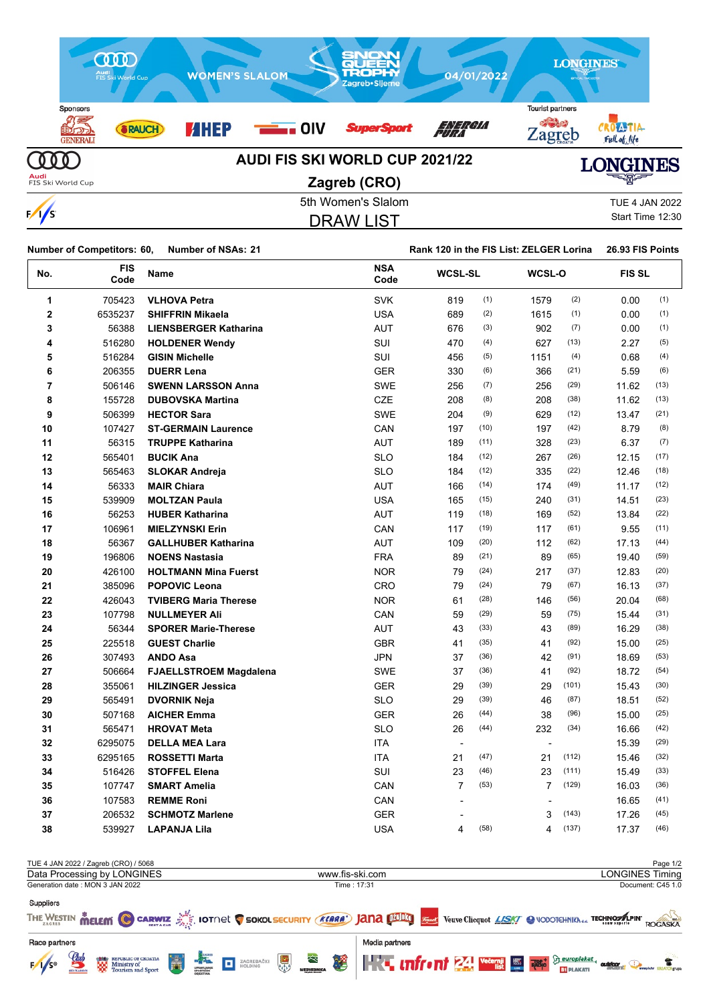

DRAW LIST

Start Time 12:30

|                | <b>Number of Competitors: 60,</b> | <b>Number of NSAs: 21</b>     |                    | Rank 120 in the FIS List: ZELGER Lorina | 26.93 FIS Points |                          |       |               |      |
|----------------|-----------------------------------|-------------------------------|--------------------|-----------------------------------------|------------------|--------------------------|-------|---------------|------|
| No.            | <b>FIS</b><br>Code                | Name                          | <b>NSA</b><br>Code | <b>WCSL-SL</b>                          |                  | WCSL-O                   |       | <b>FIS SL</b> |      |
| 1              | 705423                            | <b>VLHOVA Petra</b>           | <b>SVK</b>         | 819                                     | (1)              | 1579                     | (2)   | 0.00          | (1)  |
| $\overline{2}$ | 6535237                           | <b>SHIFFRIN Mikaela</b>       | <b>USA</b>         | 689                                     | (2)              | 1615                     | (1)   | 0.00          | (1)  |
| 3              | 56388                             | <b>LIENSBERGER Katharina</b>  | <b>AUT</b>         | 676                                     | (3)              | 902                      | (7)   | 0.00          | (1)  |
| 4              | 516280                            | <b>HOLDENER Wendy</b>         | SUI                | 470                                     | (4)              | 627                      | (13)  | 2.27          | (5)  |
| 5              | 516284                            | <b>GISIN Michelle</b>         | SUI                | 456                                     | (5)              | 1151                     | (4)   | 0.68          | (4)  |
| 6              | 206355                            | <b>DUERR Lena</b>             | <b>GER</b>         | 330                                     | (6)              | 366                      | (21)  | 5.59          | (6)  |
| $\overline{7}$ | 506146                            | <b>SWENN LARSSON Anna</b>     | <b>SWE</b>         | 256                                     | (7)              | 256                      | (29)  | 11.62         | (13) |
| 8              | 155728                            | <b>DUBOVSKA Martina</b>       | <b>CZE</b>         | 208                                     | (8)              | 208                      | (38)  | 11.62         | (13) |
| 9              | 506399                            | <b>HECTOR Sara</b>            | <b>SWE</b>         | 204                                     | (9)              | 629                      | (12)  | 13.47         | (21) |
| 10             | 107427                            | <b>ST-GERMAIN Laurence</b>    | CAN                | 197                                     | (10)             | 197                      | (42)  | 8.79          | (8)  |
| 11             | 56315                             | <b>TRUPPE Katharina</b>       | AUT                | 189                                     | (11)             | 328                      | (23)  | 6.37          | (7)  |
| 12             | 565401                            | <b>BUCIK Ana</b>              | <b>SLO</b>         | 184                                     | (12)             | 267                      | (26)  | 12.15         | (17) |
| 13             | 565463                            | <b>SLOKAR Andreja</b>         | <b>SLO</b>         | 184                                     | (12)             | 335                      | (22)  | 12.46         | (18) |
| 14             | 56333                             | <b>MAIR Chiara</b>            | <b>AUT</b>         | 166                                     | (14)             | 174                      | (49)  | 11.17         | (12) |
| 15             | 539909                            | <b>MOLTZAN Paula</b>          | <b>USA</b>         | 165                                     | (15)             | 240                      | (31)  | 14.51         | (23) |
| 16             | 56253                             | <b>HUBER Katharina</b>        | AUT                | 119                                     | (18)             | 169                      | (52)  | 13.84         | (22) |
| 17             | 106961                            | <b>MIELZYNSKI Erin</b>        | CAN                | 117                                     | (19)             | 117                      | (61)  | 9.55          | (11) |
| 18             | 56367                             | <b>GALLHUBER Katharina</b>    | <b>AUT</b>         | 109                                     | (20)             | 112                      | (62)  | 17.13         | (44) |
| 19             | 196806                            | <b>NOENS Nastasia</b>         | <b>FRA</b>         | 89                                      | (21)             | 89                       | (65)  | 19.40         | (59) |
| 20             | 426100                            | <b>HOLTMANN Mina Fuerst</b>   | <b>NOR</b>         | 79                                      | (24)             | 217                      | (37)  | 12.83         | (20) |
| 21             | 385096                            | <b>POPOVIC Leona</b>          | CRO                | 79                                      | (24)             | 79                       | (67)  | 16.13         | (37) |
| 22             | 426043                            | <b>TVIBERG Maria Therese</b>  | <b>NOR</b>         | 61                                      | (28)             | 146                      | (56)  | 20.04         | (68) |
| 23             | 107798                            | <b>NULLMEYER Ali</b>          | CAN                | 59                                      | (29)             | 59                       | (75)  | 15.44         | (31) |
| 24             | 56344                             | <b>SPORER Marie-Therese</b>   | AUT                | 43                                      | (33)             | 43                       | (89)  | 16.29         | (38) |
| 25             | 225518                            | <b>GUEST Charlie</b>          | <b>GBR</b>         | 41                                      | (35)             | 41                       | (92)  | 15.00         | (25) |
| 26             | 307493                            | <b>ANDO Asa</b>               | <b>JPN</b>         | 37                                      | (36)             | 42                       | (91)  | 18.69         | (53) |
| 27             | 506664                            | <b>FJAELLSTROEM Magdalena</b> | <b>SWE</b>         | 37                                      | (36)             | 41                       | (92)  | 18.72         | (54) |
| 28             | 355061                            | <b>HILZINGER Jessica</b>      | <b>GER</b>         | 29                                      | (39)             | 29                       | (101) | 15.43         | (30) |
| 29             | 565491                            | <b>DVORNIK Neja</b>           | <b>SLO</b>         | 29                                      | (39)             | 46                       | (87)  | 18.51         | (52) |
| 30             | 507168                            | <b>AICHER Emma</b>            | <b>GER</b>         | 26                                      | (44)             | 38                       | (96)  | 15.00         | (25) |
| 31             | 565471                            | <b>HROVAT Meta</b>            | <b>SLO</b>         | 26                                      | (44)             | 232                      | (34)  | 16.66         | (42) |
| 32             | 6295075                           | <b>DELLA MEA Lara</b>         | <b>ITA</b>         | $\overline{\phantom{a}}$                |                  | $\overline{\phantom{a}}$ |       | 15.39         | (29) |
| 33             | 6295165                           | <b>ROSSETTI Marta</b>         | <b>ITA</b>         | 21                                      | (47)             | 21                       | (112) | 15.46         | (32) |
| 34             | 516426                            | <b>STOFFEL Elena</b>          | SUI                | 23                                      | (46)             | 23                       | (111) | 15.49         | (33) |
| 35             | 107747                            | <b>SMART Amelia</b>           | CAN                | $\overline{7}$                          | (53)             | $\overline{7}$           | (129) | 16.03         | (36) |
| 36             | 107583                            | <b>REMME Roni</b>             | CAN                | $\overline{\phantom{a}}$                |                  |                          |       | 16.65         | (41) |
| 37             | 206532                            | <b>SCHMOTZ Marlene</b>        | <b>GER</b>         | $\overline{a}$                          |                  | 3                        | (143) | 17.26         | (45) |
| 38             | 539927                            | <b>LAPANJA Lila</b>           | <b>USA</b>         | 4                                       | (58)             | 4                        | (137) | 17.37         | (46) |
|                |                                   |                               |                    |                                         |                  |                          |       |               |      |

|                 |                     | TUE 4 JAN 2022 / Zagreb (CRO) / 5068                                   |   |                                                                                                                                                                                                                                                                                                                                                                                |                     |   |   |   |                 |  |  |                                                                                                                              |         | Page 1/2               |
|-----------------|---------------------|------------------------------------------------------------------------|---|--------------------------------------------------------------------------------------------------------------------------------------------------------------------------------------------------------------------------------------------------------------------------------------------------------------------------------------------------------------------------------|---------------------|---|---|---|-----------------|--|--|------------------------------------------------------------------------------------------------------------------------------|---------|------------------------|
|                 |                     | Data Processing by LONGINES                                            |   |                                                                                                                                                                                                                                                                                                                                                                                |                     |   |   |   | www.fis-ski.com |  |  |                                                                                                                              |         | <b>LONGINES Timing</b> |
|                 |                     | Generation date: MON 3 JAN 2022                                        |   |                                                                                                                                                                                                                                                                                                                                                                                |                     |   |   |   | Time: 17:31     |  |  |                                                                                                                              |         | Document: C45 1.0      |
| Suppliers       |                     |                                                                        |   |                                                                                                                                                                                                                                                                                                                                                                                |                     |   |   |   |                 |  |  |                                                                                                                              |         |                        |
|                 |                     |                                                                        |   |                                                                                                                                                                                                                                                                                                                                                                                |                     |   |   |   |                 |  |  | THE WESTIN MELEM C CARWIZ AND IOTNEL C SOKOL SECURITY (KEARA') JANA DIDELY Verve Cliequot LASKY @ VODOTCHNIKA & TECHNOSALPIN |         | ROGASKA                |
| Race partners   |                     |                                                                        |   |                                                                                                                                                                                                                                                                                                                                                                                |                     |   |   |   | Media partners  |  |  |                                                                                                                              |         |                        |
| $F/1/s^{\circ}$ | $\mathcal{Q}_{\mu}$ | <b>EXAMPLE REPUBLIC OF CROATIA</b><br>Ministry of<br>Tourism and Sport | Ä | $\begin{picture}(180,10) \put(0,0){\line(1,0){10}} \put(10,0){\line(1,0){10}} \put(10,0){\line(1,0){10}} \put(10,0){\line(1,0){10}} \put(10,0){\line(1,0){10}} \put(10,0){\line(1,0){10}} \put(10,0){\line(1,0){10}} \put(10,0){\line(1,0){10}} \put(10,0){\line(1,0){10}} \put(10,0){\line(1,0){10}} \put(10,0){\line(1,0){10}} \put(10,0){\line($<br>UPRAVLJANJ<br>SPORTSKIM | <b>E</b> ZAGREBAČKI | 一 | 毊 | 堡 |                 |  |  | <b>THE INTEGRIT 24 WERE ASSESSED FOR A REAL PROPERTY.</b><br><b>BT PLAKATI</b>                                               | outdoor |                        |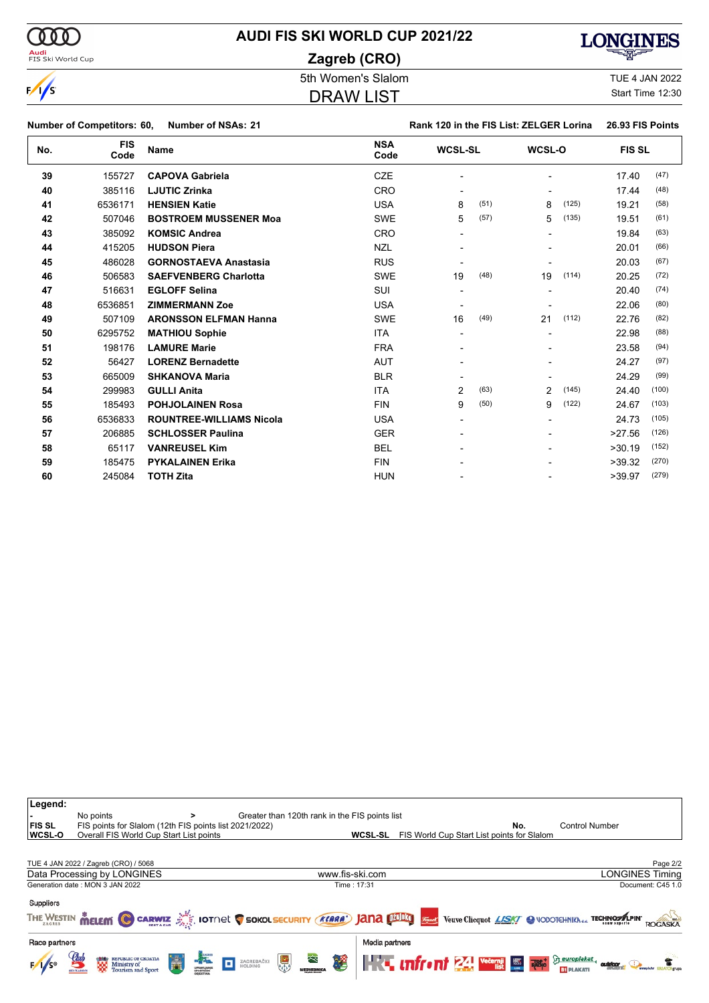# **AUDI FIS SKI WORLD CUP 2021/22**

**Zagreb (CRO)**

DRAW LIST



# $\sqrt{s}$

5th Women's Slalom TUE 4 JAN 2022

Start Time 12:30

| Number of NSAs: 21<br><b>Number of Competitors: 60,</b> |
|---------------------------------------------------------|
|---------------------------------------------------------|

#### **Number of Competitors: 60, Number of NSAs: 21 Rank 120 in the FIS List: ZELGER Lorina 26.93 FIS Points**

| No. | <b>FIS</b><br>Code | <b>Name</b>                     | <b>NSA</b><br>Code | <b>WCSL-SL</b>         | WCSL-O                   | <b>FIS SL</b>   |  |
|-----|--------------------|---------------------------------|--------------------|------------------------|--------------------------|-----------------|--|
| 39  | 155727             | <b>CAPOVA Gabriela</b>          | <b>CZE</b>         |                        | $\overline{\phantom{0}}$ | (47)<br>17.40   |  |
| 40  | 385116             | <b>LJUTIC Zrinka</b>            | <b>CRO</b>         |                        |                          | (48)<br>17.44   |  |
| 41  | 6536171            | <b>HENSIEN Katie</b>            | <b>USA</b>         | (51)<br>8              | (125)<br>8               | (58)<br>19.21   |  |
| 42  | 507046             | <b>BOSTROEM MUSSENER Moa</b>    | <b>SWE</b>         | (57)<br>5              | (135)<br>5               | (61)<br>19.51   |  |
| 43  | 385092             | <b>KOMSIC Andrea</b>            | <b>CRO</b>         |                        | $\blacksquare$           | (63)<br>19.84   |  |
| 44  | 415205             | <b>HUDSON Piera</b>             | <b>NZL</b>         |                        |                          | (66)<br>20.01   |  |
| 45  | 486028             | <b>GORNOSTAEVA Anastasia</b>    | <b>RUS</b>         |                        |                          | (67)<br>20.03   |  |
| 46  | 506583             | <b>SAEFVENBERG Charlotta</b>    | <b>SWE</b>         | (48)<br>19             | (114)<br>19              | (72)<br>20.25   |  |
| 47  | 516631             | <b>EGLOFF Selina</b>            | SUI                |                        | $\blacksquare$           | (74)<br>20.40   |  |
| 48  | 6536851            | <b>ZIMMERMANN Zoe</b>           | <b>USA</b>         |                        |                          | (80)<br>22.06   |  |
| 49  | 507109             | <b>ARONSSON ELFMAN Hanna</b>    | <b>SWE</b>         | (49)<br>16             | (112)<br>21              | (82)<br>22.76   |  |
| 50  | 6295752            | <b>MATHIOU Sophie</b>           | <b>ITA</b>         |                        | $\blacksquare$           | (88)<br>22.98   |  |
| 51  | 198176             | <b>LAMURE Marie</b>             | <b>FRA</b>         |                        |                          | (94)<br>23.58   |  |
| 52  | 56427              | <b>LORENZ Bernadette</b>        | <b>AUT</b>         |                        |                          | (97)<br>24.27   |  |
| 53  | 665009             | <b>SHKANOVA Maria</b>           | <b>BLR</b>         |                        |                          | (99)<br>24.29   |  |
| 54  | 299983             | <b>GULLI Anita</b>              | <b>ITA</b>         | $\overline{2}$<br>(63) | $\overline{2}$<br>(145)  | (100)<br>24.40  |  |
| 55  | 185493             | <b>POHJOLAINEN Rosa</b>         | <b>FIN</b>         | (50)<br>9              | (122)<br>9               | (103)<br>24.67  |  |
| 56  | 6536833            | <b>ROUNTREE-WILLIAMS Nicola</b> | <b>USA</b>         |                        |                          | (105)<br>24.73  |  |
| 57  | 206885             | <b>SCHLOSSER Paulina</b>        | <b>GER</b>         |                        | $\blacksquare$           | (126)<br>>27.56 |  |
| 58  | 65117              | <b>VANREUSEL Kim</b>            | <b>BEL</b>         |                        |                          | (152)<br>>30.19 |  |
| 59  | 185475             | <b>PYKALAINEN Erika</b>         | <b>FIN</b>         |                        |                          | (270)<br>>39.32 |  |
| 60  | 245084             | <b>TOTH Zita</b>                | <b>HUN</b>         |                        |                          | (279)<br>>39.97 |  |

| Legend:<br>∣FIS SL<br><b>WCSL-O</b> | No points<br>FIS points for Slalom (12th FIS points list 2021/2022)<br>Overall FIS World Cup Start List points |                                                   | Greater than 120th rank in the FIS points list<br><b>WCSL-SL</b> | No.<br>FIS World Cup Start List points for Slalom                                                                        | <b>Control Number</b>              |
|-------------------------------------|----------------------------------------------------------------------------------------------------------------|---------------------------------------------------|------------------------------------------------------------------|--------------------------------------------------------------------------------------------------------------------------|------------------------------------|
|                                     | TUE 4 JAN 2022 / Zagreb (CRO) / 5068<br>Data Processing by LONGINES                                            |                                                   | www.fis-ski.com                                                  |                                                                                                                          | Page 2/2<br><b>LONGINES Timing</b> |
|                                     | Generation date: MON 3 JAN 2022                                                                                |                                                   | Time: 17:31                                                      |                                                                                                                          | Document: C45 1.0                  |
| <b>Suppliers</b>                    |                                                                                                                |                                                   |                                                                  | THE WESTIN MELEM CARWIZ AND IOTOR COKOLSECURITY (KARA) JANA DIBAT STIME Veuve Cliequot LASKY C VODOTCHNIKNda TECHNOMAPIN | <b>ROGASK/</b>                     |
| Race partners                       |                                                                                                                |                                                   | Media partners                                                   |                                                                                                                          |                                    |
|                                     | Ħ<br>REPUBLIC OF CROATIA<br>Ministry of<br>Tourism and Sport<br>鬻                                              | <b>ELACTER</b><br>黑<br>ZAGREBAČKI<br>HOLDING<br>o | <b>Research</b><br>橘                                             | <b>The infrant 24 Vecent Law 1886</b> Seuroplaket, anthene Ox                                                            |                                    |



 $\omega$ 

<mark>Audi</mark><br>FIS Ski World Cup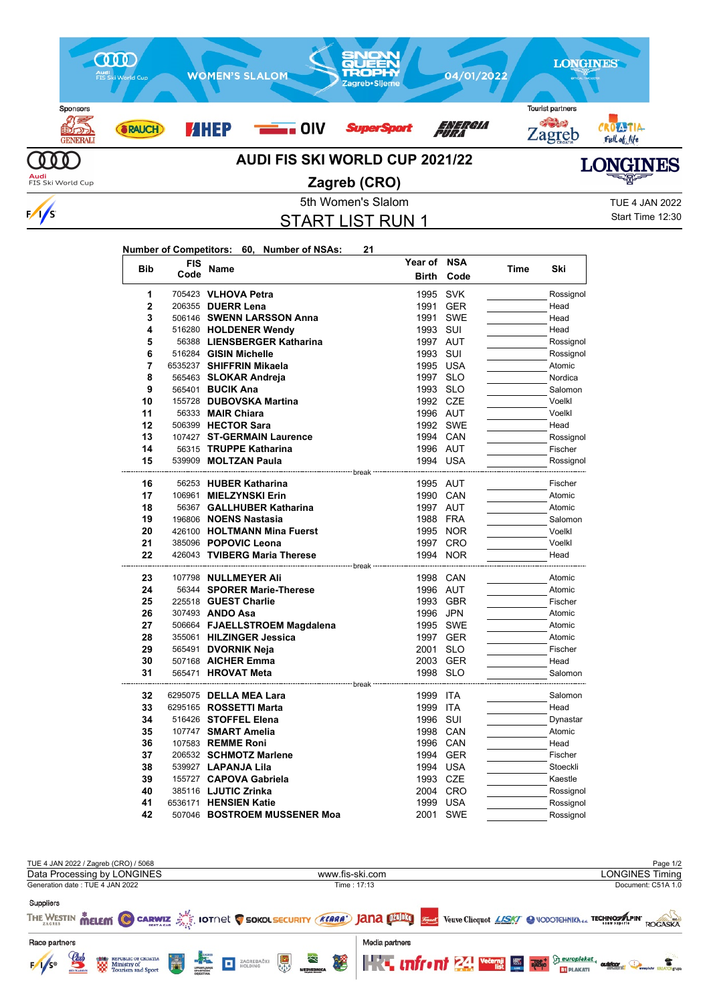

### 5th Women's Slalom TUE 4 JAN 2022 START LIST RUN 1

**Year of NSA**

Start Time 12:30

| Number of Competitors: 60, Number of NSAs: |  |  | 21 |
|--------------------------------------------|--|--|----|
|--------------------------------------------|--|--|----|

| <b>Bib</b> | FIS  | Name                          | Year of                       | <b>NSA</b> | Time | Ski       |
|------------|------|-------------------------------|-------------------------------|------------|------|-----------|
|            | Code |                               | <b>Birth</b>                  | Code       |      |           |
| 1          |      | 705423 VLHOVA Petra           | 1995                          | <b>SVK</b> |      | Rossignol |
| 2          |      | 206355 DUERR Lena             | 1991                          | <b>GER</b> |      | Head      |
| 3          |      | 506146 SWENN LARSSON Anna     | 1991                          | <b>SWE</b> |      | Head      |
| 4          |      | 516280 HOLDENER Wendy         | 1993                          | SUI        |      | Head      |
| 5          |      | 56388 LIENSBERGER Katharina   | 1997                          | AUT        |      | Rossignol |
| 6          |      | 516284 GISIN Michelle         | 1993                          | SUI        |      | Rossignol |
| 7          |      | 6535237 SHIFFRIN Mikaela      | 1995 USA                      |            |      | Atomic    |
| 8          |      | 565463 SLOKAR Andreja         | 1997 SLO                      |            |      | Nordica   |
| 9          |      | 565401 <b>BUCIK Ana</b>       | 1993 SLO                      |            |      | Salomon   |
| 10         |      | 155728 DUBOVSKA Martina       | 1992 CZE                      |            |      | Voelkl    |
| 11         |      | 56333 MAIR Chiara             | 1996 AUT                      |            |      | Voelkl    |
| 12         |      | 506399 HECTOR Sara            |                               | 1992 SWE   |      | Head      |
| 13         |      | 107427 ST-GERMAIN Laurence    | 1994 CAN                      |            |      | Rossignol |
| 14         |      | 56315 TRUPPE Katharina        | 1996 AUT                      |            |      | Fischer   |
| 15         |      | 539909 MOLTZAN Paula          | 1994 USA                      |            |      | Rossignol |
|            |      |                               | ⋯ break                       |            |      |           |
| 16         |      | 56253 HUBER Katharina         | 1995 AUT                      |            |      | Fischer   |
| 17         |      | 106961 MIELZYNSKI Erin        | 1990 CAN                      |            |      | Atomic    |
| 18         |      | 56367 GALLHUBER Katharina     | 1997 AUT                      |            |      | Atomic    |
| 19         |      | 196806 NOENS Nastasia         | 1988 FRA                      |            |      | Salomon   |
| 20         |      | 426100 HOLTMANN Mina Fuerst   |                               | 1995 NOR   |      | Voelkl    |
| 21         |      | 385096 POPOVIC Leona          |                               | 1997 CRO   |      | Voelkl    |
| 22         |      | 426043 TVIBERG Maria Therese  |                               | 1994 NOR   |      | Head      |
| 23         |      | 107798 NULLMEYER Ali          | --------- hreak ·<br>1998 CAN |            |      | Atomic    |
| 24         |      | 56344 SPORER Marie-Therese    | 1996 AUT                      |            |      | Atomic    |
| 25         |      | 225518 GUEST Charlie          |                               | 1993 GBR   |      | Fischer   |
| 26         |      | 307493 ANDO Asa               | 1996 JPN                      |            |      | Atomic    |
| 27         |      | 506664 FJAELLSTROEM Magdalena | 1995                          | <b>SWE</b> |      | Atomic    |
| 28         |      | 355061 HILZINGER Jessica      |                               | 1997 GER   |      | Atomic    |
| 29         |      | 565491 DVORNIK Neja           | 2001                          | <b>SLO</b> |      | Fischer   |
| 30         |      | 507168 AICHER Emma            |                               | 2003 GER   |      | Head      |
| 31         |      | 565471 HROVAT Meta            | 1998 SLO                      |            |      | Salomon   |
|            |      |                               |                               |            |      |           |
| 32         |      | 6295075 DELLA MEA Lara        | 1999                          | <b>ITA</b> |      | Salomon   |
| 33         |      | 6295165 <b>ROSSETTI Marta</b> | 1999                          | <b>ITA</b> |      | Head      |
| 34         |      | 516426 STOFFEL Elena          | 1996 SUI                      |            |      | Dynastar  |
| 35         |      | 107747 SMART Amelia           | 1998 CAN                      |            |      | Atomic    |
| 36         |      | 107583 REMME Roni             | 1996 CAN                      |            |      | Head      |
| 37         |      | 206532 SCHMOTZ Marlene        |                               | 1994 GER   |      | Fischer   |
| 38         |      | 539927 LAPANJA Lila           | 1994 USA                      |            |      | Stoeckli  |
| 39         |      | 155727 CAPOVA Gabriela        | 1993 CZE                      |            |      | Kaestle   |
| 40         |      | 385116 LJUTIC Zrinka          |                               | 2004 CRO   |      | Rossignol |
| 41         |      | 6536171 HENSIEN Katie         | 1999                          | <b>USA</b> |      | Rossignol |
| 42         |      | 507046 BOSTROEM MUSSENER Moa  | 2001                          | <b>SWE</b> |      | Rossignol |

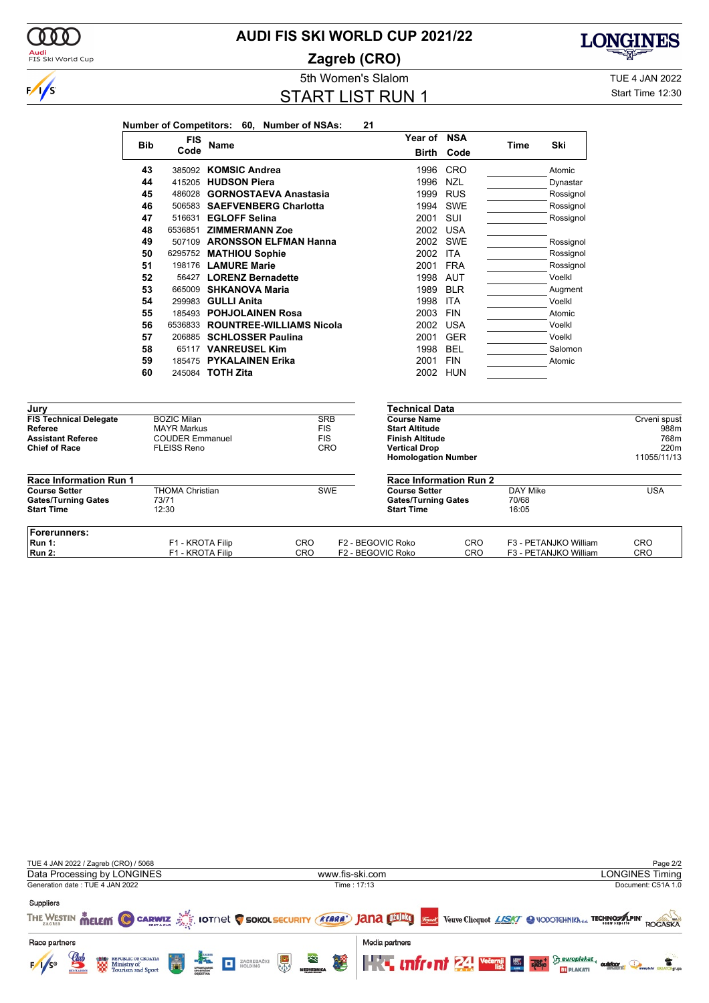### **AUDI FIS SKI WORLD CUP 2021/22**

**Zagreb (CRO)**



# **LONGINES**

START LIST RUN 1

5th Women's Slalom TUE 4 JAN 2022 Start Time 12:30

|                                                  |            |                                              |                         | Number of Competitors: 60, Number of NSAs: |                          | 21                |                                                 |            |                 |                       |              |
|--------------------------------------------------|------------|----------------------------------------------|-------------------------|--------------------------------------------|--------------------------|-------------------|-------------------------------------------------|------------|-----------------|-----------------------|--------------|
|                                                  |            | <b>FIS</b>                                   |                         |                                            |                          |                   | Year of NSA                                     |            |                 |                       |              |
|                                                  | <b>Bib</b> | Code                                         | <b>Name</b>             |                                            |                          |                   | <b>Birth</b>                                    | Code       | Time            | Ski                   |              |
|                                                  | 43         |                                              | 385092 KOMSIC Andrea    |                                            |                          |                   | 1996                                            | CRO        |                 | Atomic                |              |
|                                                  | 44         |                                              | 415205 HUDSON Piera     |                                            |                          |                   | 1996                                            | <b>NZL</b> |                 | Dynastar              |              |
|                                                  | 45         |                                              |                         | 486028 GORNOSTAEVA Anastasia               |                          |                   | 1999                                            | <b>RUS</b> |                 | Rossignol             |              |
|                                                  | 46         |                                              |                         | 506583 SAEFVENBERG Charlotta               |                          |                   | 1994                                            | SWE        |                 | Rossignol             |              |
|                                                  | 47         |                                              | 516631 EGLOFF Selina    |                                            |                          |                   | 2001                                            | SUI        |                 | Rossignol             |              |
|                                                  | 48         |                                              | 6536851 ZIMMERMANN Zoe  |                                            |                          |                   | 2002 USA                                        |            |                 |                       |              |
|                                                  | 49         |                                              |                         | 507109 ARONSSON ELFMAN Hanna               |                          |                   |                                                 | 2002 SWE   |                 | Rossignol             |              |
|                                                  | 50         |                                              | 6295752 MATHIOU Sophie  |                                            |                          |                   | 2002 ITA                                        |            |                 | Rossignol             |              |
|                                                  | 51         |                                              | 198176 LAMURE Marie     |                                            |                          |                   | 2001 FRA                                        |            |                 | Rossignol             |              |
|                                                  | 52         |                                              | 56427 LORENZ Bernadette |                                            |                          |                   | 1998                                            | <b>AUT</b> |                 | Voelkl                |              |
|                                                  | 53         |                                              | 665009 SHKANOVA Maria   |                                            |                          |                   | 1989                                            | <b>BLR</b> |                 | Augment               |              |
|                                                  | 54         |                                              | 299983 GULLI Anita      |                                            |                          |                   | 1998                                            | <b>ITA</b> |                 | Voelkl                |              |
|                                                  | 55         |                                              |                         | 185493 POHJOLAINEN Rosa                    |                          |                   | 2003                                            | <b>FIN</b> |                 | Atomic                |              |
|                                                  | 56         |                                              |                         | 6536833 ROUNTREE-WILLIAMS Nicola           |                          |                   | 2002                                            | <b>USA</b> |                 | Voelkl                |              |
|                                                  | 57         |                                              |                         | 206885 SCHLOSSER Paulina                   |                          |                   | 2001                                            | <b>GER</b> |                 | Voelkl                |              |
|                                                  | 58         |                                              | 65117 VANREUSEL Kim     |                                            |                          |                   | 1998                                            | <b>BEL</b> |                 | Salomon               |              |
|                                                  | 59         |                                              | 185475 PYKALAINEN Erika |                                            |                          |                   | 2001                                            | <b>FIN</b> |                 | Atomic                |              |
|                                                  | 60         |                                              | 245084 <b>TOTH Zita</b> |                                            |                          |                   |                                                 | 2002 HUN   |                 |                       |              |
|                                                  |            |                                              |                         |                                            |                          |                   |                                                 |            |                 |                       |              |
| Jury                                             |            |                                              |                         |                                            |                          |                   | <b>Technical Data</b>                           |            |                 |                       |              |
| <b>FIS Technical Delegate</b>                    |            | <b>BOZIC Milan</b>                           |                         |                                            | <b>SRB</b>               |                   | <b>Course Name</b>                              |            |                 |                       | Crveni spust |
| <b>Referee</b>                                   |            | <b>MAYR Markus</b><br><b>COUDER Emmanuel</b> |                         |                                            | <b>FIS</b><br><b>FIS</b> |                   | <b>Start Altitude</b><br><b>Finish Altitude</b> |            |                 |                       | 988m<br>768m |
| <b>Assistant Referee</b><br><b>Chief of Race</b> |            | <b>FLEISS Reno</b>                           |                         |                                            | CRO                      |                   | <b>Vertical Drop</b>                            |            |                 |                       | 220m         |
|                                                  |            |                                              |                         |                                            |                          |                   | <b>Homologation Number</b>                      |            |                 |                       | 11055/11/13  |
| Race Information Run 1                           |            |                                              |                         |                                            |                          |                   | <b>Race Information Run 2</b>                   |            |                 |                       |              |
| <b>Course Setter</b>                             |            | <b>THOMA Christian</b>                       |                         |                                            | <b>SWE</b>               |                   | <b>Course Setter</b>                            |            | <b>DAY Mike</b> |                       | <b>USA</b>   |
| <b>Gates/Turning Gates</b><br><b>Start Time</b>  |            | 73/71<br>12:30                               |                         |                                            |                          |                   | <b>Gates/Turning Gates</b><br><b>Start Time</b> |            | 70/68<br>16:05  |                       |              |
| Forerunners:                                     |            |                                              |                         |                                            |                          |                   |                                                 |            |                 |                       |              |
| <b>Run 1:</b>                                    |            | F1 - KROTA Filip                             |                         | <b>CRO</b>                                 |                          | F2 - BEGOVIC Roko |                                                 | CRO        |                 | F3 - PETANJKO William | <b>CRO</b>   |
| <b>Run 2:</b>                                    |            | F1 - KROTA Filip                             |                         | CRO                                        |                          | F2 - BEGOVIC Roko |                                                 | CRO        |                 | F3 - PETANJKO William | CRO          |

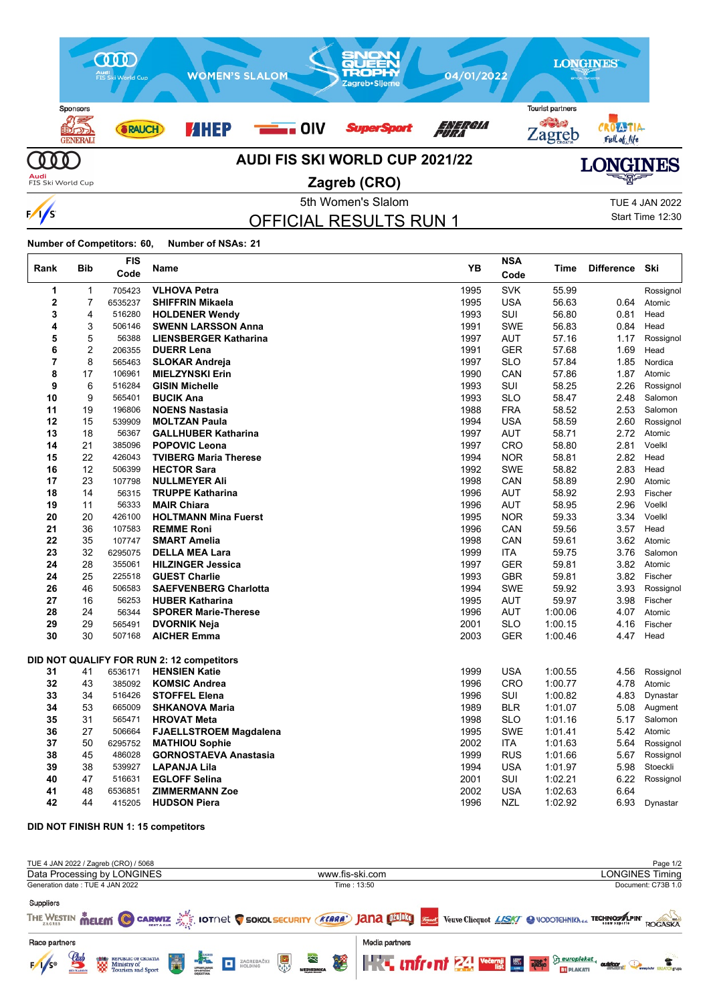

5th Women's Slalom TUE 4 JAN 2022 OFFICIAL RESULTS RUN 1

Start Time 12:30

**Number of Competitors: 60, Number of NSAs: 21**

 $\frac{1}{s}$ 

 $\mathbf{r}$ 

| Rank | <b>Bib</b>       | <b>FIS</b><br>Code | Name                                      | YB   | <b>NSA</b><br>Code | Time    | <b>Difference</b> | Ski       |
|------|------------------|--------------------|-------------------------------------------|------|--------------------|---------|-------------------|-----------|
| 1    | $\mathbf 1$      | 705423             | <b>VLHOVA Petra</b>                       | 1995 | <b>SVK</b>         | 55.99   |                   | Rossignol |
| 2    | 7                | 6535237            | <b>SHIFFRIN Mikaela</b>                   | 1995 | <b>USA</b>         | 56.63   | 0.64              | Atomic    |
| 3    | 4                | 516280             | <b>HOLDENER Wendy</b>                     | 1993 | SUI                | 56.80   | 0.81              | Head      |
| 4    | 3                | 506146             | <b>SWENN LARSSON Anna</b>                 | 1991 | <b>SWE</b>         | 56.83   | 0.84              | Head      |
| 5    | 5                | 56388              | <b>LIENSBERGER Katharina</b>              | 1997 | <b>AUT</b>         | 57.16   | 1.17              | Rossignol |
| 6    | $\boldsymbol{2}$ | 206355             | <b>DUERR Lena</b>                         | 1991 | <b>GER</b>         | 57.68   | 1.69              | Head      |
| 7    | 8                | 565463             | <b>SLOKAR Andreja</b>                     | 1997 | <b>SLO</b>         | 57.84   | 1.85              | Nordica   |
| 8    | 17               | 106961             | <b>MIELZYNSKI Erin</b>                    | 1990 | CAN                | 57.86   | 1.87              | Atomic    |
| 9    | 6                | 516284             | <b>GISIN Michelle</b>                     | 1993 | SUI                | 58.25   | 2.26              | Rossignol |
| 10   | 9                | 565401             | <b>BUCIK Ana</b>                          | 1993 | <b>SLO</b>         | 58.47   | 2.48              | Salomon   |
| 11   | 19               | 196806             | <b>NOENS Nastasia</b>                     | 1988 | <b>FRA</b>         | 58.52   | 2.53              | Salomon   |
| 12   | 15               | 539909             | <b>MOLTZAN Paula</b>                      | 1994 | <b>USA</b>         | 58.59   | 2.60              | Rossignol |
| 13   | 18               | 56367              | <b>GALLHUBER Katharina</b>                | 1997 | <b>AUT</b>         | 58.71   | 2.72              | Atomic    |
| 14   | 21               | 385096             | <b>POPOVIC Leona</b>                      | 1997 | <b>CRO</b>         | 58.80   | 2.81              | Voelkl    |
| 15   | 22               | 426043             | <b>TVIBERG Maria Therese</b>              | 1994 | <b>NOR</b>         | 58.81   | 2.82              | Head      |
| 16   | 12               | 506399             | <b>HECTOR Sara</b>                        | 1992 | <b>SWE</b>         | 58.82   | 2.83              | Head      |
| 17   | 23               | 107798             | <b>NULLMEYER Ali</b>                      | 1998 | CAN                | 58.89   | 2.90              | Atomic    |
| 18   | 14               | 56315              | <b>TRUPPE Katharina</b>                   | 1996 | <b>AUT</b>         | 58.92   | 2.93              | Fischer   |
| 19   | 11               | 56333              | <b>MAIR Chiara</b>                        | 1996 | AUT                | 58.95   | 2.96              | Voelkl    |
| 20   | 20               | 426100             | <b>HOLTMANN Mina Fuerst</b>               | 1995 | <b>NOR</b>         | 59.33   | 3.34              | Voelkl    |
| 21   | 36               | 107583             | <b>REMME Roni</b>                         | 1996 | CAN                | 59.56   | 3.57              | Head      |
| 22   | 35               | 107747             | <b>SMART Amelia</b>                       | 1998 | CAN                | 59.61   | 3.62              | Atomic    |
| 23   | 32               | 6295075            | <b>DELLA MEA Lara</b>                     | 1999 | <b>ITA</b>         | 59.75   | 3.76              | Salomon   |
| 24   | 28               | 355061             | <b>HILZINGER Jessica</b>                  | 1997 | <b>GER</b>         | 59.81   | 3.82              | Atomic    |
| 24   | 25               | 225518             | <b>GUEST Charlie</b>                      | 1993 | <b>GBR</b>         | 59.81   | 3.82              | Fischer   |
| 26   | 46               | 506583             | <b>SAEFVENBERG Charlotta</b>              | 1994 | <b>SWE</b>         | 59.92   | 3.93              | Rossignol |
| 27   | 16               | 56253              | <b>HUBER Katharina</b>                    | 1995 | <b>AUT</b>         | 59.97   | 3.98              | Fischer   |
| 28   | 24               | 56344              | <b>SPORER Marie-Therese</b>               | 1996 | AUT                | 1:00.06 | 4.07              | Atomic    |
| 29   | 29               | 565491             | <b>DVORNIK Neja</b>                       | 2001 | <b>SLO</b>         | 1:00.15 | 4.16              | Fischer   |
| 30   | 30               | 507168             | <b>AICHER Emma</b>                        | 2003 | <b>GER</b>         | 1:00.46 | 4.47              | Head      |
|      |                  |                    | DID NOT QUALIFY FOR RUN 2: 12 competitors |      |                    |         |                   |           |
| 31   | 41               | 6536171            | <b>HENSIEN Katie</b>                      | 1999 | <b>USA</b>         | 1:00.55 | 4.56              | Rossignol |
| 32   | 43               | 385092             | <b>KOMSIC Andrea</b>                      | 1996 | CRO                | 1:00.77 | 4.78              | Atomic    |
| 33   | 34               | 516426             | <b>STOFFEL Elena</b>                      | 1996 | SUI                | 1:00.82 | 4.83              | Dynastar  |
| 34   | 53               | 665009             | <b>SHKANOVA Maria</b>                     | 1989 | <b>BLR</b>         | 1:01.07 | 5.08              | Augment   |
| 35   | 31               | 565471             | <b>HROVAT Meta</b>                        | 1998 | <b>SLO</b>         | 1:01.16 | 5.17              | Salomon   |
| 36   | 27               | 506664             | <b>FJAELLSTROEM Magdalena</b>             | 1995 | <b>SWE</b>         | 1:01.41 | 5.42              | Atomic    |
| 37   | 50               | 6295752            | <b>MATHIOU Sophie</b>                     | 2002 | ITA                | 1:01.63 | 5.64              | Rossignol |
| 38   | 45               | 486028             | <b>GORNOSTAEVA Anastasia</b>              | 1999 | <b>RUS</b>         | 1:01.66 | 5.67              | Rossignol |
| 39   | 38               | 539927             | <b>LAPANJA Lila</b>                       | 1994 | <b>USA</b>         | 1:01.97 | 5.98              | Stoeckli  |
| 40   | 47               | 516631             | <b>EGLOFF Selina</b>                      | 2001 | SUI                | 1:02.21 | 6.22              | Rossignol |
| 41   | 48               | 6536851            | <b>ZIMMERMANN Zoe</b>                     | 2002 | <b>USA</b>         | 1:02.63 | 6.64              |           |
| 42   | 44               | 415205             | <b>HUDSON Piera</b>                       | 1996 | NZL                | 1:02.92 | 6.93              | Dynastar  |

**DID NOT FINISH RUN 1: 15 competitors**

| TUE 4 JAN 2022 / Zagreb (CRO) / 5068                                                                                                                                       |                                                                                                                           | Page 1/2                                                                                                                                                                                                                                                                                                                                               |
|----------------------------------------------------------------------------------------------------------------------------------------------------------------------------|---------------------------------------------------------------------------------------------------------------------------|--------------------------------------------------------------------------------------------------------------------------------------------------------------------------------------------------------------------------------------------------------------------------------------------------------------------------------------------------------|
| Data Processing by LONGINES                                                                                                                                                | www.fis-ski.com                                                                                                           | <b>LONGINES Timing</b>                                                                                                                                                                                                                                                                                                                                 |
| Generation date: TUE 4 JAN 2022                                                                                                                                            | Time: 13:50                                                                                                               | Document: C73B 1.0                                                                                                                                                                                                                                                                                                                                     |
| <b>Suppliers</b>                                                                                                                                                           | THE WESTIN MELEM C CARWIZ SIGNOL SOKOLSECURITY (KARA') JANA DINBIO STIME Veuve Clicquot LISK C NODOTCHNIKNda TECHNOSALPIN | ROGASKA                                                                                                                                                                                                                                                                                                                                                |
| Race partners                                                                                                                                                              | Media partners                                                                                                            |                                                                                                                                                                                                                                                                                                                                                        |
| $\mathbf{g}$<br>Ħ<br><b>REPUBLIC OF CROATIA</b><br><b>1989</b> REPUBLIC OF C.<br><b>AND Ministry of</b><br><b>COV</b> Tourism and :<br>$1/s^{\circ}$<br><b>SKI CLASSIC</b> | <b>ELACTOR</b><br>×.<br>黑<br>屋<br>ZAGREBAČKI<br>HOLDING<br>o                                                              | <b>The uniform <math>\mathbb{Z}</math> We the set of <math>\mathbb{Z}</math></b> $\mathbb{Z}$ $\mathbb{Z}$ $\mathbb{Z}$ $\mathbb{Z}$ $\mathbb{Z}$ $\mathbb{Z}$ $\mathbb{Z}$ $\mathbb{Z}$ $\mathbb{Z}$ $\mathbb{Z}$ $\mathbb{Z}$ $\mathbb{Z}$ $\mathbb{Z}$ $\mathbb{Z}$ $\mathbb{Z}$ $\mathbb{Z}$ $\mathbb{Z}$ $\mathbb{Z}$ $\mathbb{Z}$ $\$<br>outchor |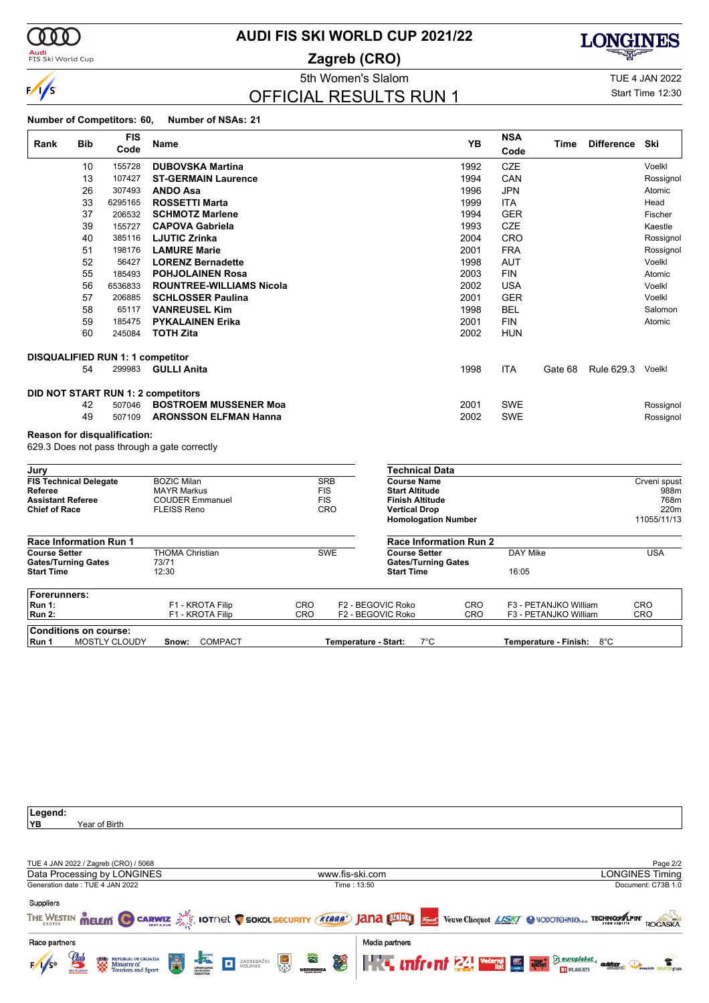

# **AUDI FIS SKI WORLD CUP 2021/22**

**Zagreb (CRO)**



### OFFICIAL RESULTS RUN 1

Start Time 12:30

| Rank                                             | <b>Bib</b> | <b>FIS</b>                       | Name                                         | YB                       | <b>NSA</b>                                     | Time       | <b>Difference</b> | Ski        |              |
|--------------------------------------------------|------------|----------------------------------|----------------------------------------------|--------------------------|------------------------------------------------|------------|-------------------|------------|--------------|
|                                                  |            | Code                             |                                              |                          |                                                | Code       |                   |            |              |
|                                                  | 10         | 155728                           | <b>DUBOVSKA Martina</b>                      |                          | 1992                                           | <b>CZE</b> |                   |            | Voelkl       |
|                                                  | 13         | 107427                           | <b>ST-GERMAIN Laurence</b>                   |                          | 1994                                           | CAN        |                   |            | Rossignol    |
|                                                  | 26         | 307493                           | <b>ANDO Asa</b>                              |                          | 1996                                           | <b>JPN</b> |                   |            | Atomic       |
|                                                  | 33         | 6295165                          | <b>ROSSETTI Marta</b>                        |                          | 1999                                           | <b>ITA</b> |                   |            | Head         |
|                                                  | 37         | 206532                           | <b>SCHMOTZ Marlene</b>                       |                          | 1994                                           | <b>GER</b> |                   |            | Fischer      |
|                                                  | 39         | 155727                           | <b>CAPOVA Gabriela</b>                       |                          | 1993                                           | <b>CZE</b> |                   |            | Kaestle      |
|                                                  | 40         | 385116                           | <b>LJUTIC Zrinka</b>                         |                          | 2004                                           | CRO        |                   |            | Rossignol    |
|                                                  | 51         | 198176                           | <b>LAMURE Marie</b>                          |                          | 2001                                           | <b>FRA</b> |                   |            | Rossignol    |
|                                                  | 52         | 56427                            | <b>LORENZ Bernadette</b>                     |                          | 1998                                           | <b>AUT</b> |                   |            | Voelkl       |
|                                                  | 55         | 185493                           | <b>POHJOLAINEN Rosa</b>                      |                          | 2003                                           | <b>FIN</b> |                   |            | Atomic       |
|                                                  | 56         | 6536833                          | <b>ROUNTREE-WILLIAMS Nicola</b>              |                          | 2002                                           | <b>USA</b> |                   |            | Voelkl       |
|                                                  | 57         | 206885                           | <b>SCHLOSSER Paulina</b>                     |                          | 2001                                           | <b>GER</b> |                   |            | Voelkl       |
|                                                  | 58         | 65117                            | <b>VANREUSEL Kim</b>                         |                          | 1998                                           | <b>BEL</b> |                   |            | Salomon      |
|                                                  | 59         | 185475                           | <b>PYKALAINEN Erika</b>                      |                          | 2001                                           | <b>FIN</b> |                   |            | Atomic       |
|                                                  | 60         | 245084                           | <b>TOTH Zita</b>                             |                          | 2002                                           | <b>HUN</b> |                   |            |              |
|                                                  |            | DISQUALIFIED RUN 1: 1 competitor |                                              |                          |                                                |            |                   |            |              |
|                                                  | 54         | 299983                           | <b>GULLI Anita</b>                           |                          | 1998                                           | <b>ITA</b> | Gate 68           | Rule 629.3 | Voelkl       |
|                                                  |            |                                  | DID NOT START RUN 1: 2 competitors           |                          |                                                |            |                   |            |              |
|                                                  | 42         | 507046                           | <b>BOSTROEM MUSSENER Moa</b>                 |                          | 2001                                           | <b>SWE</b> |                   |            | Rossignol    |
|                                                  | 49         | 507109                           | <b>ARONSSON ELFMAN Hanna</b>                 |                          | 2002                                           | <b>SWE</b> |                   |            | Rossignol    |
|                                                  |            | Reason for disqualification:     |                                              |                          |                                                |            |                   |            |              |
|                                                  |            |                                  | 629.3 Does not pass through a gate correctly |                          |                                                |            |                   |            |              |
| Jury                                             |            |                                  |                                              |                          | <b>Technical Data</b>                          |            |                   |            |              |
| <b>FIS Technical Delegate</b>                    |            |                                  | <b>BOZIC Milan</b>                           | <b>SRB</b>               | <b>Course Name</b>                             |            |                   |            | Crveni spust |
| Referee                                          |            |                                  | <b>MAYR Markus</b>                           | <b>FIS</b>               | <b>Start Altitude</b>                          |            |                   |            | 988m         |
| <b>Assistant Referee</b><br><b>Chief of Race</b> |            |                                  | <b>COUDER Emmanuel</b><br><b>FLEISS Reno</b> | <b>FIS</b><br><b>CRO</b> | <b>Finish Altitude</b><br><b>Vertical Drop</b> |            |                   |            | 768m<br>220m |
|                                                  |            |                                  |                                              |                          | <b>Homologation Number</b>                     |            |                   |            | 11055/11/13  |
| Race Information Run 1                           |            |                                  |                                              |                          | <b>Race Information Run 2</b>                  |            |                   |            |              |

|                            | Race information Run 1 |                  |                      | Race information Run 2     |     |                           |     |  |  |  |  |
|----------------------------|------------------------|------------------|----------------------|----------------------------|-----|---------------------------|-----|--|--|--|--|
| <b>Course Setter</b>       |                        | THOMA Christian  | <b>SWE</b>           | <b>Course Setter</b>       |     | DAY Mike                  | USA |  |  |  |  |
| <b>Gates/Turning Gates</b> |                        | 73/71            |                      | <b>Gates/Turning Gates</b> |     |                           |     |  |  |  |  |
| <b>Start Time</b>          |                        | 12:30            |                      | <b>Start Time</b>          |     | 16:05                     |     |  |  |  |  |
| Forerunners:               |                        |                  |                      |                            |     |                           |     |  |  |  |  |
| Run 1:                     |                        | F1 - KROTA Filip | CRO                  | F2 - BEGOVIC Roko          | CRO | F3 - PETANJKO William     | CRO |  |  |  |  |
| Run 2:                     |                        | F1 - KROTA Filip | CRO                  | F2 - BEGOVIC Roko          | CRO | F3 - PETANJKO William     | CRO |  |  |  |  |
|                            | Conditions on course:  |                  |                      |                            |     |                           |     |  |  |  |  |
| Run 1                      | MOSTLY CLOUDY          | COMPACT<br>Snow: | Temperature - Start: | 7°C                        |     | Temperature - Finish: 8°C |     |  |  |  |  |

| Legend:                                                                        |                                                                                                                                               |
|--------------------------------------------------------------------------------|-----------------------------------------------------------------------------------------------------------------------------------------------|
| ∣YB<br>Year of Birth                                                           |                                                                                                                                               |
|                                                                                |                                                                                                                                               |
|                                                                                |                                                                                                                                               |
|                                                                                |                                                                                                                                               |
| TUE 4 JAN 2022 / Zagreb (CRO) / 5068                                           | Page 2/2                                                                                                                                      |
| Data Processing by LONGINES                                                    | www.fis-ski.com<br>LONGINES Timing                                                                                                            |
| Generation date: TUE 4 JAN 2022                                                | Document: C73B 1.0<br>Time: 13:50                                                                                                             |
|                                                                                |                                                                                                                                               |
| <b>Suppliers</b>                                                               |                                                                                                                                               |
|                                                                                | THE WESTIN MELEM C CARWIZ AND IOTINE C SOKOL SECURITY (KLARA) JANA DIDELT VERVE Cliequot LASKY C VODOTCHNIKN OUT TECHNOMISM<br><b>ROGASKA</b> |
| Race partners                                                                  | Media partners                                                                                                                                |
| <b>FACT DE ZAGREBAČKI (2)</b> MENTERIKA<br>圍<br><b>ESS</b> REPUBLIC OF CROATIA | <b>The Infrant 24 Vecessi Strumphone Constitution Constitution Constitution Constitution Constitution Constitution</b>                        |

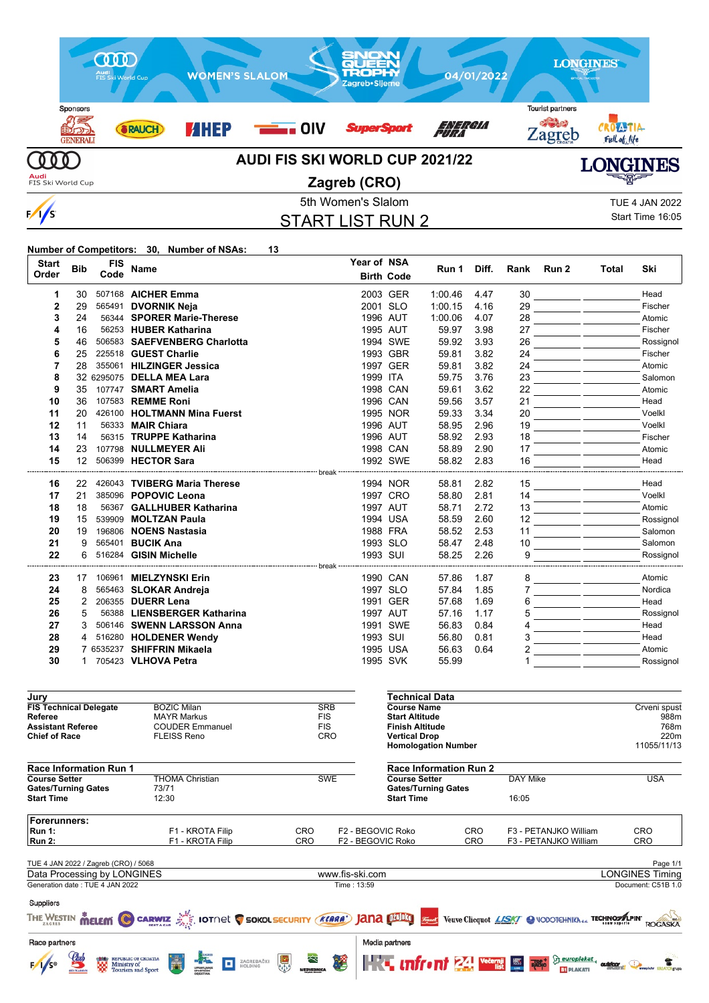

START LIST RUN 2

Start Time 16:05

#### **Number of Competitors: 30, Number of NSAs: 13**

Gates/Turning Gates 73/71<br>Start Time 12:30

**Start Time** 

| <b>Start</b><br>Order               | <b>Bib</b>      | <b>FIS</b><br>Code | <b>Name</b>                                  |                          |          | Year of NSA<br><b>Birth Code</b>                | Run 1                         | Diff. | Rank     | Run 2 | Total | Ski          |
|-------------------------------------|-----------------|--------------------|----------------------------------------------|--------------------------|----------|-------------------------------------------------|-------------------------------|-------|----------|-------|-------|--------------|
| 1                                   | 30              |                    | 507168 AICHER Emma                           |                          |          | 2003 GER                                        | 1:00.46                       | 4.47  | 30       |       |       | Head         |
| $\mathbf{2}$                        | 29              |                    | 565491 DVORNIK Neja                          |                          |          | 2001 SLO                                        | 1:00.15                       | 4.16  | 29       |       |       | Fischer      |
| 3                                   | 24              |                    | 56344 SPORER Marie-Therese                   |                          |          | 1996 AUT                                        | 1:00.06                       | 4.07  | 28       |       |       | Atomic       |
| 4                                   | 16              |                    | 56253 HUBER Katharina                        |                          |          | 1995 AUT                                        | 59.97                         | 3.98  | 27       |       |       | Fischer      |
| 5                                   | 46              |                    | 506583 SAEFVENBERG Charlotta                 |                          |          | 1994 SWE                                        | 59.92                         | 3.93  | 26       |       |       | Rossignol    |
| 6                                   | 25              |                    | 225518 GUEST Charlie                         |                          |          | 1993 GBR                                        | 59.81                         | 3.82  | 24       |       |       | Fischer      |
| $\overline{7}$                      | 28              |                    | 355061 HILZINGER Jessica                     |                          |          | 1997 GER                                        | 59.81                         | 3.82  | 24       |       |       | Atomic       |
| 8                                   |                 |                    | 32 6295075 DELLA MEA Lara                    |                          | 1999 ITA |                                                 | 59.75                         | 3.76  | 23       |       |       | Salomon      |
| 9                                   | 35              |                    | 107747 SMART Amelia                          |                          |          | 1998 CAN                                        | 59.61                         | 3.62  | 22       |       |       | Atomic       |
| 10                                  | 36              |                    | 107583 REMME Roni                            |                          |          | 1996 CAN                                        | 59.56                         | 3.57  | 21       |       |       | Head         |
| 11                                  | 20              |                    | 426100 HOLTMANN Mina Fuerst                  |                          |          | 1995 NOR                                        | 59.33                         | 3.34  | 20       |       |       | Voelkl       |
| 12                                  | 11              |                    | 56333 <b>MAIR Chiara</b>                     |                          |          | 1996 AUT                                        | 58.95                         | 2.96  | 19       |       |       | Voelkl       |
| 13                                  | 14              |                    | 56315 TRUPPE Katharina                       |                          |          | 1996 AUT                                        | 58.92                         | 2.93  | 18       |       |       | Fischer      |
| 14                                  | 23              |                    | 107798 NULLMEYER Ali                         |                          |          | 1998 CAN                                        | 58.89                         | 2.90  | 17       |       |       | Atomic       |
| 15                                  | 12 <sup>2</sup> |                    | 506399 HECTOR Sara                           |                          |          | 1992 SWE                                        | 58.82                         | 2.83  | 16       |       |       | Head         |
| 16                                  | 22              |                    | 426043 TVIBERG Maria Therese                 |                          |          | 1994 NOR                                        | 58.81                         | 2.82  | 15       |       |       | Head         |
| 17                                  | 21              |                    | 385096 POPOVIC Leona                         |                          |          | 1997 CRO                                        | 58.80                         | 2.81  | 14       |       |       | Voelkl       |
| 18                                  | 18              |                    | 56367 GALLHUBER Katharina                    |                          |          | 1997 AUT                                        | 58.71                         | 2.72  | 13       |       |       | Atomic       |
| 19                                  | 15              |                    | 539909 MOLTZAN Paula                         |                          |          | 1994 USA                                        | 58.59                         | 2.60  | 12       |       |       | Rossignol    |
| 20                                  | 19              |                    | 196806 NOENS Nastasia                        |                          |          | 1988 FRA                                        | 58.52                         | 2.53  | 11       |       |       | Salomon      |
| 21                                  | 9               | 565401             | <b>BUCIK Ana</b>                             |                          |          | 1993 SLO                                        | 58.47                         | 2.48  | 10       |       |       | Salomon      |
| 22                                  | 6               |                    | 516284 GISIN Michelle                        |                          | 1993 SUI |                                                 | 58.25                         | 2.26  | 9        |       |       | Rossignol    |
| 23                                  | 17              |                    | 106961 MIELZYNSKI Erin                       |                          |          | 1990 CAN                                        | 57.86                         | 1.87  | 8        |       |       | Atomic       |
| 24                                  | 8               |                    | 565463 SLOKAR Andreja                        |                          |          | 1997 SLO                                        | 57.84                         | 1.85  | 7        |       |       | Nordica      |
| 25                                  | 2               |                    | 206355 DUERR Lena                            |                          |          | 1991 GER                                        | 57.68                         | 1.69  | 6        |       |       | Head         |
| 26                                  | 5               |                    | 56388 LIENSBERGER Katharina                  |                          |          | 1997 AUT                                        | 57.16                         | 1.17  | 5        |       |       | Rossignol    |
| 27                                  | 3               |                    | 506146 SWENN LARSSON Anna                    |                          |          | 1991 SWE                                        | 56.83                         | 0.84  | 4        |       |       | Head         |
| 28                                  | 4               |                    | 516280 HOLDENER Wendy                        |                          | 1993 SUI |                                                 | 56.80                         | 0.81  | 3        |       |       | Head         |
| 29                                  |                 |                    | 7 6535237 SHIFFRIN Mikaela                   |                          |          | 1995 USA                                        | 56.63                         | 0.64  | 2        |       |       | Atomic       |
| 30                                  |                 |                    | 1 705423 VLHOVA Petra                        |                          |          | 1995 SVK                                        | 55.99                         |       |          |       |       | Rossignol    |
| Jury                                |                 |                    |                                              |                          |          |                                                 | <b>Technical Data</b>         |       |          |       |       |              |
| <b>FIS Technical Delegate</b>       |                 |                    | <b>BOZIC Milan</b>                           | <b>SRB</b>               |          | <b>Course Name</b>                              |                               |       |          |       |       | Crveni spust |
| Referee<br><b>Assistant Referee</b> |                 |                    | <b>MAYR Markus</b><br><b>COUDER Emmanuel</b> | <b>FIS</b><br><b>FIS</b> |          | <b>Start Altitude</b><br><b>Finish Altitude</b> |                               |       |          |       |       | 988m<br>768m |
| <b>Chief of Race</b>                |                 |                    | <b>FLEISS Reno</b>                           | CRO                      |          | <b>Vertical Drop</b>                            |                               |       |          |       |       | 220m         |
|                                     |                 |                    |                                              |                          |          |                                                 | <b>Homologation Number</b>    |       |          |       |       | 11055/11/13  |
| Race Information Run 1              |                 |                    |                                              |                          |          |                                                 | <b>Race Information Run 2</b> |       |          |       |       |              |
| <b>Course Setter</b>                |                 |                    | <b>THOMA Christian</b>                       | <b>SWE</b>               |          | <b>Course Setter</b>                            |                               |       | DAY Mike |       |       | <b>USA</b>   |

**Forerunners:** - FI - KROTA Filip CRO F2 - BEGOVIC Roko CRO F3 - PETANJKO William CRO<br>Run 1: F1 - KROTA Filip CRO F2 - BEGOVIC Roko CRO F3 - PETANJKO William CRO **F3 - PETANJKO William** TUE 4 JAN 2022 / Zagreb (CRO) / 5068 Page 1/1<br>
Data Processing by LONGINES **Page 1/1**<br>
Data Processing by LONGINES Timing Data Processing by LONGINES www.fis-ski.com Generation date : TUE 4 JAN 2022 Time : 13:59 Document: C51B 1.0 Suppliers THE WESTIN **MELEM CO CARWIZ AND INCORPORT SOKOLSECURITY (KARA)** JANA DINBIT THE Veuve Clicquot LISKY @ VODOTCHNIKNda TECHNOMAPINT ROGASKA Race partners Media partners  $\sum_{i=1}^{\infty} \frac{eurobakat}{\text{subblock}}$ REPUBLIC OF CROATIA<br>Ministry of<br>Tourism and Sport **HKT unfront 24 Vecer 国**  $\sqrt{s}$ ZAGREBAČKI t o **BT** PLAKATI

**Gates/Turning Gates**

**Start Time** 16:05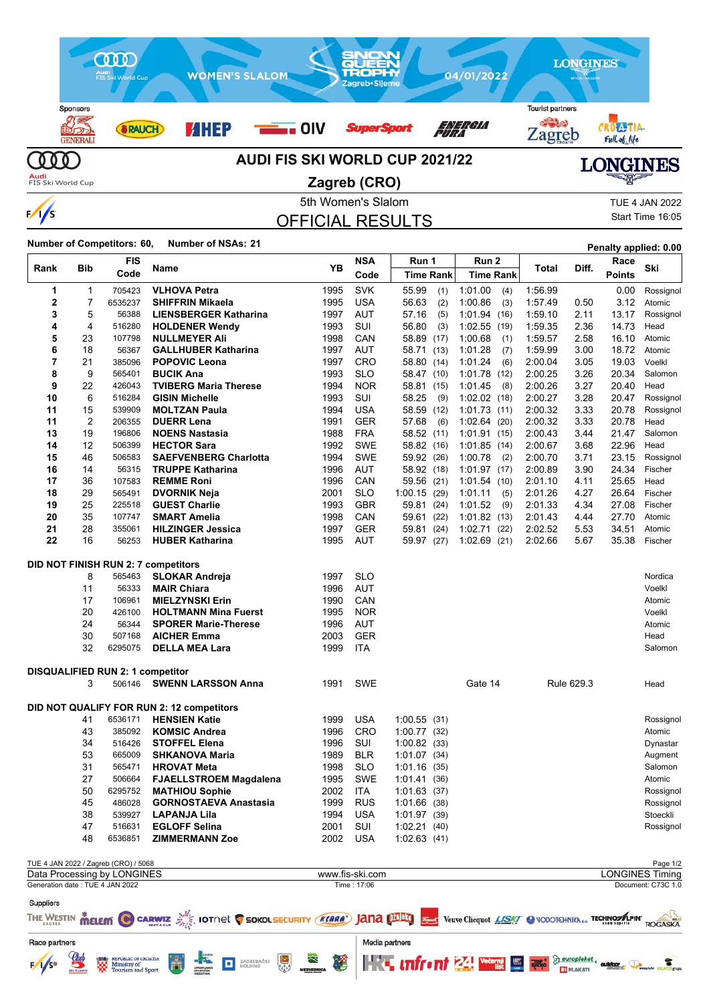

5th Women's Slalom TUE 4 JAN 2022 OFFICIAL RESULTS

Start Time 16:05

### **Number of Competitors: 60, Number of NSAs: <sup>21</sup> Penalty applied: 0.00**

 $\frac{1}{s}$ 

|                                 |            | FIS                                                                 |                                                                                                        | YB   | <b>NSA</b>      | Run 1            | Run 2            |         | Diff.      | Race          | Ski                                |
|---------------------------------|------------|---------------------------------------------------------------------|--------------------------------------------------------------------------------------------------------|------|-----------------|------------------|------------------|---------|------------|---------------|------------------------------------|
| Rank                            | <b>Bib</b> | Code                                                                | Name                                                                                                   |      | Code            | <b>Time Rank</b> | <b>Time Rank</b> | Total   |            | <b>Points</b> |                                    |
| 1                               | 1          | 705423                                                              | <b>VLHOVA Petra</b>                                                                                    | 1995 | <b>SVK</b>      | 55.99<br>(1)     | 1:01.00<br>(4)   | 1:56.99 |            | 0.00          | Rossignol                          |
| $\mathbf{2}$                    | 7          | 6535237                                                             | <b>SHIFFRIN Mikaela</b>                                                                                | 1995 | <b>USA</b>      | 56.63<br>(2)     | 1:00.86<br>(3)   | 1:57.49 | 0.50       | 3.12          | Atomic                             |
| 3                               | 5          | 56388                                                               | <b>LIENSBERGER Katharina</b>                                                                           | 1997 | <b>AUT</b>      | 57.16<br>(5)     | 1:01.94(16)      | 1:59.10 | 2.11       | 13.17         | Rossignol                          |
| 4                               | 4          | 516280                                                              | <b>HOLDENER Wendy</b>                                                                                  | 1993 | SUI             | 56.80<br>(3)     | 1:02.55<br>(19)  | 1:59.35 | 2.36       | 14.73         | Head                               |
| 5                               | 23         | 107798                                                              | <b>NULLMEYER Ali</b>                                                                                   | 1998 | CAN             | 58.89 (17)       | 1:00.68<br>(1)   | 1:59.57 | 2.58       | 16.10         | Atomic                             |
| 6                               | 18         | 56367                                                               | <b>GALLHUBER Katharina</b>                                                                             | 1997 | <b>AUT</b>      | 58.71 (13)       | 1:01.28<br>(7)   | 1:59.99 | 3.00       | 18.72         | Atomic                             |
| 7                               | 21         | 385096                                                              | <b>POPOVIC Leona</b>                                                                                   | 1997 | CRO             | 58.80 (14)       | 1:01.24<br>(6)   | 2:00.04 | 3.05       | 19.03         | Voelkl                             |
| 8                               | 9          | 565401                                                              | <b>BUCIK Ana</b>                                                                                       | 1993 | <b>SLO</b>      | 58.47 (10)       | 1:01.78<br>(12)  | 2:00.25 | 3.26       | 20.34         | Salomon                            |
| 9                               | 22         | 426043                                                              | <b>TVIBERG Maria Therese</b>                                                                           | 1994 | <b>NOR</b>      | 58.81 (15)       | 1:01.45<br>(8)   | 2:00.26 | 3.27       | 20.40         | Head                               |
| 10                              | 6          | 516284                                                              | <b>GISIN Michelle</b>                                                                                  | 1993 | SUI             | 58.25<br>(9)     | $1:02.02$ (18)   | 2:00.27 | 3.28       | 20.47         | Rossignol                          |
| 11                              | 15         | 539909                                                              | <b>MOLTZAN Paula</b>                                                                                   | 1994 | <b>USA</b>      | 58.59 (12)       | 1:01.73(11)      | 2:00.32 | 3.33       | 20.78         | Rossignol                          |
| 11                              | 2          | 206355                                                              | <b>DUERR Lena</b>                                                                                      | 1991 | <b>GER</b>      | 57.68<br>(6)     | $1:02.64$ (20)   | 2:00.32 | 3.33       | 20.78         | Head                               |
| 13                              | 19         | 196806                                                              | <b>NOENS Nastasia</b>                                                                                  | 1988 | <b>FRA</b>      | 58.52 (11)       | 1:01.91(15)      | 2:00.43 | 3.44       | 21.47         | Salomon                            |
| 14                              | 12         | 506399                                                              | <b>HECTOR Sara</b>                                                                                     | 1992 | <b>SWE</b>      | 58.82 (16)       | 1:01.85(14)      | 2:00.67 | 3.68       | 22.96         | Head                               |
| 15                              | 46         | 506583                                                              | <b>SAEFVENBERG Charlotta</b>                                                                           | 1994 | SWE             | 59.92 (26)       | 1:00.78<br>(2)   | 2:00.70 | 3.71       | 23.15         | Rossignol                          |
| 16                              | 14         | 56315                                                               | <b>TRUPPE Katharina</b>                                                                                | 1996 | AUT             | 58.92 (18)       | 1:01.97(17)      | 2:00.89 | 3.90       | 24.34         | Fischer                            |
| 17                              | 36         | 107583                                                              | <b>REMME Roni</b>                                                                                      | 1996 | CAN             | 59.56 (21)       | 1:01.54(10)      | 2:01.10 | 4.11       | 25.65         | Head                               |
| 18                              | 29         | 565491                                                              | <b>DVORNIK Neja</b>                                                                                    | 2001 | <b>SLO</b>      | 1:00.15(29)      | 1:01.11<br>(5)   | 2:01.26 | 4.27       | 26.64         | Fischer                            |
| 19                              | 25         | 225518                                                              | <b>GUEST Charlie</b>                                                                                   | 1993 | <b>GBR</b>      | 59.81 (24)       | 1:01.52<br>(9)   | 2:01.33 | 4.34       | 27.08         | Fischer                            |
| 20                              | 35         | 107747                                                              | <b>SMART Amelia</b>                                                                                    | 1998 | CAN             | 59.61 (22)       | 1:01.82(13)      | 2:01.43 | 4.44       | 27.70         | Atomic                             |
| 21                              | 28         | 355061                                                              | <b>HILZINGER Jessica</b>                                                                               | 1997 | <b>GER</b>      | 59.81 (24)       | 1:02.71(22)      | 2:02.52 | 5.53       | 34.51         | Atomic                             |
| 22                              | 16         | 56253                                                               | <b>HUBER Katharina</b>                                                                                 | 1995 | AUT             | 59.97 (27)       | 1:02.69<br>(21)  | 2:02.66 | 5.67       | 35.38         | Fischer                            |
|                                 |            |                                                                     |                                                                                                        |      |                 |                  |                  |         |            |               |                                    |
|                                 |            |                                                                     | DID NOT FINISH RUN 2: 7 competitors                                                                    |      |                 |                  |                  |         |            |               |                                    |
|                                 | 8          | 565463                                                              | <b>SLOKAR Andreja</b>                                                                                  | 1997 | <b>SLO</b>      |                  |                  |         |            |               | Nordica                            |
|                                 | 11         | 56333                                                               | <b>MAIR Chiara</b>                                                                                     | 1996 | AUT             |                  |                  |         |            |               | Voelkl                             |
|                                 | 17         | 106961                                                              | <b>MIELZYNSKI Erin</b>                                                                                 | 1990 | CAN             |                  |                  |         |            |               | Atomic                             |
|                                 | 20         | 426100                                                              | <b>HOLTMANN Mina Fuerst</b>                                                                            | 1995 | <b>NOR</b>      |                  |                  |         |            |               | Voelkl                             |
|                                 | 24         | 56344                                                               | <b>SPORER Marie-Therese</b>                                                                            | 1996 | AUT             |                  |                  |         |            |               | Atomic                             |
|                                 | 30         | 507168                                                              | <b>AICHER Emma</b>                                                                                     | 2003 | <b>GER</b>      |                  |                  |         |            |               | Head                               |
|                                 | 32         | 6295075                                                             | <b>DELLA MEA Lara</b>                                                                                  | 1999 | ITA             |                  |                  |         |            |               | Salomon                            |
|                                 |            | <b>DISQUALIFIED RUN 2: 1 competitor</b>                             |                                                                                                        |      |                 |                  |                  |         |            |               |                                    |
|                                 | 3          | 506146                                                              | <b>SWENN LARSSON Anna</b>                                                                              | 1991 | <b>SWE</b>      |                  | Gate 14          |         | Rule 629.3 |               | Head                               |
|                                 |            |                                                                     |                                                                                                        |      |                 |                  |                  |         |            |               |                                    |
|                                 |            |                                                                     | DID NOT QUALIFY FOR RUN 2: 12 competitors                                                              |      |                 |                  |                  |         |            |               |                                    |
|                                 | 41         | 6536171                                                             | <b>HENSIEN Katie</b>                                                                                   | 1999 | <b>USA</b>      | 1:00.55(31)      |                  |         |            |               | Rossignol                          |
|                                 | 43         | 385092                                                              | <b>KOMSIC Andrea</b>                                                                                   | 1996 | <b>CRO</b>      | 1:00.77(32)      |                  |         |            |               | Atomic                             |
|                                 | 34         | 516426                                                              | <b>STOFFEL Elena</b>                                                                                   | 1996 | SUI             | 1:00.82(33)      |                  |         |            |               | Dynastar                           |
|                                 | 53         | 665009                                                              | <b>SHKANOVA Maria</b>                                                                                  | 1989 | <b>BLR</b>      | 1:01.07(34)      |                  |         |            |               | Augment                            |
|                                 | 31         | 565471                                                              | <b>HROVAT Meta</b>                                                                                     | 1998 | <b>SLO</b>      | 1:01.16(35)      |                  |         |            |               | Salomon                            |
|                                 | 27         | 506664                                                              | <b>FJAELLSTROEM Magdalena</b>                                                                          | 1995 | <b>SWE</b>      | 1:01.41(36)      |                  |         |            |               | Atomic                             |
|                                 | 50         |                                                                     | 6295752 MATHIOU Sophie                                                                                 | 2002 | <b>ITA</b>      | 1:01.63(37)      |                  |         |            |               | Rossignol                          |
|                                 | 45         | 486028                                                              | <b>GORNOSTAEVA Anastasia</b>                                                                           | 1999 | <b>RUS</b>      | 1:01.66(38)      |                  |         |            |               | Rossignol                          |
|                                 | 38         | 539927                                                              | LAPANJA Lila                                                                                           | 1994 | <b>USA</b>      | 1:01.97 (39)     |                  |         |            |               | Stoeckli                           |
|                                 | 47         | 516631                                                              | <b>EGLOFF Selina</b>                                                                                   | 2001 | SUI             | 1:02.21(40)      |                  |         |            |               | Rossignol                          |
|                                 | 48         | 6536851                                                             | <b>ZIMMERMANN Zoe</b>                                                                                  | 2002 | <b>USA</b>      | 1:02.63(41)      |                  |         |            |               |                                    |
|                                 |            |                                                                     |                                                                                                        |      |                 |                  |                  |         |            |               |                                    |
|                                 |            | TUE 4 JAN 2022 / Zagreb (CRO) / 5068<br>Data Processing by LONGINES |                                                                                                        |      | www.fis-ski.com |                  |                  |         |            |               | Page 1/2<br><b>LONGINES Timing</b> |
| Generation date: TUE 4 JAN 2022 |            |                                                                     |                                                                                                        |      | Time: 17:06     |                  |                  |         |            |               | Document: C73C 1.0                 |
| <b>Suppliers</b>                |            |                                                                     |                                                                                                        |      |                 |                  |                  |         |            |               |                                    |
|                                 |            |                                                                     |                                                                                                        |      |                 |                  |                  |         |            |               |                                    |
| THE WESTIN MELEM C              |            |                                                                     | CARWIZ SIGNOL SOKOLSECURITY (KARA) JAHA UZUBKO SEMAK Veuve Clicquot LASKY O VODOTEHNIKA & TECHNOMAPINY |      |                 |                  |                  |         |            |               | <b>ROGASKA</b>                     |

Media partners

**The uniformity of the CALL Meter The Computer Computer Computer Computer Computer Computer Computer Computer Computer Computer Computer Computer Computer Computer Computer Computer Computer Computer Computer Computer Comp** 

**BT** PLAKATI

 $\bullet$ 

Race partners

 $\frac{1}{5}$ 

REPUBLIC OF CROATIA<br>Ministry of<br>Tourism and Sport

H

**E** ZAGREBAČKI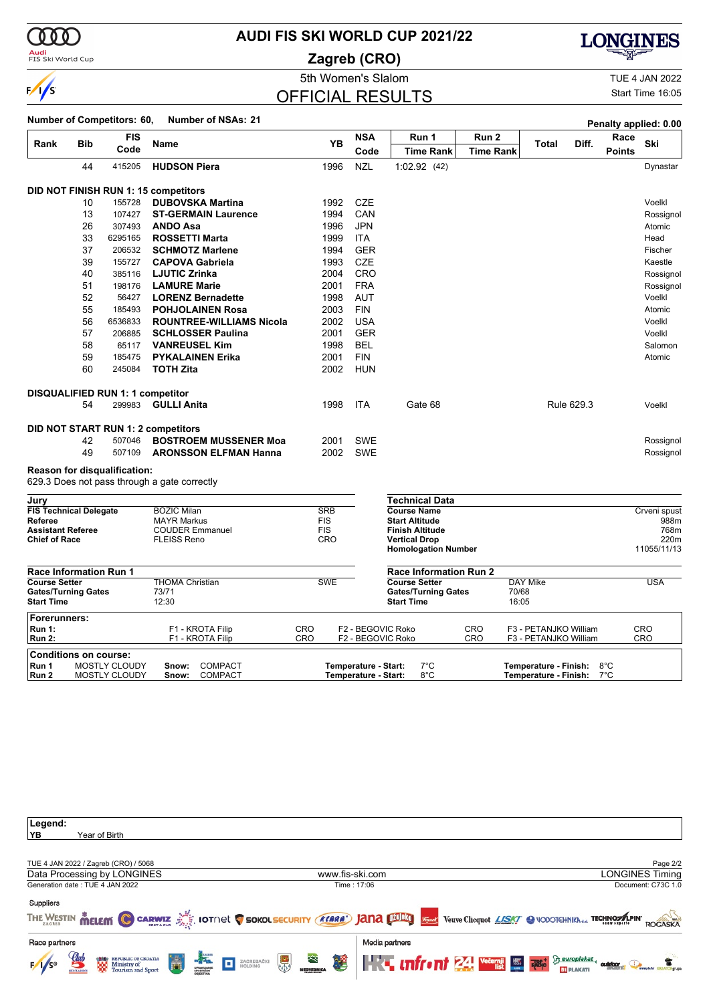

### <mark>Audi</mark><br>FIS Ski World Cup

# **AUDI FIS SKI WORLD CUP 2021/22**

**Zagreb (CRO)**



5th Women's Slalom TUE 4 JAN 2022

Start Time 16:05

# OFFICIAL RESULTS

|                                                 |            |                                         | <b>Number of Competitors: 60,</b>                  |                          |                                              |                                                 |                  |                                                | Penalty applied: 0.00 |                      |
|-------------------------------------------------|------------|-----------------------------------------|----------------------------------------------------|--------------------------|----------------------------------------------|-------------------------------------------------|------------------|------------------------------------------------|-----------------------|----------------------|
| Rank                                            | <b>Bib</b> | <b>FIS</b>                              | Name                                               | <b>YB</b>                | <b>NSA</b>                                   | Run 1                                           | Run 2            | Diff.<br>Total                                 | Race                  | Ski                  |
|                                                 |            | Code                                    |                                                    |                          | Code                                         | <b>Time Rank</b>                                | <b>Time Rank</b> |                                                | <b>Points</b>         |                      |
|                                                 | 44         | 415205                                  | <b>HUDSON Piera</b>                                | 1996                     | <b>NZL</b>                                   | 1:02.92(42)                                     |                  |                                                |                       | Dynastar             |
|                                                 |            |                                         | DID NOT FINISH RUN 1: 15 competitors               |                          |                                              |                                                 |                  |                                                |                       |                      |
|                                                 | 10         | 155728                                  | <b>DUBOVSKA Martina</b>                            | 1992                     | <b>CZE</b>                                   |                                                 |                  |                                                |                       | Voelkl               |
|                                                 | 13         | 107427                                  | <b>ST-GERMAIN Laurence</b>                         | 1994                     | CAN                                          |                                                 |                  |                                                |                       | Rossignol            |
|                                                 | 26         | 307493                                  | <b>ANDO Asa</b>                                    | 1996                     | <b>JPN</b>                                   |                                                 |                  |                                                |                       | Atomic               |
|                                                 | 33         | 6295165                                 | <b>ROSSETTI Marta</b>                              | 1999                     | <b>ITA</b>                                   |                                                 |                  |                                                |                       | Head                 |
|                                                 | 37         | 206532                                  | <b>SCHMOTZ Marlene</b>                             | 1994                     | <b>GER</b>                                   |                                                 |                  |                                                |                       | Fischer              |
|                                                 | 39         | 155727                                  | <b>CAPOVA Gabriela</b>                             | 1993                     | <b>CZE</b>                                   |                                                 |                  |                                                |                       | Kaestle              |
|                                                 | 40         | 385116                                  | <b>LJUTIC Zrinka</b>                               | 2004                     | <b>CRO</b>                                   |                                                 |                  |                                                |                       | Rossignol            |
|                                                 | 51         | 198176                                  | <b>LAMURE Marie</b>                                | 2001                     | <b>FRA</b>                                   |                                                 |                  |                                                |                       | Rossignol            |
|                                                 | 52         | 56427                                   | <b>LORENZ Bernadette</b>                           | 1998                     | <b>AUT</b>                                   |                                                 |                  |                                                |                       | Voelkl               |
|                                                 | 55         | 185493                                  | <b>POHJOLAINEN Rosa</b>                            | 2003                     | <b>FIN</b>                                   |                                                 |                  |                                                |                       | Atomic               |
|                                                 | 56         | 6536833                                 | <b>ROUNTREE-WILLIAMS Nicola</b>                    | 2002                     | <b>USA</b>                                   |                                                 |                  |                                                |                       | Voelkl               |
|                                                 | 57         | 206885                                  | <b>SCHLOSSER Paulina</b>                           | 2001                     | <b>GER</b>                                   |                                                 |                  |                                                |                       | Voelkl               |
|                                                 | 58         | 65117                                   | <b>VANREUSEL Kim</b>                               | 1998                     | <b>BEL</b>                                   |                                                 |                  |                                                |                       | Salomon              |
|                                                 | 59         | 185475                                  | <b>PYKALAINEN Erika</b>                            | 2001                     | <b>FIN</b>                                   |                                                 |                  |                                                |                       | Atomic               |
|                                                 | 60         | 245084                                  | <b>TOTH Zita</b>                                   | 2002                     | <b>HUN</b>                                   |                                                 |                  |                                                |                       |                      |
|                                                 |            | <b>DISQUALIFIED RUN 1: 1 competitor</b> |                                                    |                          |                                              |                                                 |                  |                                                |                       |                      |
|                                                 | 54         | 299983                                  | <b>GULLI Anita</b>                                 | 1998                     | <b>ITA</b>                                   | Gate 68                                         |                  | Rule 629.3                                     |                       | Voelkl               |
|                                                 |            |                                         | DID NOT START RUN 1: 2 competitors                 |                          |                                              |                                                 |                  |                                                |                       |                      |
|                                                 | 42         | 507046                                  | <b>BOSTROEM MUSSENER Moa</b>                       | 2001                     | <b>SWE</b>                                   |                                                 |                  |                                                |                       | Rossignol            |
|                                                 | 49         | 507109                                  | <b>ARONSSON ELFMAN Hanna</b>                       | 2002                     | <b>SWE</b>                                   |                                                 |                  |                                                |                       | Rossignol            |
|                                                 |            | <b>Reason for disqualification:</b>     |                                                    |                          |                                              |                                                 |                  |                                                |                       |                      |
|                                                 |            |                                         | 629.3 Does not pass through a gate correctly       |                          |                                              |                                                 |                  |                                                |                       |                      |
| Jury                                            |            |                                         |                                                    |                          |                                              | <b>Technical Data</b>                           |                  |                                                |                       |                      |
| <b>FIS Technical Delegate</b><br>Referee        |            |                                         | <b>BOZIC Milan</b><br><b>MAYR Markus</b>           | <b>SRB</b><br><b>FIS</b> |                                              | <b>Course Name</b><br><b>Start Altitude</b>     |                  |                                                |                       | Crveni spust<br>988m |
| <b>Assistant Referee</b>                        |            |                                         | <b>COUDER Emmanuel</b>                             | <b>FIS</b>               |                                              | <b>Finish Altitude</b>                          |                  |                                                |                       | 768m                 |
| <b>Chief of Race</b>                            |            |                                         | <b>FLEISS Reno</b>                                 | CRO                      |                                              | <b>Vertical Drop</b>                            |                  |                                                |                       | 220m                 |
|                                                 |            |                                         |                                                    |                          |                                              | <b>Homologation Number</b>                      |                  |                                                |                       | 11055/11/13          |
| <b>Race Information Run 1</b>                   |            |                                         |                                                    |                          |                                              | <b>Race Information Run 2</b>                   |                  |                                                |                       |                      |
| <b>Course Setter</b>                            |            |                                         | <b>THOMA Christian</b>                             | <b>SWE</b>               |                                              | <b>Course Setter</b>                            |                  | DAY Mike                                       |                       | <b>USA</b>           |
| <b>Gates/Turning Gates</b><br><b>Start Time</b> |            |                                         | 73/71<br>12:30                                     |                          |                                              | <b>Gates/Turning Gates</b><br><b>Start Time</b> |                  | 70/68<br>16:05                                 |                       |                      |
| Forerunners:                                    |            |                                         |                                                    |                          |                                              |                                                 |                  |                                                |                       |                      |
| <b>Run 1:</b><br><b>Run 2:</b>                  |            |                                         | F1 - KROTA Filip<br>F1 - KROTA Filip               | CRO<br><b>CRO</b>        |                                              | F2 - BEGOVIC Roko<br>F2 - BEGOVIC Roko          | CRO<br>CRO       | F3 - PETANJKO William<br>F3 - PETANJKO William |                       | CRO<br>CRO           |
| <b>Conditions on course:</b>                    |            |                                         |                                                    |                          |                                              |                                                 |                  |                                                |                       |                      |
| Run 1<br>Run 2                                  |            | <b>MOSTLY CLOUDY</b><br>MOSTLY CLOUDY   | <b>COMPACT</b><br>Snow:<br><b>COMPACT</b><br>Snow: |                          | Temperature - Start:<br>Temperature - Start: | $7^{\circ}$ C<br>8°C                            |                  | Temperature - Finish:<br>Temperature - Finish: | 8°C<br>$7^{\circ}$ C  |                      |

| Page 2/2                                                                                                                                          |
|---------------------------------------------------------------------------------------------------------------------------------------------------|
| www.fis-ski.com<br>LONGINES Timing                                                                                                                |
| Document: C73C 1.0<br>Time: 17:06                                                                                                                 |
|                                                                                                                                                   |
|                                                                                                                                                   |
| THE WESTIN MELEMI C CARWIZ AS IOTNEL C SOKOLSECURITY (KARA) JANA DIELO STARK Veuve Clicquot LISK/ @ VODOTCHNIKhda TECHNOSA.PINT<br><b>ROGASKA</b> |
|                                                                                                                                                   |
| Media partners                                                                                                                                    |
| 老<br><b>The uniform 24 Vecessi Law Reserve Construction Construction Construction Construction Construction Construction</b>                      |
|                                                                                                                                                   |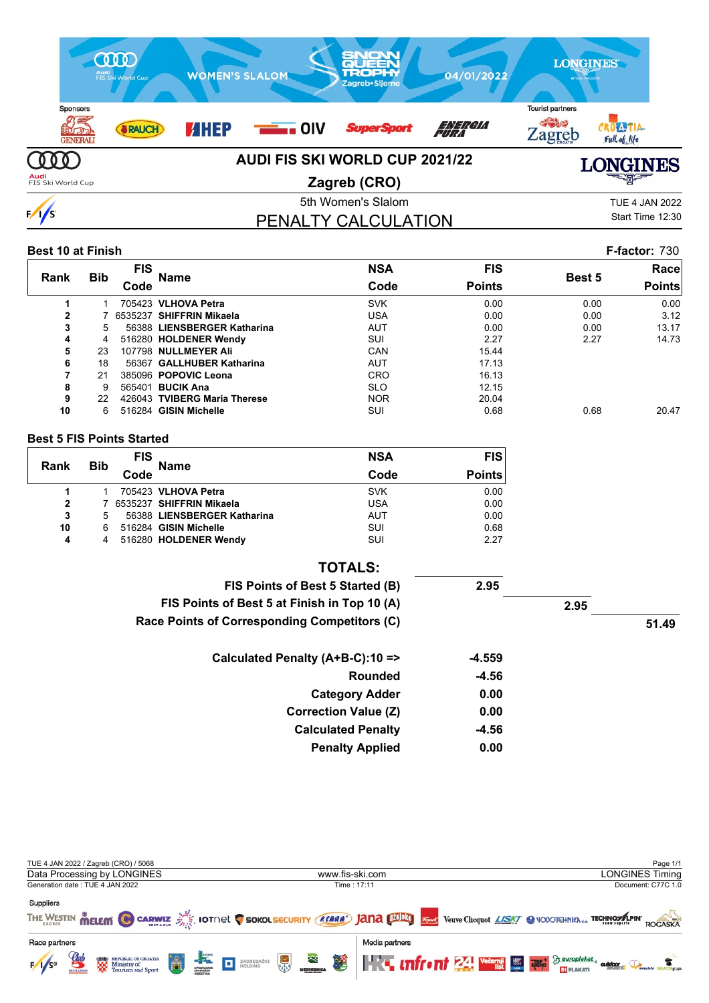

| <b>Best 10 at Finish</b> |            |            |                              |            |               |        | <b>F-factor: 730</b> |
|--------------------------|------------|------------|------------------------------|------------|---------------|--------|----------------------|
|                          |            | <b>FIS</b> |                              | <b>NSA</b> | <b>FIS</b>    |        | Race                 |
| <b>Rank</b>              | <b>Bib</b> | Code       | <b>Name</b>                  | Code       | <b>Points</b> | Best 5 | <b>Points</b>        |
|                          |            |            | 705423 VLHOVA Petra          | <b>SVK</b> | 0.00          | 0.00   | 0.00                 |
| $\mathbf{2}$             |            |            | 7 6535237 SHIFFRIN Mikaela   | USA        | 0.00          | 0.00   | 3.12                 |
| 3                        | 5          |            | 56388 LIENSBERGER Katharina  | <b>AUT</b> | 0.00          | 0.00   | 13.17                |
| 4                        | 4          |            | 516280 HOLDENER Wendy        | SUI        | 2.27          | 2.27   | 14.73                |
| 5                        | 23         |            | 107798 NULLMEYER Ali         | CAN        | 15.44         |        |                      |
| 6                        | 18         |            | 56367 GALLHUBER Katharina    | <b>AUT</b> | 17.13         |        |                      |
| 7                        | 21         |            | 385096 POPOVIC Leona         | <b>CRO</b> | 16.13         |        |                      |
| 8                        | 9          |            | 565401 <b>BUCIK Ana</b>      | <b>SLO</b> | 12.15         |        |                      |
| 9                        | 22         |            | 426043 TVIBERG Maria Therese | <b>NOR</b> | 20.04         |        |                      |
| 10                       | 6          |            | 516284 GISIN Michelle        | SUI        | 0.68          | 0.68   | 20.47                |

#### **Best 5 FIS Points Started**

| Rank         | <b>Bib</b> | <b>FIS</b> | <b>Name</b>                 | <b>NSA</b> | <b>FIS</b>    |
|--------------|------------|------------|-----------------------------|------------|---------------|
|              |            | Code       |                             | Code       | <b>Points</b> |
|              |            |            | 705423 VLHOVA Petra         | <b>SVK</b> | 0.00          |
| $\mathbf{2}$ |            |            | 6535237 SHIFFRIN Mikaela    | <b>USA</b> | 0.00          |
| 3            | 5          |            | 56388 LIENSBERGER Katharina | <b>AUT</b> | 0.00          |
| 10           | 6          |            | 516284 GISIN Michelle       | SUI        | 0.68          |
| 4            | 4          |            | 516280 HOLDENER Wendy       | SUI        | 2.27          |

| <b>TOTALS:</b>                               |         |      |       |
|----------------------------------------------|---------|------|-------|
| FIS Points of Best 5 Started (B)             | 2.95    |      |       |
| FIS Points of Best 5 at Finish in Top 10 (A) |         | 2.95 |       |
| Race Points of Corresponding Competitors (C) |         |      | 51.49 |
| Calculated Penalty (A+B-C):10 =>             | -4.559  |      |       |
| Rounded                                      | $-4.56$ |      |       |
| <b>Category Adder</b>                        | 0.00    |      |       |
| <b>Correction Value (Z)</b>                  | 0.00    |      |       |
| <b>Calculated Penalty</b>                    | -4.56   |      |       |
| <b>Penalty Applied</b>                       | 0.00    |      |       |

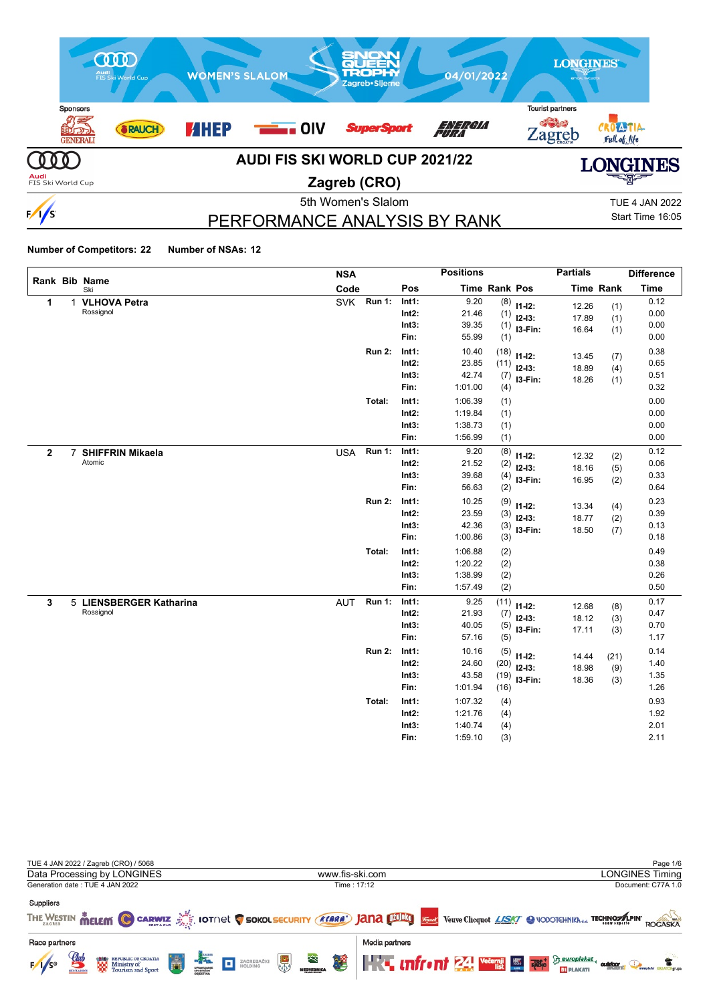

# PERFORMANCE ANALYSIS BY RANK

Start Time 16:05

|              |                         | <b>NSA</b>                  |                | <b>Positions</b>   |                      |                        | <b>Partials</b> |                  | <b>Difference</b> |
|--------------|-------------------------|-----------------------------|----------------|--------------------|----------------------|------------------------|-----------------|------------------|-------------------|
|              | Rank Bib Name<br>Ski    | Code                        | Pos            |                    | <b>Time Rank Pos</b> |                        |                 | <b>Time Rank</b> | <b>Time</b>       |
| 1            | 1 VLHOVA Petra          | <b>SVK</b><br><b>Run 1:</b> | Int1:          | 9.20               |                      | $(8)$ 11-12:           | 12.26           | (1)              | 0.12              |
|              | Rossignol               |                             | $Int2$ :       | 21.46              | (1)                  | $12-13:$               | 17.89           | (1)              | 0.00              |
|              |                         |                             | Int3:          | 39.35              | (1)                  | I3-Fin:                | 16.64           | (1)              | 0.00              |
|              |                         |                             | Fin:           | 55.99              | (1)                  |                        |                 |                  | 0.00              |
|              |                         | <b>Run 2:</b>               | Int1:          | 10.40              | (18)                 | $11 - 12$ :            | 13.45           | (7)              | 0.38              |
|              |                         |                             | $Int2$ :       | 23.85              | (11)                 | $12-13:$               | 18.89           | (4)              | 0.65              |
|              |                         |                             | Int3:          | 42.74              | (7)                  | I3-Fin:                | 18.26           | (1)              | 0.51              |
|              |                         |                             | Fin:           | 1:01.00            | (4)                  |                        |                 |                  | 0.32              |
|              |                         | Total:                      | Int1:          | 1:06.39            | (1)                  |                        |                 |                  | 0.00              |
|              |                         |                             | $Int2$ :       | 1:19.84            | (1)                  |                        |                 |                  | 0.00              |
|              |                         |                             | Int3:          | 1:38.73            | (1)                  |                        |                 |                  | 0.00              |
|              |                         |                             | Fin:           | 1:56.99            | (1)                  |                        |                 |                  | 0.00              |
| $\mathbf{2}$ | 7 SHIFFRIN Mikaela      | <b>Run 1:</b><br><b>USA</b> | Int1:          | 9.20               | (8)                  | $11 - 12$ :            | 12.32           | (2)              | 0.12              |
|              | Atomic                  |                             | Int2:          | 21.52              | (2)                  | $12 - 13:$             | 18.16           | (5)              | 0.06              |
|              |                         |                             | Int3:          | 39.68              | (4)                  | I3-Fin:                | 16.95           | (2)              | 0.33              |
|              |                         |                             | Fin:           | 56.63              | (2)                  |                        |                 |                  | 0.64              |
|              |                         | <b>Run 2:</b>               | Int1:          | 10.25              | (9)                  | $11 - 12$ :            | 13.34           | (4)              | 0.23              |
|              |                         |                             | Int2:          | 23.59              | (3)                  | $12 - 13$ :            | 18.77           | (2)              | 0.39              |
|              |                         |                             | Int3:<br>Fin:  | 42.36<br>1:00.86   | (3)                  | I3-Fin:                | 18.50           | (7)              | 0.13<br>0.18      |
|              |                         |                             |                |                    | (3)                  |                        |                 |                  |                   |
|              |                         | Total:                      | Int1:<br>Int2: | 1:06.88<br>1:20.22 | (2)                  |                        |                 |                  | 0.49<br>0.38      |
|              |                         |                             | Int3:          | 1:38.99            | (2)<br>(2)           |                        |                 |                  | 0.26              |
|              |                         |                             | Fin:           | 1:57.49            | (2)                  |                        |                 |                  | 0.50              |
| 3            | 5 LIENSBERGER Katharina | <b>Run 1:</b><br><b>AUT</b> | Int1:          | 9.25               | (11)                 |                        |                 |                  | 0.17              |
|              | Rossignol               |                             | Int2:          | 21.93              | (7)                  | $11 - 12$ :            | 12.68           | (8)              | 0.47              |
|              |                         |                             | Int3:          | 40.05              | (5)                  | $12 - 13:$             | 18.12           | (3)              | 0.70              |
|              |                         |                             | Fin:           | 57.16              | (5)                  | I3-Fin:                | 17.11           | (3)              | 1.17              |
|              |                         | <b>Run 2:</b>               | Int1:          | 10.16              | (5)                  |                        |                 |                  | 0.14              |
|              |                         |                             | Int2:          | 24.60              | (20)                 | $11 - 12$ :            | 14.44           | (21)             | 1.40              |
|              |                         |                             | Int3:          | 43.58              | (19)                 | $12 - 13$ :<br>I3-Fin: | 18.98           | (9)              | 1.35              |
|              |                         |                             | Fin:           | 1:01.94            | (16)                 |                        | 18.36           | (3)              | 1.26              |
|              |                         | Total:                      | Int1:          | 1:07.32            | (4)                  |                        |                 |                  | 0.93              |
|              |                         |                             | Int2:          | 1:21.76            | (4)                  |                        |                 |                  | 1.92              |
|              |                         |                             | Int3:          | 1:40.74            | (4)                  |                        |                 |                  | 2.01              |
|              |                         |                             | Fin:           | 1:59.10            | (3)                  |                        |                 |                  | 2.11              |

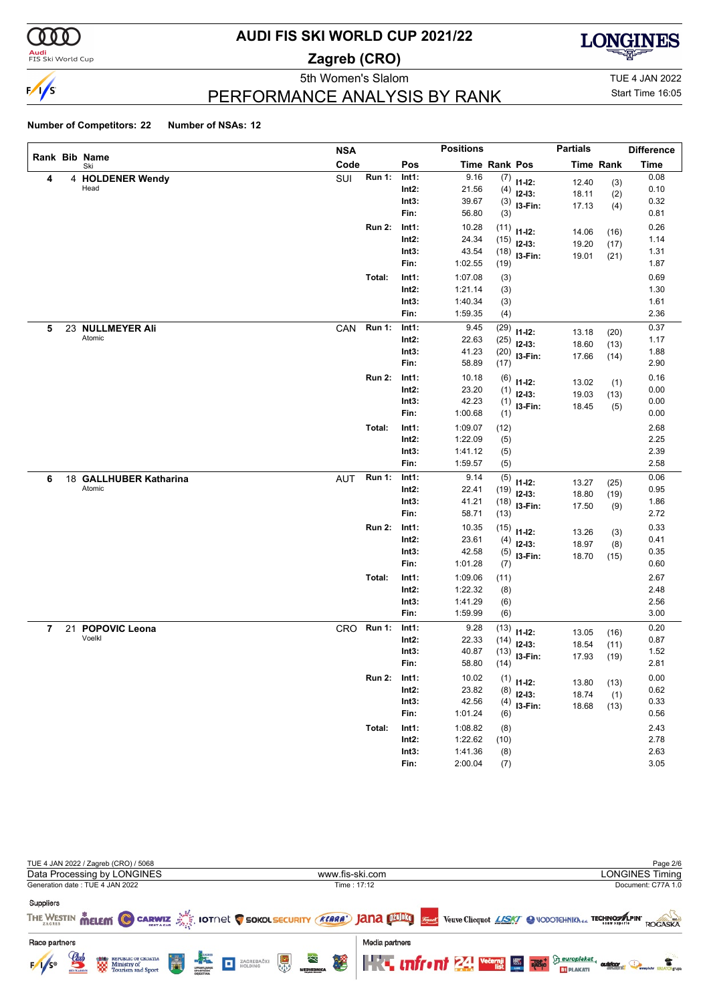

#### **Audi**<br>FIS Ski World Cup

## **AUDI FIS SKI WORLD CUP 2021/22**

**Zagreb (CRO)**



5th Women's Slalom TUE 4 JAN 2022

# Start Time 16:05

### PERFORMANCE ANALYSIS BY RANK

|                |    |                        | <b>NSA</b> |               |          | <b>Positions</b>     |      |                       | <b>Partials</b> |                  | <b>Difference</b> |
|----------------|----|------------------------|------------|---------------|----------|----------------------|------|-----------------------|-----------------|------------------|-------------------|
|                |    | Rank Bib Name<br>Ski   | Code       |               | Pos      | <b>Time Rank Pos</b> |      |                       |                 | <b>Time Rank</b> | <b>Time</b>       |
| 4              |    | 4 HOLDENER Wendy       | SUI        | <b>Run 1:</b> | Int1:    | 9.16                 | (7)  | $11 - 12$ :           | 12.40           | (3)              | 0.08              |
|                |    | Head                   |            |               | $Int2$ : | 21.56                | (4)  | $12-13:$              | 18.11           | (2)              | 0.10              |
|                |    |                        |            |               | Int3:    | 39.67                |      | $(3)$ 13-Fin:         | 17.13           | (4)              | 0.32              |
|                |    |                        |            |               | Fin:     | 56.80                | (3)  |                       |                 |                  | 0.81              |
|                |    |                        |            | <b>Run 2:</b> | Int1:    | 10.28                | (11) | $11-12:$              | 14.06           | (16)             | 0.26              |
|                |    |                        |            |               | $Int2$ : | 24.34                | (15) | $12 - 13$ :           | 19.20           | (17)             | 1.14              |
|                |    |                        |            |               | Int3:    | 43.54                | (18) | I3-Fin:               | 19.01           | (21)             | 1.31              |
|                |    |                        |            |               | Fin:     | 1:02.55              | (19) |                       |                 |                  | 1.87              |
|                |    |                        |            | Total:        | Int1:    | 1:07.08              | (3)  |                       |                 |                  | 0.69              |
|                |    |                        |            |               | $Int2$ : | 1:21.14              | (3)  |                       |                 |                  | 1.30              |
|                |    |                        |            |               | Int3:    | 1:40.34              | (3)  |                       |                 |                  | 1.61              |
|                |    |                        |            |               | Fin:     | 1:59.35              | (4)  |                       |                 |                  | 2.36              |
| 5              |    | 23 NULLMEYER Ali       | CAN        | <b>Run 1:</b> | Int1:    | 9.45                 | (29) | $11 - 12$ :           | 13.18           | (20)             | 0.37              |
|                |    | Atomic                 |            |               | $Int2$ : | 22.63                | (25) | $12-13:$              | 18.60           | (13)             | 1.17              |
|                |    |                        |            |               | Int3:    | 41.23                | (20) | I3-Fin:               | 17.66           | (14)             | 1.88              |
|                |    |                        |            |               | Fin:     | 58.89                | (17) |                       |                 |                  | 2.90              |
|                |    |                        |            | <b>Run 2:</b> | Int1:    | 10.18                | (6)  | $11 - 12$ :           | 13.02           | (1)              | 0.16              |
|                |    |                        |            |               | $Int2$ : | 23.20                | (1)  | $12-13:$              | 19.03           | (13)             | 0.00              |
|                |    |                        |            |               | Int3:    | 42.23                |      | $(1)$ 13-Fin:         | 18.45           | (5)              | 0.00              |
|                |    |                        |            |               | Fin:     | 1:00.68              | (1)  |                       |                 |                  | 0.00              |
|                |    |                        |            | Total:        | Int1:    | 1:09.07              | (12) |                       |                 |                  | 2.68              |
|                |    |                        |            |               | $Int2$ : | 1:22.09              | (5)  |                       |                 |                  | 2.25              |
|                |    |                        |            |               | Int3:    | 1:41.12              | (5)  |                       |                 |                  | 2.39              |
|                |    |                        |            |               | Fin:     | 1:59.57              | (5)  |                       |                 |                  | 2.58              |
| 6              |    | 18 GALLHUBER Katharina | AUT        | Run 1:        | Int1:    | 9.14                 | (5)  | $11 - 12$ :           | 13.27           | (25)             | 0.06              |
|                |    | Atomic                 |            |               | $Int2$ : | 22.41                | (19) | $12-13:$              | 18.80           | (19)             | 0.95              |
|                |    |                        |            |               | Int3:    | 41.21                | (18) | I3-Fin:               | 17.50           | (9)              | 1.86              |
|                |    |                        |            |               | Fin:     | 58.71                | (13) |                       |                 |                  | 2.72              |
|                |    |                        |            | <b>Run 2:</b> | Int1:    | 10.35                | (15) | $11-12:$              | 13.26           | (3)              | 0.33              |
|                |    |                        |            |               | $Int2$ : | 23.61                | (4)  | $12-13:$              | 18.97           | (8)              | 0.41              |
|                |    |                        |            |               | Int3:    | 42.58                | (5)  | I3-Fin:               | 18.70           | (15)             | 0.35              |
|                |    |                        |            |               | Fin:     | 1:01.28              | (7)  |                       |                 |                  | 0.60              |
|                |    |                        |            | Total:        | Int1:    | 1:09.06              | (11) |                       |                 |                  | 2.67              |
|                |    |                        |            |               | $Int2$ : | 1:22.32              | (8)  |                       |                 |                  | 2.48              |
|                |    |                        |            |               | Int3:    | 1:41.29              | (6)  |                       |                 |                  | 2.56              |
|                |    |                        |            |               | Fin:     | 1:59.99              | (6)  |                       |                 |                  | 3.00              |
| $\overline{7}$ | 21 | <b>POPOVIC Leona</b>   |            | CRO Run 1:    | Int1:    | 9.28                 | (13) | $11 - 12$ :           | 13.05           | (16)             | 0.20              |
|                |    | Voelkl                 |            |               | Int2:    | 22.33                | (14) | $12 - 13$ :           | 18.54           | (11)             | 0.87              |
|                |    |                        |            |               | Int3:    | 40.87                | (13) | I3-Fin:               | 17.93           | (19)             | 1.52              |
|                |    |                        |            |               | Fin:     | 58.80                | (14) |                       |                 |                  | 2.81              |
|                |    |                        |            | <b>Run 2:</b> | Int1:    | 10.02                |      | $\binom{1}{1}$ 11-12: | 13.80           |                  | 0.00              |
|                |    |                        |            |               | $Int2$ : | 23.82                | (8)  | $12-13:$              | 18.74           | (13)             | 0.62              |
|                |    |                        |            |               | Int3:    | 42.56                | (4)  | I3-Fin:               | 18.68           | (1)              | 0.33              |
|                |    |                        |            |               | Fin:     | 1:01.24              | (6)  |                       |                 | (13)             | 0.56              |
|                |    |                        |            | Total:        | Int1:    | 1:08.82              | (8)  |                       |                 |                  | 2.43              |
|                |    |                        |            |               | $Int2$ : | 1:22.62              | (10) |                       |                 |                  | 2.78              |
|                |    |                        |            |               | Int3:    | 1:41.36              | (8)  |                       |                 |                  | 2.63              |
|                |    |                        |            |               | Fin:     | 2:00.04              | (7)  |                       |                 |                  | 3.05              |

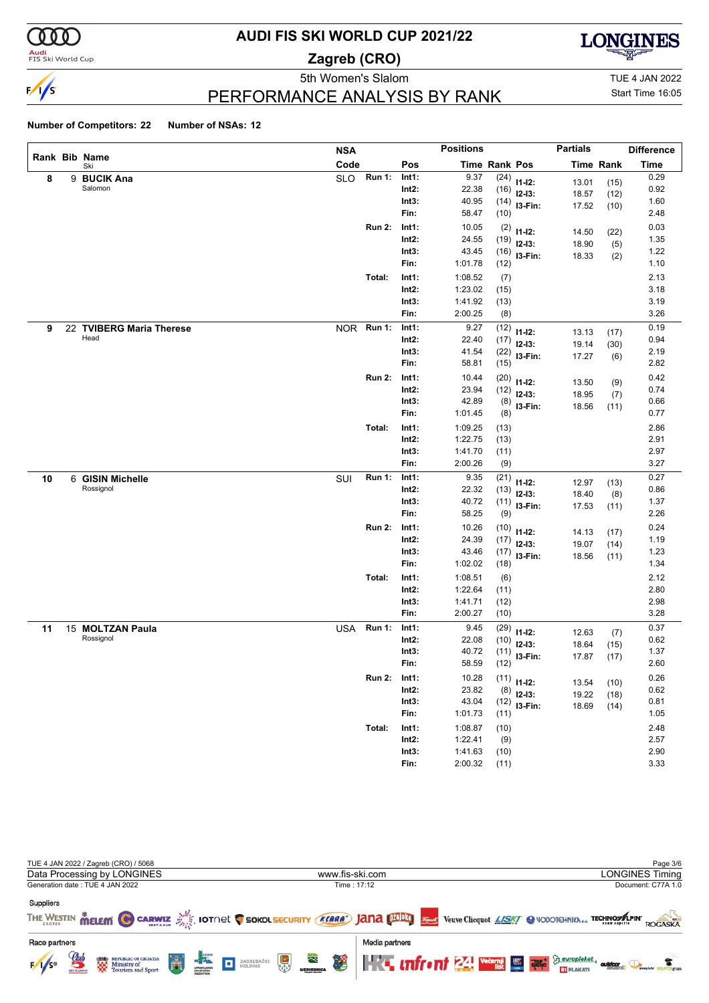

**Audi**<br>FIS Ski World Cup

# **AUDI FIS SKI WORLD CUP 2021/22**

**Zagreb (CRO)**



PERFORMANCE ANALYSIS BY RANK

5th Women's Slalom TUE 4 JAN 2022 Start Time 16:05

|    |   |                               | <b>NSA</b> |               |                   | <b>Positions</b>   |               |                         | <b>Partials</b> |                  | <b>Difference</b> |
|----|---|-------------------------------|------------|---------------|-------------------|--------------------|---------------|-------------------------|-----------------|------------------|-------------------|
|    |   | Rank Bib Name<br>Ski          | Code       |               | Pos               |                    | Time Rank Pos |                         |                 | <b>Time Rank</b> | <b>Time</b>       |
| 8  | 9 | <b>BUCIK Ana</b>              | <b>SLO</b> | <b>Run 1:</b> | Int1:             | 9.37               | (24)          | $11 - 12$ :             | 13.01           | (15)             | 0.29              |
|    |   | Salomon                       |            |               | $Int2$ :          | 22.38              | (16)          | $12-13:$                | 18.57           | (12)             | 0.92              |
|    |   |                               |            |               | Int3:             | 40.95              |               | $(14)$ 13-Fin:          | 17.52           | (10)             | 1.60              |
|    |   |                               |            |               | Fin:              | 58.47              | (10)          |                         |                 |                  | 2.48              |
|    |   |                               |            | <b>Run 2:</b> | Int1:             | 10.05              | (2)           | $11 - 12$ :             | 14.50           | (22)             | 0.03              |
|    |   |                               |            |               | $Int2$ :          | 24.55              | (19)          | $12 - 13$ :             | 18.90           | (5)              | 1.35              |
|    |   |                               |            |               | Int3:             | 43.45              | (16)          | I3-Fin:                 | 18.33           | (2)              | 1.22              |
|    |   |                               |            |               | Fin:              | 1:01.78            | (12)          |                         |                 |                  | 1.10              |
|    |   |                               |            | Total:        | Int1:             | 1:08.52            | (7)           |                         |                 |                  | 2.13              |
|    |   |                               |            |               | $Int2$ :          | 1:23.02            | (15)          |                         |                 |                  | 3.18              |
|    |   |                               |            |               | Int3:             | 1:41.92            | (13)          |                         |                 |                  | 3.19              |
|    |   |                               |            |               | Fin:              | 2:00.25            | (8)           |                         |                 |                  | 3.26              |
| 9  |   | 22 TVIBERG Maria Therese      | <b>NOR</b> | <b>Run 1:</b> | Int1:             | 9.27               | (12)          | $11 - 12$ :             | 13.13           | (17)             | 0.19              |
|    |   | Head                          |            |               | $Int2$ :          | 22.40              | (17)          | $12-13:$                | 19.14           | (30)             | 0.94              |
|    |   |                               |            |               | Int3:             | 41.54              |               | $(22)$ 13-Fin:          | 17.27           | (6)              | 2.19              |
|    |   |                               |            |               | Fin:              | 58.81              | (15)          |                         |                 |                  | 2.82              |
|    |   |                               |            | <b>Run 2:</b> | Int1:             | 10.44              | (20)          |                         |                 |                  | 0.42              |
|    |   |                               |            |               | $Int2$ :          | 23.94              | (12)          | $11 - 12$ :<br>$12-13:$ | 13.50           | (9)              | 0.74              |
|    |   |                               |            |               | Int3:             | 42.89              | (8)           | I3-Fin:                 | 18.95           | (7)              | 0.66              |
|    |   |                               |            |               | Fin:              | 1:01.45            | (8)           |                         | 18.56           | (11)             | 0.77              |
|    |   |                               |            | Total:        | Int1:             | 1:09.25            | (13)          |                         |                 |                  | 2.86              |
|    |   |                               |            |               | $Int2$ :          | 1:22.75            | (13)          |                         |                 |                  | 2.91              |
|    |   |                               |            |               | Int3:             | 1:41.70            | (11)          |                         |                 |                  | 2.97              |
|    |   |                               |            |               | Fin:              | 2:00.26            | (9)           |                         |                 |                  | 3.27              |
| 10 |   | 6 GISIN Michelle              | SUI        | <b>Run 1:</b> | Int1:             | 9.35               | (21)          |                         |                 |                  | 0.27              |
|    |   | Rossignol                     |            |               | $Int2$ :          | 22.32              | (13)          | $11 - 12$ :             | 12.97           | (13)             | 0.86              |
|    |   |                               |            |               | Int3:             | 40.72              |               | $12-13:$                | 18.40           | (8)              | 1.37              |
|    |   |                               |            |               | Fin:              | 58.25              | (9)           | $(11)$ 13-Fin:          | 17.53           | (11)             | 2.26              |
|    |   |                               |            | <b>Run 2:</b> | Int1:             | 10.26              |               |                         |                 |                  | 0.24              |
|    |   |                               |            |               | $Int2$ :          | 24.39              | (10)          | $11 - 12$ :             | 14.13           | (17)             | 1.19              |
|    |   |                               |            |               | Int3:             | 43.46              |               | $(17)$ 12-13:           | 19.07           | (14)             | 1.23              |
|    |   |                               |            |               | Fin:              | 1:02.02            | (18)          | $(17)$ 13-Fin:          | 18.56           | (11)             | 1.34              |
|    |   |                               |            |               |                   |                    |               |                         |                 |                  | 2.12              |
|    |   |                               |            | Total:        | Int1:             | 1:08.51            | (6)           |                         |                 |                  |                   |
|    |   |                               |            |               | $Int2$ :<br>Int3: | 1:22.64<br>1:41.71 | (11)          |                         |                 |                  | 2.80<br>2.98      |
|    |   |                               |            |               | Fin:              | 2:00.27            | (12)<br>(10)  |                         |                 |                  | 3.28              |
|    |   |                               |            |               |                   |                    |               |                         |                 |                  |                   |
| 11 |   | 15 MOLTZAN Paula<br>Rossignol | USA        | <b>Run 1:</b> | Int1:             | 9.45               | (29)          | $11 - 12$ :             | 12.63           | (7)              | 0.37              |
|    |   |                               |            |               | $Int2$ :          | 22.08<br>40.72     | (10)          | $12-13:$                | 18.64           | (15)             | 0.62              |
|    |   |                               |            |               | Int3:<br>Fin:     | 58.59              | (11)          | I3-Fin:                 | 17.87           | (17)             | 1.37<br>2.60      |
|    |   |                               |            |               |                   |                    | (12)          |                         |                 |                  |                   |
|    |   |                               |            | <b>Run 2:</b> | Int1:             | 10.28              |               | $(11)$ 11-12:           | 13.54           | (10)             | 0.26              |
|    |   |                               |            |               | $Int2$ :          | 23.82              |               | $(8)$ 12-13:            | 19.22           | (18)             | 0.62              |
|    |   |                               |            |               | Int3:             | 43.04              |               | $(12)$ 13-Fin:          | 18.69           | (14)             | 0.81              |
|    |   |                               |            |               | Fin:              | 1:01.73            | (11)          |                         |                 |                  | 1.05              |
|    |   |                               |            | Total:        | Int1:             | 1:08.87            | (10)          |                         |                 |                  | 2.48              |
|    |   |                               |            |               | $Int2$ :          | 1:22.41            | (9)           |                         |                 |                  | 2.57              |
|    |   |                               |            |               | Int3:             | 1:41.63            | (10)          |                         |                 |                  | 2.90              |
|    |   |                               |            |               | Fin:              | 2:00.32            | (11)          |                         |                 |                  | 3.33              |

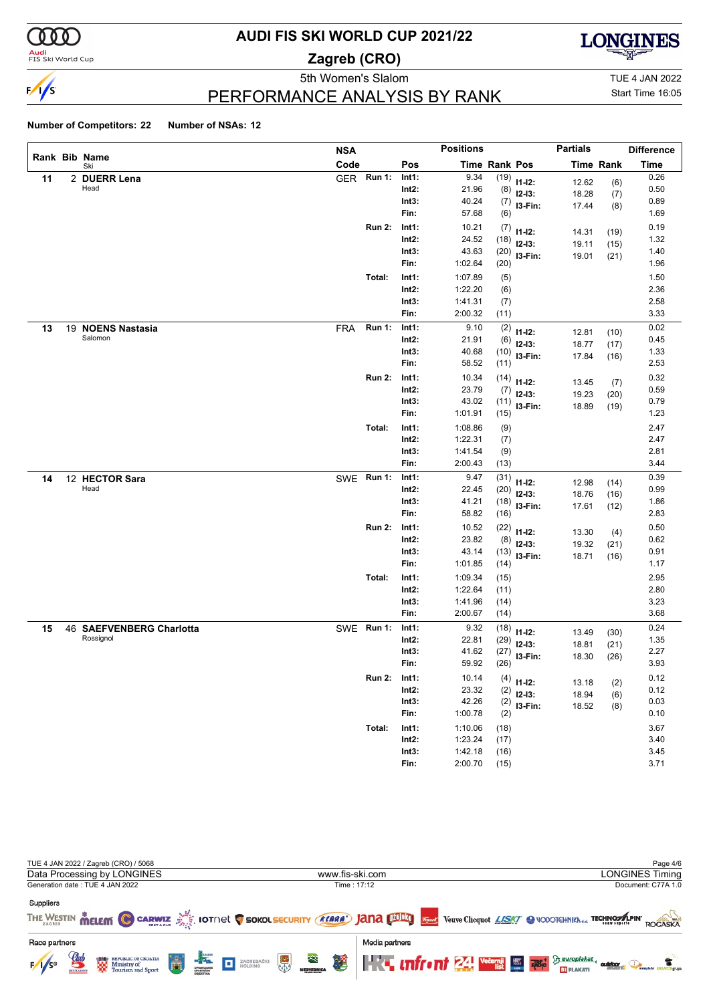

#### **Audi**<br>FIS Ski World Cup

# **AUDI FIS SKI WORLD CUP 2021/22**

**Zagreb (CRO)**



Start Time 16:05

5th Women's Slalom TUE 4 JAN 2022

### PERFORMANCE ANALYSIS BY RANK

|    |                          | <b>NSA</b> |               |          | <b>Positions</b> |                      |                  | <b>Partials</b> |                  | <b>Difference</b> |
|----|--------------------------|------------|---------------|----------|------------------|----------------------|------------------|-----------------|------------------|-------------------|
|    | Rank Bib Name<br>Ski     | Code       |               | Pos      |                  | <b>Time Rank Pos</b> |                  |                 | <b>Time Rank</b> | <b>Time</b>       |
| 11 | 2 DUERR Lena             | <b>GER</b> | <b>Run 1:</b> | Int1:    | 9.34             |                      | $(19)$ $11-12$ : | 12.62           | (6)              | 0.26              |
|    | Head                     |            |               | $Int2$ : | 21.96            | (8)                  | $12-13:$         | 18.28           | (7)              | 0.50              |
|    |                          |            |               | Int3:    | 40.24            | (7)                  | I3-Fin:          | 17.44           | (8)              | 0.89              |
|    |                          |            |               | Fin:     | 57.68            | (6)                  |                  |                 |                  | 1.69              |
|    |                          |            | <b>Run 2:</b> | Int1:    | 10.21            | (7)                  | $11 - 12$ :      | 14.31           | (19)             | 0.19              |
|    |                          |            |               | Int2:    | 24.52            | (18)                 | $12-13:$         | 19.11           | (15)             | 1.32              |
|    |                          |            |               | Int3:    | 43.63            | (20)                 | I3-Fin:          | 19.01           | (21)             | 1.40              |
|    |                          |            |               | Fin:     | 1:02.64          | (20)                 |                  |                 |                  | 1.96              |
|    |                          |            | Total:        | Int1:    | 1:07.89          | (5)                  |                  |                 |                  | 1.50              |
|    |                          |            |               | Int2:    | 1:22.20          | (6)                  |                  |                 |                  | 2.36              |
|    |                          |            |               | Int3:    | 1:41.31          | (7)                  |                  |                 |                  | 2.58              |
|    |                          |            |               | Fin:     | 2:00.32          | (11)                 |                  |                 |                  | 3.33              |
| 13 | 19 NOENS Nastasia        | <b>FRA</b> | <b>Run 1:</b> | Int1:    | 9.10             | (2)                  | $11 - 12$ :      | 12.81           | (10)             | 0.02              |
|    | Salomon                  |            |               | Int2:    | 21.91            | (6)                  | $12-13:$         | 18.77           | (17)             | 0.45              |
|    |                          |            |               | Int3:    | 40.68            | (10)                 | I3-Fin:          | 17.84           | (16)             | 1.33              |
|    |                          |            |               | Fin:     | 58.52            | (11)                 |                  |                 |                  | 2.53              |
|    |                          |            | <b>Run 2:</b> | Int1:    | 10.34            | (14)                 | $11 - 12$ :      | 13.45           | (7)              | 0.32              |
|    |                          |            |               | $Int2$ : | 23.79            | (7)                  | $12-13:$         | 19.23           | (20)             | 0.59              |
|    |                          |            |               | Int3:    | 43.02            | (11)                 | I3-Fin:          | 18.89           | (19)             | 0.79              |
|    |                          |            |               | Fin:     | 1:01.91          | (15)                 |                  |                 |                  | 1.23              |
|    |                          |            | Total:        | Int1:    | 1:08.86          | (9)                  |                  |                 |                  | 2.47              |
|    |                          |            |               | Int2:    | 1:22.31          | (7)                  |                  |                 |                  | 2.47              |
|    |                          |            |               | Int3:    | 1:41.54          | (9)                  |                  |                 |                  | 2.81              |
|    |                          |            |               | Fin:     | 2:00.43          | (13)                 |                  |                 |                  | 3.44              |
| 14 | 12 HECTOR Sara           |            | SWE Run 1:    | Int1:    | 9.47             | (31)                 | $11 - 12$ :      | 12.98           | (14)             | 0.39              |
|    | Head                     |            |               | Int2:    | 22.45            | (20)                 | $12-13:$         | 18.76           | (16)             | 0.99              |
|    |                          |            |               | Int3:    | 41.21            | (18)                 | I3-Fin:          | 17.61           | (12)             | 1.86              |
|    |                          |            |               | Fin:     | 58.82            | (16)                 |                  |                 |                  | 2.83              |
|    |                          |            | <b>Run 2:</b> | Int1:    | 10.52            | (22)                 | $11 - 12$ :      | 13.30           | (4)              | 0.50              |
|    |                          |            |               | $Int2$ : | 23.82            | (8)                  | $12 - 13:$       | 19.32           | (21)             | 0.62              |
|    |                          |            |               | Int3:    | 43.14            | (13)                 | I3-Fin:          | 18.71           | (16)             | 0.91              |
|    |                          |            |               | Fin:     | 1:01.85          | (14)                 |                  |                 |                  | 1.17              |
|    |                          |            | Total:        | Int1:    | 1:09.34          | (15)                 |                  |                 |                  | 2.95              |
|    |                          |            |               | Int2:    | 1:22.64          | (11)                 |                  |                 |                  | 2.80              |
|    |                          |            |               | Int3:    | 1:41.96          | (14)                 |                  |                 |                  | 3.23              |
|    |                          |            |               | Fin:     | 2:00.67          | (14)                 |                  |                 |                  | 3.68              |
| 15 | 46 SAEFVENBERG Charlotta |            | SWE Run 1:    | Int1:    | 9.32             | (18)                 | $11 - 12$ :      | 13.49           | (30)             | 0.24              |
|    | Rossignol                |            |               | Int2:    | 22.81            | (29)                 | $12-13:$         | 18.81           | (21)             | 1.35              |
|    |                          |            |               | Int3:    | 41.62            | (27)                 | I3-Fin:          | 18.30           | (26)             | 2.27              |
|    |                          |            |               | Fin:     | 59.92            | (26)                 |                  |                 |                  | 3.93              |
|    |                          |            | Run 2: Int1:  |          | 10.14            |                      | $(4)$ 11-12:     | 13.18           | (2)              | 0.12              |
|    |                          |            |               | Int2:    | 23.32            | (2)                  | $12-13:$         | 18.94           | (6)              | 0.12              |
|    |                          |            |               | Int3:    | 42.26            | (2)                  | I3-Fin:          | 18.52           | (8)              | 0.03              |
|    |                          |            |               | Fin:     | 1:00.78          | (2)                  |                  |                 |                  | 0.10              |
|    |                          |            | Total:        | Int1:    | 1:10.06          | (18)                 |                  |                 |                  | 3.67              |
|    |                          |            |               | $Int2$ : | 1:23.24          | (17)                 |                  |                 |                  | 3.40              |
|    |                          |            |               | Int3:    | 1:42.18          | (16)                 |                  |                 |                  | 3.45              |
|    |                          |            |               | Fin:     | 2:00.70          | (15)                 |                  |                 |                  | 3.71              |

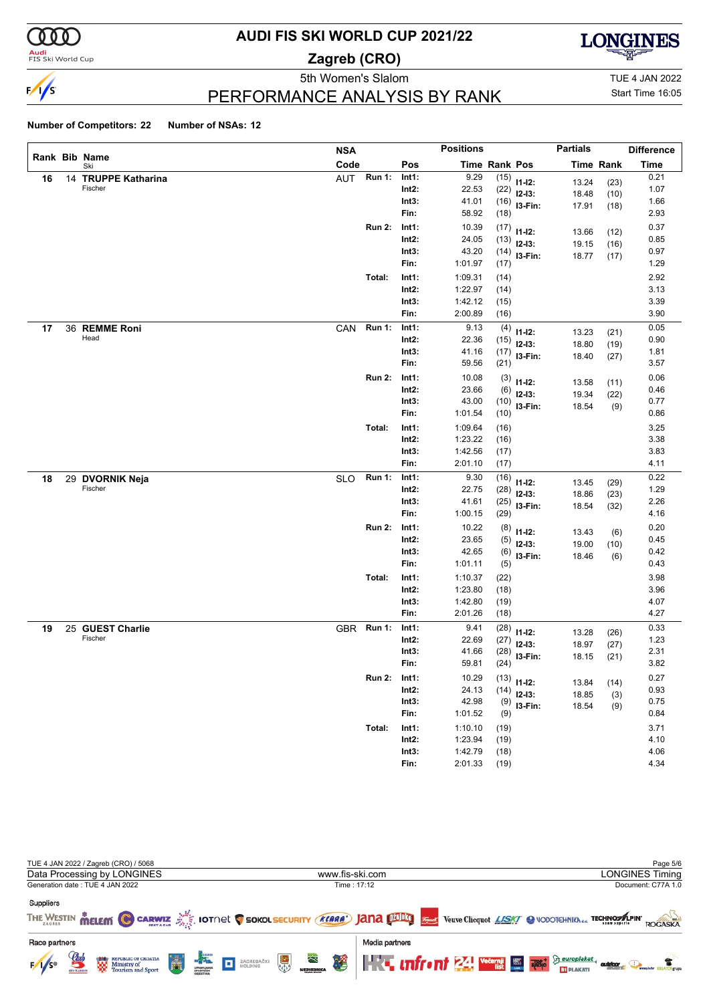

#### <mark>Audi</mark><br>FIS Ski World Cup

# **AUDI FIS SKI WORLD CUP 2021/22**

**Zagreb (CRO)**



5th Women's Slalom TUE 4 JAN 2022

### PERFORMANCE ANALYSIS BY RANK

Start Time 16:05

|    |    |                      | <b>NSA</b> |               |          | <b>Positions</b> |                      |               | <b>Partials</b> |                  | <b>Difference</b> |
|----|----|----------------------|------------|---------------|----------|------------------|----------------------|---------------|-----------------|------------------|-------------------|
|    |    | Rank Bib Name<br>Ski | Code       |               | Pos      |                  | <b>Time Rank Pos</b> |               |                 | <b>Time Rank</b> | <b>Time</b>       |
| 16 |    | 14 TRUPPE Katharina  | AUT        | Run 1:        | Int1:    | 9.29             | (15)                 | $11 - 12$ :   | 13.24           | (23)             | 0.21              |
|    |    | Fischer              |            |               | $Int2$ : | 22.53            | (22)                 | $12-13:$      | 18.48           | (10)             | 1.07              |
|    |    |                      |            |               | Int3:    | 41.01            | (16)                 | I3-Fin:       | 17.91           | (18)             | 1.66              |
|    |    |                      |            |               | Fin:     | 58.92            | (18)                 |               |                 |                  | 2.93              |
|    |    |                      |            | <b>Run 2:</b> | Int1:    | 10.39            | (17)                 | $11 - 12$ :   | 13.66           | (12)             | 0.37              |
|    |    |                      |            |               | $Int2$ : | 24.05            | (13)                 | $12-13:$      | 19.15           | (16)             | 0.85              |
|    |    |                      |            |               | Int3:    | 43.20            | (14)                 | I3-Fin:       | 18.77           | (17)             | 0.97              |
|    |    |                      |            |               | Fin:     | 1:01.97          | (17)                 |               |                 |                  | 1.29              |
|    |    |                      |            | Total:        | Int1:    | 1:09.31          | (14)                 |               |                 |                  | 2.92              |
|    |    |                      |            |               | $Int2$ : | 1:22.97          | (14)                 |               |                 |                  | 3.13              |
|    |    |                      |            |               | Int3:    | 1:42.12          | (15)                 |               |                 |                  | 3.39              |
|    |    |                      |            |               | Fin:     | 2:00.89          | (16)                 |               |                 |                  | 3.90              |
| 17 |    | 36 REMME Roni        | CAN        | <b>Run 1:</b> | Int1:    | 9.13             | (4)                  | $11 - 12$ :   | 13.23           | (21)             | 0.05              |
|    |    | Head                 |            |               | $Int2$ : | 22.36            | (15)                 | $12-13:$      | 18.80           | (19)             | 0.90              |
|    |    |                      |            |               | Int3:    | 41.16            | (17)                 | I3-Fin:       | 18.40           | (27)             | 1.81              |
|    |    |                      |            |               | Fin:     | 59.56            | (21)                 |               |                 |                  | 3.57              |
|    |    |                      |            | <b>Run 2:</b> | Int1:    | 10.08            | (3)                  | $11 - 12$ :   | 13.58           | (11)             | 0.06              |
|    |    |                      |            |               | $Int2$ : | 23.66            | (6)                  | $12-13:$      | 19.34           | (22)             | 0.46              |
|    |    |                      |            |               | Int3:    | 43.00            | (10)                 | I3-Fin:       | 18.54           | (9)              | 0.77              |
|    |    |                      |            |               | Fin:     | 1:01.54          | (10)                 |               |                 |                  | 0.86              |
|    |    |                      |            | Total:        | Int1:    | 1:09.64          | (16)                 |               |                 |                  | 3.25              |
|    |    |                      |            |               | $Int2$ : | 1:23.22          | (16)                 |               |                 |                  | 3.38              |
|    |    |                      |            |               | Int3:    | 1:42.56          | (17)                 |               |                 |                  | 3.83              |
|    |    |                      |            |               | Fin:     | 2:01.10          | (17)                 |               |                 |                  | 4.11              |
| 18 | 29 | <b>DVORNIK Neja</b>  | <b>SLO</b> | <b>Run 1:</b> | Int1:    | 9.30             | (16)                 | $11 - 12$ :   | 13.45           | (29)             | 0.22              |
|    |    | Fischer              |            |               | $Int2$ : | 22.75            | (28)                 | $12-13:$      | 18.86           | (23)             | 1.29              |
|    |    |                      |            |               | Int3:    | 41.61            | (25)                 | I3-Fin:       | 18.54           | (32)             | 2.26              |
|    |    |                      |            |               | Fin:     | 1:00.15          | (29)                 |               |                 |                  | 4.16              |
|    |    |                      |            | <b>Run 2:</b> | Int1:    | 10.22            | (8)                  | $11 - 12$ :   | 13.43           | (6)              | 0.20              |
|    |    |                      |            |               | $Int2$ : | 23.65            | (5)                  | $12-13:$      | 19.00           | (10)             | 0.45              |
|    |    |                      |            |               | Int3:    | 42.65            | (6)                  | I3-Fin:       | 18.46           | (6)              | 0.42              |
|    |    |                      |            |               | Fin:     | 1:01.11          | (5)                  |               |                 |                  | 0.43              |
|    |    |                      |            | Total:        | Int1:    | 1:10.37          | (22)                 |               |                 |                  | 3.98              |
|    |    |                      |            |               | $Int2$ : | 1:23.80          | (18)                 |               |                 |                  | 3.96              |
|    |    |                      |            |               | Int3:    | 1:42.80          | (19)                 |               |                 |                  | 4.07              |
|    |    |                      |            |               | Fin:     | 2:01.26          | (18)                 |               |                 |                  | 4.27              |
| 19 | 25 | <b>GUEST Charlie</b> |            | GBR Run 1:    | Int1:    | 9.41             | (28)                 | $11 - 12$ :   | 13.28           | (26)             | 0.33              |
|    |    | Fischer              |            |               | Int2:    | 22.69            | (27)                 | $12-13:$      | 18.97           | (27)             | 1.23              |
|    |    |                      |            |               | Int3:    | 41.66            | (28)                 | I3-Fin:       | 18.15           | (21)             | 2.31              |
|    |    |                      |            |               | Fin:     | 59.81            | (24)                 |               |                 |                  | 3.82              |
|    |    |                      |            | <b>Run 2:</b> | Int1:    | 10.29            |                      | $(13)$ 11-12: | 13.84           | (14)             | 0.27              |
|    |    |                      |            |               | $Int2$ : | 24.13            | (14)                 | $12-13:$      | 18.85           | (3)              | 0.93              |
|    |    |                      |            |               | Int3:    | 42.98            | (9)                  | $13-Fin:$     | 18.54           | (9)              | 0.75              |
|    |    |                      |            |               | Fin:     | 1:01.52          | (9)                  |               |                 |                  | 0.84              |
|    |    |                      |            | Total:        | Int1:    | 1:10.10          | (19)                 |               |                 |                  | 3.71              |
|    |    |                      |            |               | $Int2$ : | 1:23.94          | (19)                 |               |                 |                  | 4.10              |
|    |    |                      |            |               | Int3:    | 1:42.79          | (18)                 |               |                 |                  | 4.06              |
|    |    |                      |            |               | Fin:     | 2:01.33          | (19)                 |               |                 |                  | 4.34              |

| TUE 4 JAN 2022 / Zagreb (CRO) / 5068                                                                       |                                                                                                                                                                                                                                                                                                                                                                                               | Page 5/6                                                                        |
|------------------------------------------------------------------------------------------------------------|-----------------------------------------------------------------------------------------------------------------------------------------------------------------------------------------------------------------------------------------------------------------------------------------------------------------------------------------------------------------------------------------------|---------------------------------------------------------------------------------|
| Data Processing by LONGINES                                                                                | www.fis-ski.com                                                                                                                                                                                                                                                                                                                                                                               | <b>LONGINES Timing</b>                                                          |
| Generation date: TUE 4 JAN 2022                                                                            | Time: 17:12                                                                                                                                                                                                                                                                                                                                                                                   | Document: C77A 1.0                                                              |
| <b>Suppliers</b>                                                                                           |                                                                                                                                                                                                                                                                                                                                                                                               |                                                                                 |
|                                                                                                            | THE WESTIN MELEMI C CARWIZ AND IOTINE IS SOKOL SECURITY (KARA') JANA DIDELT VERVE Cliequot LASKY C VODOTCHNIKN OF TECHNOSALPIN                                                                                                                                                                                                                                                                | ROGASKA                                                                         |
| Race partners                                                                                              | Media partners                                                                                                                                                                                                                                                                                                                                                                                |                                                                                 |
| $\mathcal{Q}_{ab}$<br>H<br><b>REPUBLIC OF CROATIA</b><br><b>END</b> REPUBLIC OF CROATIA<br>$F/1/s^{\circ}$ | $\begin{picture}(40,10) \put(0,0){\line(1,0){10}} \put(15,0){\line(1,0){10}} \put(15,0){\line(1,0){10}} \put(15,0){\line(1,0){10}} \put(15,0){\line(1,0){10}} \put(15,0){\line(1,0){10}} \put(15,0){\line(1,0){10}} \put(15,0){\line(1,0){10}} \put(15,0){\line(1,0){10}} \put(15,0){\line(1,0){10}} \put(15,0){\line(1,0){10}} \put(15,0){\line(1$<br>$\approx$<br>$\frac{1}{\sqrt{2}}$<br>谬 | <b>THE INTERNATIONAL Vecession Seuroplakat.</b><br>outdoor<br><b>ET PLAKATI</b> |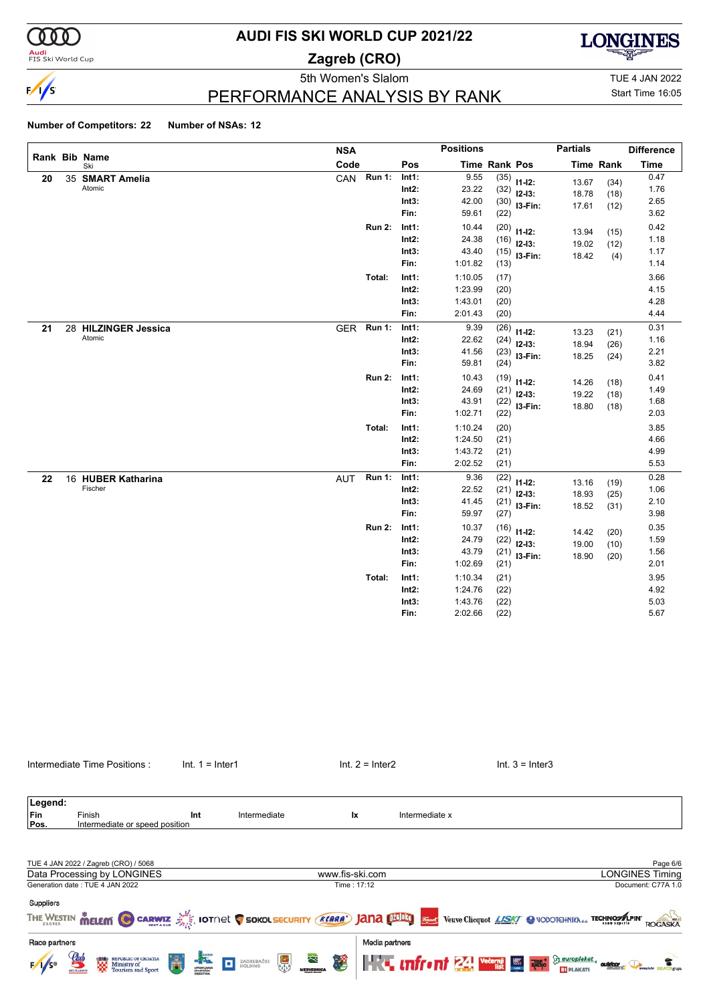

**Audi**<br>FIS Ski World Cup

# **AUDI FIS SKI WORLD CUP 2021/22**

**Zagreb (CRO)**



PERFORMANCE ANALYSIS BY RANK

5th Women's Slalom TUE 4 JAN 2022 Start Time 16:05

|    |                      | <b>NSA</b> |               |          | <b>Positions</b> |               |             | <b>Partials</b> |                  | <b>Difference</b> |
|----|----------------------|------------|---------------|----------|------------------|---------------|-------------|-----------------|------------------|-------------------|
|    | Rank Bib Name<br>Ski | Code       |               | Pos      |                  | Time Rank Pos |             |                 | <b>Time Rank</b> | <b>Time</b>       |
| 20 | 35 SMART Amelia      | CAN        | <b>Run 1:</b> | Int1:    | 9.55             | (35)          | $11 - 12$ : | 13.67           | (34)             | 0.47              |
|    | Atomic               |            |               | $Int2$ : | 23.22            | (32)          | $12-13:$    | 18.78           | (18)             | 1.76              |
|    |                      |            |               | Int3:    | 42.00            | (30)          | I3-Fin:     | 17.61           | (12)             | 2.65              |
|    |                      |            |               | Fin:     | 59.61            | (22)          |             |                 |                  | 3.62              |
|    |                      |            | <b>Run 2:</b> | Int1:    | 10.44            | (20)          | $11 - 12$ : | 13.94           | (15)             | 0.42              |
|    |                      |            |               | Int2:    | 24.38            | (16)          | $12 - 13:$  | 19.02           | (12)             | 1.18              |
|    |                      |            |               | Int3:    | 43.40            | (15)          | $13-Fin:$   | 18.42           | (4)              | 1.17              |
|    |                      |            |               | Fin:     | 1:01.82          | (13)          |             |                 |                  | 1.14              |
|    |                      |            | Total:        | Int1:    | 1:10.05          | (17)          |             |                 |                  | 3.66              |
|    |                      |            |               | $Int2$ : | 1:23.99          | (20)          |             |                 |                  | 4.15              |
|    |                      |            |               | Int3:    | 1:43.01          | (20)          |             |                 |                  | 4.28              |
|    |                      |            |               | Fin:     | 2:01.43          | (20)          |             |                 |                  | 4.44              |
| 21 | 28 HILZINGER Jessica | <b>GER</b> | <b>Run 1:</b> | Int1:    | 9.39             | (26)          | $11 - 12$ : | 13.23           | (21)             | 0.31              |
|    | Atomic               |            |               | $Int2$ : | 22.62            | (24)          | $12-13:$    | 18.94           | (26)             | 1.16              |
|    |                      |            |               | Int3:    | 41.56            | (23)          | $13-Fin:$   | 18.25           | (24)             | 2.21              |
|    |                      |            |               | Fin:     | 59.81            | (24)          |             |                 |                  | 3.82              |
|    |                      |            | <b>Run 2:</b> | Int1:    | 10.43            | (19)          | $11 - 12$ : | 14.26           | (18)             | 0.41              |
|    |                      |            |               | Int2:    | 24.69            | (21)          | $12-13:$    | 19.22           | (18)             | 1.49              |
|    |                      |            |               | Int3:    | 43.91            | (22)          | I3-Fin:     | 18.80           | (18)             | 1.68              |
|    |                      |            |               | Fin:     | 1:02.71          | (22)          |             |                 |                  | 2.03              |
|    |                      |            | Total:        | Int1:    | 1:10.24          | (20)          |             |                 |                  | 3.85              |
|    |                      |            |               | $Int2$ : | 1:24.50          | (21)          |             |                 |                  | 4.66              |
|    |                      |            |               | Int3:    | 1:43.72          | (21)          |             |                 |                  | 4.99              |
|    |                      |            |               | Fin:     | 2:02.52          | (21)          |             |                 |                  | 5.53              |
| 22 | 16 HUBER Katharina   | <b>AUT</b> | <b>Run 1:</b> | Int1:    | 9.36             | (22)          | $11 - 12$ : | 13.16           | (19)             | 0.28              |
|    | Fischer              |            |               | $Int2$ : | 22.52            | (21)          | $12-13:$    | 18.93           | (25)             | 1.06              |
|    |                      |            |               | Int3:    | 41.45            | (21)          | I3-Fin:     | 18.52           | (31)             | 2.10              |
|    |                      |            |               | Fin:     | 59.97            | (27)          |             |                 |                  | 3.98              |
|    |                      |            | <b>Run 2:</b> | Int1:    | 10.37            | (16)          | $11 - 12$ : | 14.42           | (20)             | 0.35              |
|    |                      |            |               | $Int2$ : | 24.79            | (22)          | $12-13:$    | 19.00           | (10)             | 1.59              |
|    |                      |            |               | Int3:    | 43.79            | (21)          | I3-Fin:     | 18.90           | (20)             | 1.56              |
|    |                      |            |               | Fin:     | 1:02.69          | (21)          |             |                 |                  | 2.01              |
|    |                      |            | Total:        | Int1:    | 1:10.34          | (21)          |             |                 |                  | 3.95              |
|    |                      |            |               | $Int2$ : | 1:24.76          | (22)          |             |                 |                  | 4.92              |
|    |                      |            |               | Int3:    | 1:43.76          | (22)          |             |                 |                  | 5.03              |
|    |                      |            |               | Fin:     | 2:02.66          | (22)          |             |                 |                  | 5.67              |

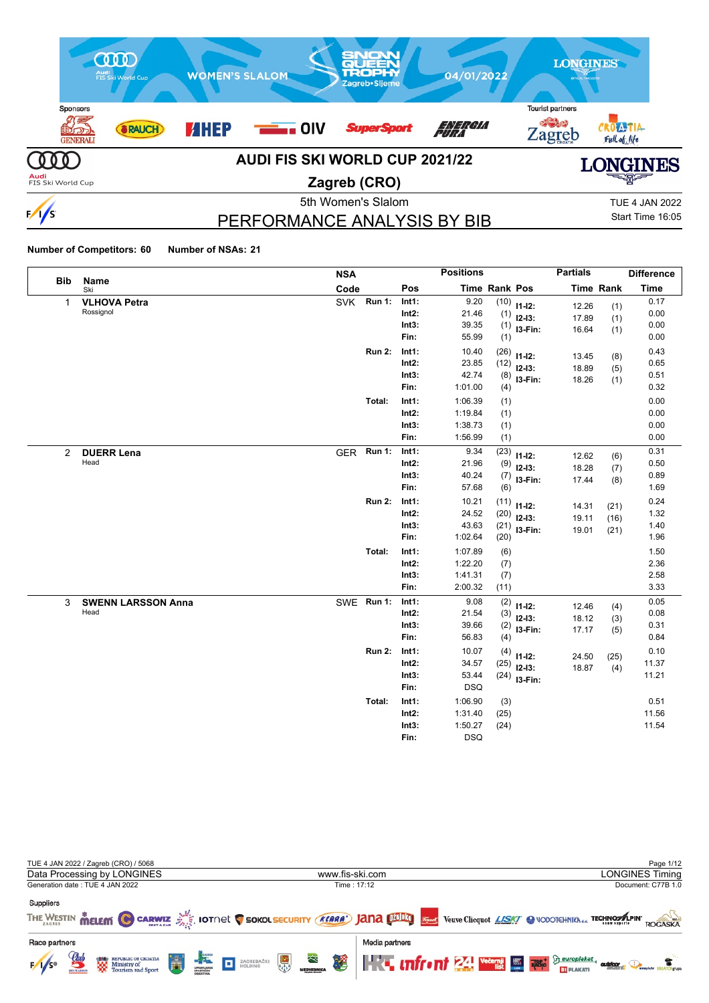

# PERFORMANCE ANALYSIS BY BIB

Start Time 16:05

|                |                           | <b>NSA</b> |               |          | <b>Positions</b> |               |                | <b>Partials</b> |                  | <b>Difference</b> |
|----------------|---------------------------|------------|---------------|----------|------------------|---------------|----------------|-----------------|------------------|-------------------|
| <b>Bib</b>     | Name<br>Ski               | Code       |               | Pos      |                  | Time Rank Pos |                |                 | <b>Time Rank</b> | <b>Time</b>       |
| $\mathbf{1}$   | <b>VLHOVA Petra</b>       | <b>SVK</b> | <b>Run 1:</b> | Int1:    | 9.20             |               | $(10)$ 11-12:  | 12.26           | (1)              | 0.17              |
|                | Rossignol                 |            |               | $Int2$ : | 21.46            | (1)           | $12-13:$       | 17.89           | (1)              | 0.00              |
|                |                           |            |               | Int3:    | 39.35            |               | $(1)$ 13-Fin:  | 16.64           | (1)              | 0.00              |
|                |                           |            |               | Fin:     | 55.99            | (1)           |                |                 |                  | 0.00              |
|                |                           |            | <b>Run 2:</b> | Int1:    | 10.40            | (26)          | $11 - 12$ :    | 13.45           | (8)              | 0.43              |
|                |                           |            |               | $Int2$ : | 23.85            | (12)          | $12 - 13:$     | 18.89           | (5)              | 0.65              |
|                |                           |            |               | Int3:    | 42.74            | (8)           | I3-Fin:        | 18.26           | (1)              | 0.51              |
|                |                           |            |               | Fin:     | 1:01.00          | (4)           |                |                 |                  | 0.32              |
|                |                           |            | Total:        | Int1:    | 1:06.39          | (1)           |                |                 |                  | 0.00              |
|                |                           |            |               | $Int2$ : | 1:19.84          | (1)           |                |                 |                  | 0.00              |
|                |                           |            |               | Int3:    | 1:38.73          | (1)           |                |                 |                  | 0.00              |
|                |                           |            |               | Fin:     | 1:56.99          | (1)           |                |                 |                  | 0.00              |
| $\overline{2}$ | <b>DUERR Lena</b>         | GER Run 1: |               | Int1:    | 9.34             | (23)          | $11 - 12$ :    | 12.62           | (6)              | 0.31              |
|                | Head                      |            |               | $Int2$ : | 21.96            | (9)           | $12 - 13:$     | 18.28           | (7)              | 0.50              |
|                |                           |            |               | Int3:    | 40.24            | (7)           | I3-Fin:        | 17.44           | (8)              | 0.89              |
|                |                           |            |               | Fin:     | 57.68            | (6)           |                |                 |                  | 1.69              |
|                |                           |            | <b>Run 2:</b> | Int1:    | 10.21            | (11)          | $11 - 12$ :    | 14.31           | (21)             | 0.24              |
|                |                           |            |               | Int2:    | 24.52            | (20)          | $12-13:$       | 19.11           | (16)             | 1.32              |
|                |                           |            |               | Int3:    | 43.63            |               | $(21)$ 13-Fin: | 19.01           | (21)             | 1.40              |
|                |                           |            |               | Fin:     | 1:02.64          | (20)          |                |                 |                  | 1.96              |
|                |                           |            | Total:        | Int1:    | 1:07.89          | (6)           |                |                 |                  | 1.50              |
|                |                           |            |               | $Int2$ : | 1:22.20          | (7)           |                |                 |                  | 2.36              |
|                |                           |            |               | Int3:    | 1:41.31          | (7)           |                |                 |                  | 2.58              |
|                |                           |            |               | Fin:     | 2:00.32          | (11)          |                |                 |                  | 3.33              |
| 3              | <b>SWENN LARSSON Anna</b> | SWE Run 1: |               | Int1:    | 9.08             | (2)           | $11 - 12$ :    | 12.46           | (4)              | 0.05              |
|                | Head                      |            |               | Int2:    | 21.54            | (3)           | $12-13:$       | 18.12           | (3)              | 0.08              |
|                |                           |            |               | Int3:    | 39.66            | (2)           | I3-Fin:        | 17.17           | (5)              | 0.31              |
|                |                           |            |               | Fin:     | 56.83            | (4)           |                |                 |                  | 0.84              |
|                |                           |            | <b>Run 2:</b> | Int1:    | 10.07            | (4)           | $11 - 12$ :    | 24.50           | (25)             | 0.10              |
|                |                           |            |               | $Int2$ : | 34.57            | (25)          | $12-13:$       | 18.87           | (4)              | 11.37             |
|                |                           |            |               | Int3:    | 53.44            |               | $(24)$ 13-Fin: |                 |                  | 11.21             |
|                |                           |            |               | Fin:     | <b>DSQ</b>       |               |                |                 |                  |                   |
|                |                           |            | Total:        | Int1:    | 1:06.90          | (3)           |                |                 |                  | 0.51              |
|                |                           |            |               | $Int2$ : | 1:31.40          | (25)          |                |                 |                  | 11.56             |
|                |                           |            |               | Int3:    | 1:50.27          | (24)          |                |                 |                  | 11.54             |
|                |                           |            |               | Fin:     | <b>DSQ</b>       |               |                |                 |                  |                   |

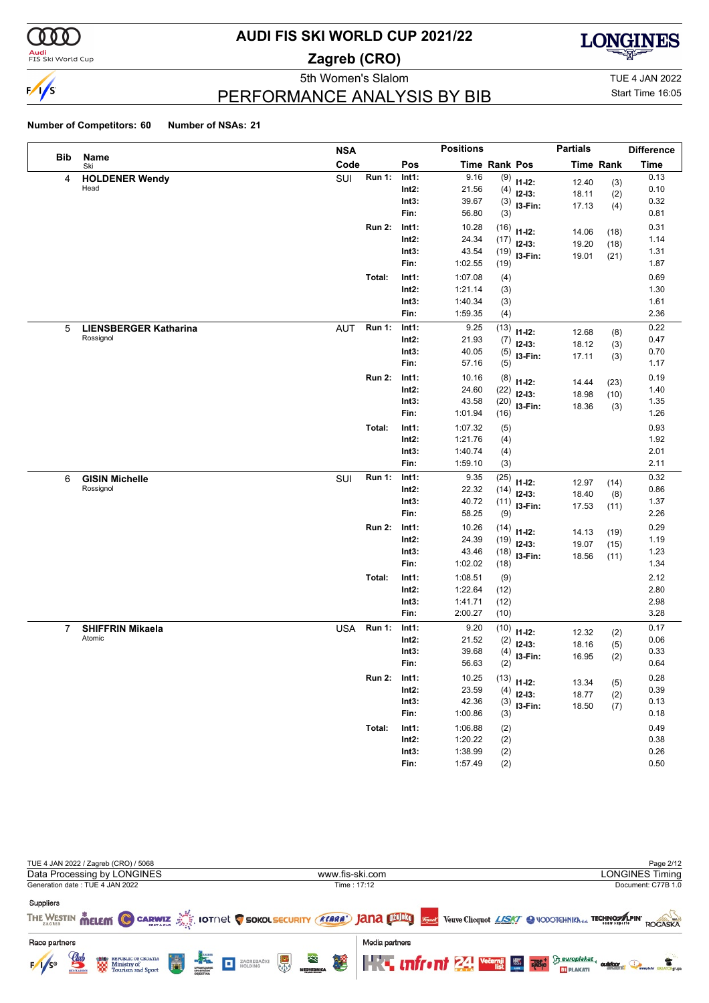

**Audi**<br>FIS Ski World Cup

# **AUDI FIS SKI WORLD CUP 2021/22**

**Zagreb (CRO)**



PERFORMANCE ANALYSIS BY BIB

5th Women's Slalom TUE 4 JAN 2022 Start Time 16:05

|                |                              | <b>NSA</b> |               |          | <b>Positions</b> |               |             | <b>Partials</b> |                  | <b>Difference</b> |
|----------------|------------------------------|------------|---------------|----------|------------------|---------------|-------------|-----------------|------------------|-------------------|
| Bib            | Name<br>Ski                  | Code       |               | Pos      |                  | Time Rank Pos |             |                 | <b>Time Rank</b> | Time              |
| 4              | <b>HOLDENER Wendy</b>        | SUI        | <b>Run 1:</b> | Int1:    | 9.16             | (9)           | $11 - 12$ : | 12.40           | (3)              | 0.13              |
|                | Head                         |            |               | $Int2$ : | 21.56            | (4)           | $12-13:$    | 18.11           | (2)              | 0.10              |
|                |                              |            |               | Int3:    | 39.67            | (3)           | I3-Fin:     | 17.13           | (4)              | 0.32              |
|                |                              |            |               | Fin:     | 56.80            | (3)           |             |                 |                  | 0.81              |
|                |                              |            | <b>Run 2:</b> | Int1:    | 10.28            | (16)          | $11 - 12$ : | 14.06           | (18)             | 0.31              |
|                |                              |            |               | $Int2$ : | 24.34            | (17)          | $12-13:$    | 19.20           | (18)             | 1.14              |
|                |                              |            |               | Int3:    | 43.54            | (19)          | I3-Fin:     | 19.01           | (21)             | 1.31              |
|                |                              |            |               | Fin:     | 1:02.55          | (19)          |             |                 |                  | 1.87              |
|                |                              |            | Total:        | Int1:    | 1:07.08          | (4)           |             |                 |                  | 0.69              |
|                |                              |            |               | $Int2$ : | 1:21.14          | (3)           |             |                 |                  | 1.30              |
|                |                              |            |               | Int3:    | 1:40.34          | (3)           |             |                 |                  | 1.61              |
|                |                              |            |               | Fin:     | 1:59.35          | (4)           |             |                 |                  | 2.36              |
| 5              | <b>LIENSBERGER Katharina</b> | <b>AUT</b> | <b>Run 1:</b> | Int1:    | 9.25             | (13)          | $11 - 12$ : | 12.68           | (8)              | 0.22              |
|                | Rossignol                    |            |               | $Int2$ : | 21.93            | (7)           | $12-13:$    | 18.12           | (3)              | 0.47              |
|                |                              |            |               | Int3:    | 40.05            | (5)           | I3-Fin:     | 17.11           | (3)              | 0.70              |
|                |                              |            |               | Fin:     | 57.16            | (5)           |             |                 |                  | 1.17              |
|                |                              |            | <b>Run 2:</b> | Int1:    | 10.16            | (8)           | $11 - 12$ : | 14.44           | (23)             | 0.19              |
|                |                              |            |               | $Int2$ : | 24.60            | (22)          | $12-13:$    | 18.98           | (10)             | 1.40              |
|                |                              |            |               | Int3:    | 43.58            | (20)          | I3-Fin:     | 18.36           | (3)              | 1.35              |
|                |                              |            |               | Fin:     | 1:01.94          | (16)          |             |                 |                  | 1.26              |
|                |                              |            | Total:        | Int1:    | 1:07.32          | (5)           |             |                 |                  | 0.93              |
|                |                              |            |               | $Int2$ : | 1:21.76          | (4)           |             |                 |                  | 1.92              |
|                |                              |            |               | Int3:    | 1:40.74          | (4)           |             |                 |                  | 2.01              |
|                |                              |            |               | Fin:     | 1:59.10          | (3)           |             |                 |                  | 2.11              |
| 6              | <b>GISIN Michelle</b>        | SUI        | <b>Run 1:</b> | Int1:    | 9.35             | (25)          | $11 - 12$ : | 12.97           | (14)             | 0.32              |
|                | Rossignol                    |            |               | $Int2$ : | 22.32            | (14)          | $12-13:$    | 18.40           | (8)              | 0.86              |
|                |                              |            |               | Int3:    | 40.72            | (11)          | I3-Fin:     | 17.53           | (11)             | 1.37              |
|                |                              |            |               | Fin:     | 58.25            | (9)           |             |                 |                  | 2.26              |
|                |                              |            | <b>Run 2:</b> | Int1:    | 10.26            | (14)          | $11 - 12$ : | 14.13           | (19)             | 0.29              |
|                |                              |            |               | $Int2$ : | 24.39            | (19)          | $12-13:$    | 19.07           | (15)             | 1.19              |
|                |                              |            |               | Int3:    | 43.46            | (18)          | I3-Fin:     | 18.56           | (11)             | 1.23              |
|                |                              |            |               | Fin:     | 1:02.02          | (18)          |             |                 |                  | 1.34              |
|                |                              |            | Total:        | Int1:    | 1:08.51          | (9)           |             |                 |                  | 2.12              |
|                |                              |            |               | $Int2$ : | 1:22.64          | (12)          |             |                 |                  | 2.80              |
|                |                              |            |               | Int3:    | 1:41.71          | (12)          |             |                 |                  | 2.98              |
|                |                              |            |               | Fin:     | 2:00.27          | (10)          |             |                 |                  | 3.28              |
| $\overline{7}$ | <b>SHIFFRIN Mikaela</b>      | <b>USA</b> | <b>Run 1:</b> | Int1:    | 9.20             | (10)          | $11 - 12$ : | 12.32           | (2)              | 0.17              |
|                | Atomic                       |            |               | $Int2$ : | 21.52            | (2)           | $12-13:$    | 18.16           | (5)              | 0.06              |
|                |                              |            |               | Int3:    | 39.68            | (4)           | I3-Fin:     | 16.95           | (2)              | 0.33              |
|                |                              |            |               | Fin:     | 56.63            | (2)           |             |                 |                  | 0.64              |
|                |                              |            | <b>Run 2:</b> | Int1:    | 10.25            | (13)          | $11 - 12$ : | 13.34           | (5)              | 0.28              |
|                |                              |            |               | $Int2$ : | 23.59            | (4)           | $12-13:$    | 18.77           | (2)              | 0.39              |
|                |                              |            |               | Int3:    | 42.36            | (3)           | $13-Fin:$   | 18.50           | (7)              | 0.13              |
|                |                              |            |               | Fin:     | 1:00.86          | (3)           |             |                 |                  | 0.18              |
|                |                              |            | Total:        | Int1:    | 1:06.88          | (2)           |             |                 |                  | 0.49              |
|                |                              |            |               | $Int2$ : | 1:20.22          | (2)           |             |                 |                  | 0.38              |
|                |                              |            |               | Int3:    | 1:38.99          | (2)           |             |                 |                  | 0.26              |
|                |                              |            |               | Fin:     | 1:57.49          | (2)           |             |                 |                  | 0.50              |

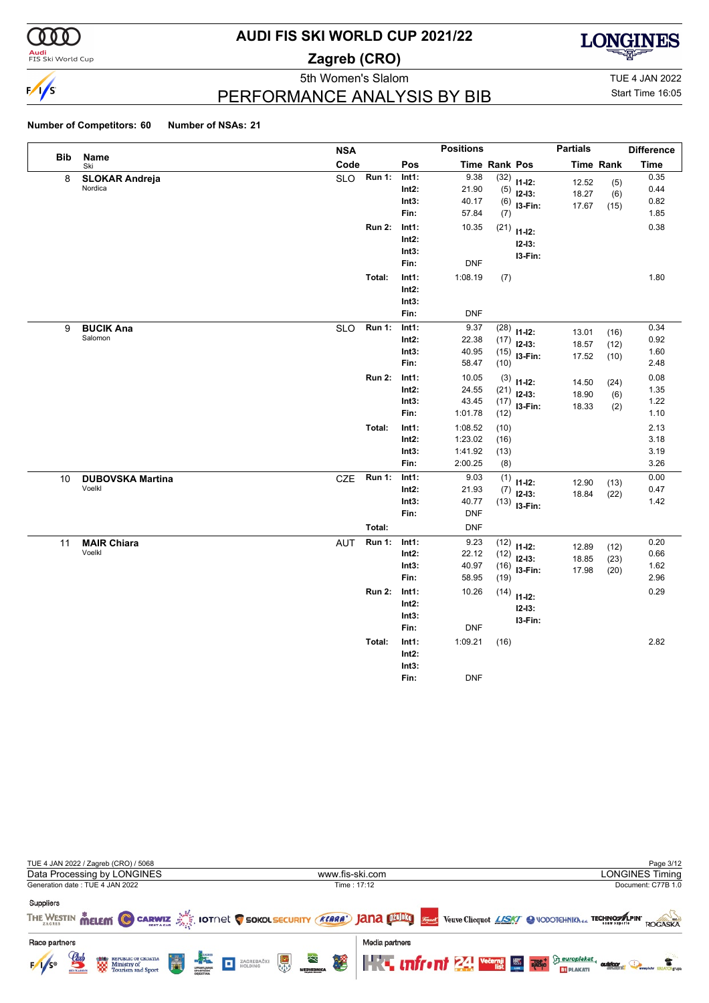

**Audi**<br>FIS Ski World Cup

# **AUDI FIS SKI WORLD CUP 2021/22**

**Zagreb (CRO)**



## PERFORMANCE ANALYSIS BY BIB

5th Women's Slalom TUE 4 JAN 2022 Start Time 16:05

| Bib | Name                              | <b>NSA</b> |                         |                                    | <b>Positions</b>                                   |                              |                                           | <b>Partials</b>         |                      | <b>Difference</b>            |
|-----|-----------------------------------|------------|-------------------------|------------------------------------|----------------------------------------------------|------------------------------|-------------------------------------------|-------------------------|----------------------|------------------------------|
|     | Ski                               | Code       |                         | Pos                                |                                                    | <b>Time Rank Pos</b>         |                                           |                         | <b>Time Rank</b>     | <b>Time</b>                  |
| 8   | <b>SLOKAR Andreja</b><br>Nordica  | <b>SLO</b> | <b>Run 1:</b>           | Int1:<br>$Int2$ :<br>Int3:<br>Fin: | 9.38<br>21.90<br>40.17<br>57.84                    | (32)<br>(5)<br>(7)           | $11-12:$<br>$12-13:$<br>$(6)$ 13-Fin:     | 12.52<br>18.27<br>17.67 | (5)<br>(6)<br>(15)   | 0.35<br>0.44<br>0.82<br>1.85 |
|     |                                   |            | <b>Run 2:</b>           | Int1:<br>Int2:<br>Int3:<br>Fin:    | 10.35<br><b>DNF</b>                                | (21)                         | $11-12:$<br>$12 - 13:$<br>I3-Fin:         |                         |                      | 0.38                         |
|     |                                   |            | Total:                  | Int1:<br>$Int2$ :<br>Int3:<br>Fin: | 1:08.19<br><b>DNF</b>                              | (7)                          |                                           |                         |                      | 1.80                         |
| 9   | <b>BUCIK Ana</b><br>Salomon       | <b>SLO</b> | <b>Run 1:</b>           | Int1:<br>$Int2$ :<br>Int3:<br>Fin: | 9.37<br>22.38<br>40.95<br>58.47                    | (28)<br>(17)<br>(10)         | $11-12:$<br>$12-13:$<br>$(15)$ 13-Fin:    | 13.01<br>18.57<br>17.52 | (16)<br>(12)<br>(10) | 0.34<br>0.92<br>1.60<br>2.48 |
|     |                                   |            | <b>Run 2:</b>           | Int1:<br>$Int2$ :<br>Int3:<br>Fin: | 10.05<br>24.55<br>43.45<br>1:01.78                 | (17)<br>(12)                 | $(3)$ 11-12:<br>$(21)$ 12-13:<br>I3-Fin:  | 14.50<br>18.90<br>18.33 | (24)<br>(6)<br>(2)   | 0.08<br>1.35<br>1.22<br>1.10 |
|     |                                   |            | Total:                  | Int1:<br>$Int2$ :<br>Int3:<br>Fin: | 1:08.52<br>1:23.02<br>1:41.92<br>2:00.25           | (10)<br>(16)<br>(13)<br>(8)  |                                           |                         |                      | 2.13<br>3.18<br>3.19<br>3.26 |
| 10  | <b>DUBOVSKA Martina</b><br>Voelkl | <b>CZE</b> | <b>Run 1:</b><br>Total: | Int1:<br>$Int2$ :<br>Int3:<br>Fin: | 9.03<br>21.93<br>40.77<br><b>DNF</b><br><b>DNF</b> | (1)<br>(7)                   | $11 - 12$ :<br>$12-13:$<br>$(13)$ 13-Fin: | 12.90<br>18.84          | (13)<br>(22)         | 0.00<br>0.47<br>1.42         |
| 11  | <b>MAIR Chiara</b><br>Voelkl      | <b>AUT</b> | Run 1:                  | Int1:<br>$Int2$ :<br>Int3:<br>Fin: | 9.23<br>22.12<br>40.97<br>58.95                    | (12)<br>(12)<br>(16)<br>(19) | $11-12:$<br>$12-13:$<br>I3-Fin:           | 12.89<br>18.85<br>17.98 | (12)<br>(23)<br>(20) | 0.20<br>0.66<br>1.62<br>2.96 |
|     |                                   |            | <b>Run 2:</b>           | Int1:<br>$Int2$ :<br>Int3:<br>Fin: | 10.26<br><b>DNF</b>                                |                              | $(14)$ 11-12:<br>$12 - 13:$<br>I3-Fin:    |                         |                      | 0.29                         |
|     |                                   |            | Total:                  | Int1:<br>$Int2$ :<br>Int3:<br>Fin: | 1:09.21<br><b>DNF</b>                              | (16)                         |                                           |                         |                      | 2.82                         |

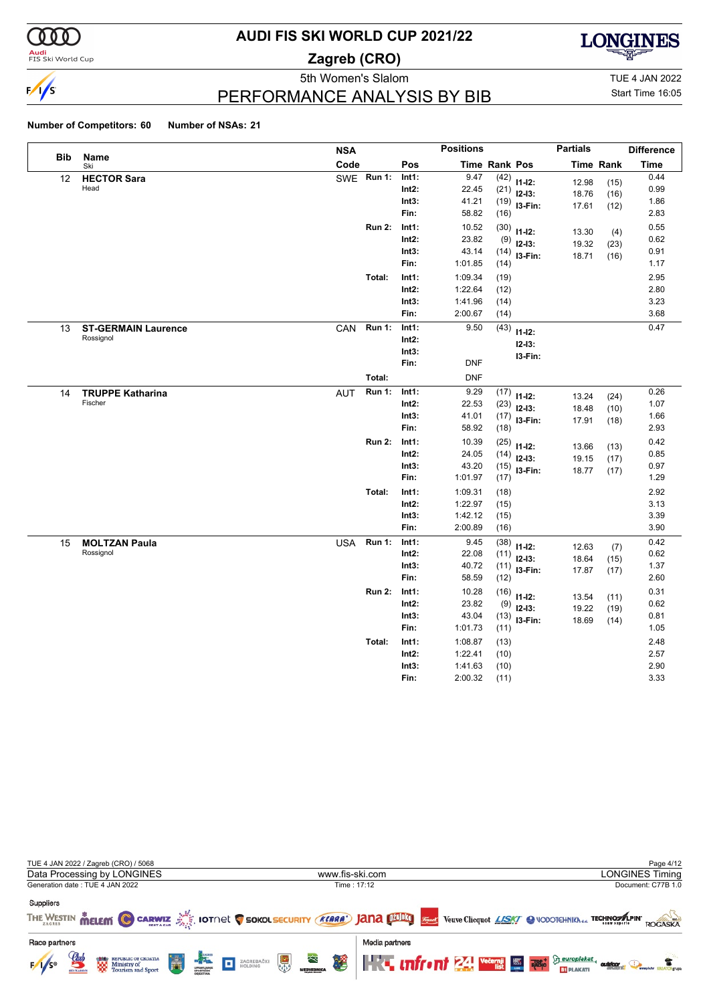

**Audi**<br>FIS Ski World Cup

# **AUDI FIS SKI WORLD CUP 2021/22**

**Zagreb (CRO)**



PERFORMANCE ANALYSIS BY BIB

5th Women's Slalom TUE 4 JAN 2022 Start Time 16:05

|            |                            | <b>NSA</b> |               |                | <b>Positions</b> |               |                | <b>Partials</b> |                  | <b>Difference</b> |
|------------|----------------------------|------------|---------------|----------------|------------------|---------------|----------------|-----------------|------------------|-------------------|
| <b>Bib</b> | Name<br>Ski                | Code       |               | Pos            |                  | Time Rank Pos |                |                 | <b>Time Rank</b> | <b>Time</b>       |
| 12         | <b>HECTOR Sara</b><br>Head |            | SWE Run 1:    | Int1:          | 9.47             | (42)          | $11-12:$       | 12.98           | (15)             | 0.44              |
|            |                            |            |               | $Int2$ :       | 22.45            | (21)          | $12-13:$       | 18.76           | (16)             | 0.99              |
|            |                            |            |               | Int3:<br>Fin:  | 41.21<br>58.82   | (19)<br>(16)  | I3-Fin:        | 17.61           | (12)             | 1.86<br>2.83      |
|            |                            |            |               |                |                  |               |                |                 |                  |                   |
|            |                            |            | <b>Run 2:</b> | Int1:<br>Int2: | 10.52<br>23.82   | (30)          | $11 - 12$ :    | 13.30           | (4)              | 0.55<br>0.62      |
|            |                            |            |               | Int3:          | 43.14            | (9)<br>(14)   | $12-13:$       | 19.32           | (23)             | 0.91              |
|            |                            |            |               | Fin:           | 1:01.85          | (14)          | I3-Fin:        | 18.71           | (16)             | 1.17              |
|            |                            |            | Total:        | Int1:          | 1:09.34          | (19)          |                |                 |                  | 2.95              |
|            |                            |            |               | $Int2$ :       | 1:22.64          | (12)          |                |                 |                  | 2.80              |
|            |                            |            |               | Int3:          | 1:41.96          | (14)          |                |                 |                  | 3.23              |
|            |                            |            |               | Fin:           | 2:00.67          | (14)          |                |                 |                  | 3.68              |
| 13         | <b>ST-GERMAIN Laurence</b> | CAN        | <b>Run 1:</b> | Int1:          | 9.50             | (43)          | $11 - 12$ :    |                 |                  | 0.47              |
|            | Rossignol                  |            |               | Int2:          |                  |               | $12 - 13:$     |                 |                  |                   |
|            |                            |            |               | Int3:          |                  |               | I3-Fin:        |                 |                  |                   |
|            |                            |            |               | Fin:           | <b>DNF</b>       |               |                |                 |                  |                   |
|            |                            |            | Total:        |                | <b>DNF</b>       |               |                |                 |                  |                   |
| 14         | <b>TRUPPE Katharina</b>    | AUT        | <b>Run 1:</b> | Int1:          | 9.29             | (17)          | $11 - 12$ :    | 13.24           | (24)             | 0.26              |
|            | Fischer                    |            |               | Int2:          | 22.53            | (23)          | $12-13:$       | 18.48           | (10)             | 1.07              |
|            |                            |            |               | Int3:          | 41.01            | (17)          | I3-Fin:        | 17.91           | (18)             | 1.66              |
|            |                            |            |               | Fin:           | 58.92            | (18)          |                |                 |                  | 2.93              |
|            |                            |            | <b>Run 2:</b> | Int1:          | 10.39            | (25)          | $11 - 12$ :    | 13.66           | (13)             | 0.42              |
|            |                            |            |               | Int2:          | 24.05            |               | $(14)$ 12-13:  | 19.15           | (17)             | 0.85              |
|            |                            |            |               | Int3:<br>Fin:  | 43.20<br>1:01.97 |               | $(15)$ 13-Fin: | 18.77           | (17)             | 0.97<br>1.29      |
|            |                            |            | Total:        | Int1:          | 1:09.31          | (17)          |                |                 |                  | 2.92              |
|            |                            |            |               | Int2:          | 1:22.97          | (18)<br>(15)  |                |                 |                  | 3.13              |
|            |                            |            |               | Int3:          | 1:42.12          | (15)          |                |                 |                  | 3.39              |
|            |                            |            |               | Fin:           | 2:00.89          | (16)          |                |                 |                  | 3.90              |
| 15         | <b>MOLTZAN Paula</b>       | <b>USA</b> | <b>Run 1:</b> | Int1:          | 9.45             | (38)          | $11 - 12$ :    |                 |                  | 0.42              |
|            | Rossignol                  |            |               | $Int2$ :       | 22.08            |               | $(11)$ 12-13:  | 12.63<br>18.64  | (7)<br>(15)      | 0.62              |
|            |                            |            |               | Int3:          | 40.72            | (11)          | I3-Fin:        | 17.87           | (17)             | 1.37              |
|            |                            |            |               | Fin:           | 58.59            | (12)          |                |                 |                  | 2.60              |
|            |                            |            | <b>Run 2:</b> | Int1:          | 10.28            | (16)          | $11 - 12$ :    | 13.54           | (11)             | 0.31              |
|            |                            |            |               | Int2:          | 23.82            | (9)           | $12-13:$       | 19.22           | (19)             | 0.62              |
|            |                            |            |               | Int3:          | 43.04            | (13)          | I3-Fin:        | 18.69           | (14)             | 0.81              |
|            |                            |            |               | Fin:           | 1:01.73          | (11)          |                |                 |                  | 1.05              |
|            |                            |            | Total:        | Int1:          | 1:08.87          | (13)          |                |                 |                  | 2.48              |
|            |                            |            |               | Int2:          | 1:22.41          | (10)          |                |                 |                  | 2.57              |
|            |                            |            |               | Int3:          | 1:41.63          | (10)          |                |                 |                  | 2.90              |
|            |                            |            |               | Fin:           | 2:00.32          | (11)          |                |                 |                  | 3.33              |

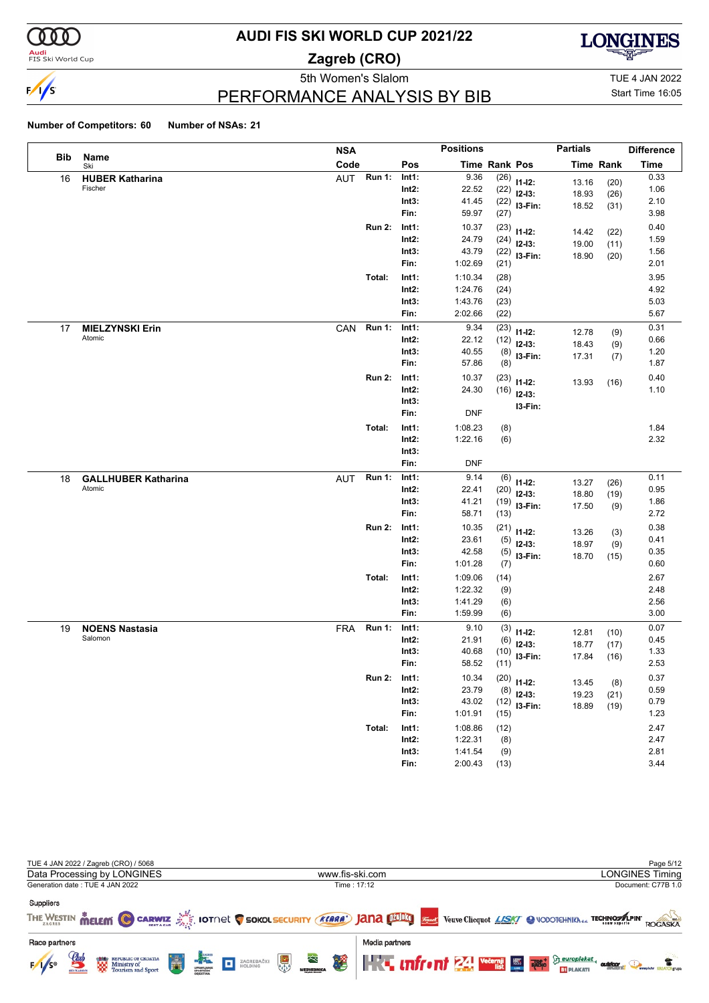

**Audi**<br>FIS Ski World Cup

# **AUDI FIS SKI WORLD CUP 2021/22**

**Zagreb (CRO)**



PERFORMANCE ANALYSIS BY BIB

5th Women's Slalom TUE 4 JAN 2022 Start Time 16:05

|     |                            | <b>NSA</b> |               |          | <b>Positions</b> |               |               | <b>Partials</b> |                  | <b>Difference</b> |
|-----|----------------------------|------------|---------------|----------|------------------|---------------|---------------|-----------------|------------------|-------------------|
| Bib | Name<br>Ski                | Code       |               | Pos      |                  | Time Rank Pos |               |                 | <b>Time Rank</b> | <b>Time</b>       |
| 16  | <b>HUBER Katharina</b>     | AUT        | <b>Run 1:</b> | Int1:    | 9.36             | (26)          | $11 - 12$ :   | 13.16           | (20)             | 0.33              |
|     | Fischer                    |            |               | $Int2$ : | 22.52            | (22)          | $12-13:$      | 18.93           | (26)             | 1.06              |
|     |                            |            |               | Int3:    | 41.45            | (22)          | $13-Fin:$     | 18.52           | (31)             | 2.10              |
|     |                            |            |               | Fin:     | 59.97            | (27)          |               |                 |                  | 3.98              |
|     |                            |            | <b>Run 2:</b> | Int1:    | 10.37            | (23)          | $11 - 12$ :   | 14.42           | (22)             | 0.40              |
|     |                            |            |               | $Int2$ : | 24.79            | (24)          | $12-13:$      | 19.00           | (11)             | 1.59              |
|     |                            |            |               | Int3:    | 43.79            | (22)          | I3-Fin:       | 18.90           | (20)             | 1.56              |
|     |                            |            |               | Fin:     | 1:02.69          | (21)          |               |                 |                  | 2.01              |
|     |                            |            | Total:        | Int1:    | 1:10.34          | (28)          |               |                 |                  | 3.95              |
|     |                            |            |               | $Int2$ : | 1:24.76          | (24)          |               |                 |                  | 4.92              |
|     |                            |            |               | Int3:    | 1:43.76          | (23)          |               |                 |                  | 5.03              |
|     |                            |            |               | Fin:     | 2:02.66          | (22)          |               |                 |                  | 5.67              |
| 17  | <b>MIELZYNSKI Erin</b>     | CAN        | <b>Run 1:</b> | Int1:    | 9.34             | (23)          | $11 - 12$ :   | 12.78           | (9)              | 0.31              |
|     | Atomic                     |            |               | $Int2$ : | 22.12            | (12)          | $12-13:$      | 18.43           | (9)              | 0.66              |
|     |                            |            |               | Int3:    | 40.55            | (8)           | I3-Fin:       | 17.31           | (7)              | 1.20              |
|     |                            |            |               | Fin:     | 57.86            | (8)           |               |                 |                  | 1.87              |
|     |                            |            | <b>Run 2:</b> | Int1:    | 10.37            | (23)          | $11 - 12$ :   | 13.93           | (16)             | 0.40              |
|     |                            |            |               | $Int2$ : | 24.30            | (16)          | $12-13:$      |                 |                  | 1.10              |
|     |                            |            |               | Int3:    |                  |               | I3-Fin:       |                 |                  |                   |
|     |                            |            |               | Fin:     | <b>DNF</b>       |               |               |                 |                  |                   |
|     |                            |            | Total:        | Int1:    | 1:08.23          | (8)           |               |                 |                  | 1.84              |
|     |                            |            |               | $Int2$ : | 1:22.16          | (6)           |               |                 |                  | 2.32              |
|     |                            |            |               | Int3:    |                  |               |               |                 |                  |                   |
|     |                            |            |               | Fin:     | <b>DNF</b>       |               |               |                 |                  |                   |
| 18  | <b>GALLHUBER Katharina</b> | <b>AUT</b> | <b>Run 1:</b> | Int1:    | 9.14             | (6)           | $11 - 12$ :   | 13.27           | (26)             | 0.11              |
|     | Atomic                     |            |               | $Int2$ : | 22.41            | (20)          | $12-13:$      | 18.80           | (19)             | 0.95              |
|     |                            |            |               | Int3:    | 41.21            | (19)          | I3-Fin:       | 17.50           | (9)              | 1.86              |
|     |                            |            |               | Fin:     | 58.71            | (13)          |               |                 |                  | 2.72              |
|     |                            |            | <b>Run 2:</b> | Int1:    | 10.35            | (21)          | $11-12:$      | 13.26           |                  | 0.38              |
|     |                            |            |               | $Int2$ : | 23.61            | (5)           | $12-13:$      | 18.97           | (3)<br>(9)       | 0.41              |
|     |                            |            |               | Int3:    | 42.58            | (5)           | I3-Fin:       | 18.70           | (15)             | 0.35              |
|     |                            |            |               | Fin:     | 1:01.28          | (7)           |               |                 |                  | 0.60              |
|     |                            |            | Total:        | Int1:    | 1:09.06          | (14)          |               |                 |                  | 2.67              |
|     |                            |            |               | $Int2$ : | 1:22.32          | (9)           |               |                 |                  | 2.48              |
|     |                            |            |               | Int3:    | 1:41.29          | (6)           |               |                 |                  | 2.56              |
|     |                            |            |               | Fin:     | 1:59.99          | (6)           |               |                 |                  | 3.00              |
| 19  | <b>NOENS Nastasia</b>      | <b>FRA</b> | <b>Run 1:</b> | Int1:    | 9.10             | (3)           | $11 - 12$ :   | 12.81           | (10)             | 0.07              |
|     | Salomon                    |            |               | Int2:    | 21.91            | (6)           | $12-13:$      | 18.77           | (17)             | 0.45              |
|     |                            |            |               | Int3:    | 40.68            | (10)          | I3-Fin:       | 17.84           | (16)             | 1.33              |
|     |                            |            |               | Fin:     | 58.52            | (11)          |               |                 |                  | 2.53              |
|     |                            |            | <b>Run 2:</b> | Int1:    | 10.34            |               | $(20)$ 11-12: | 13.45           |                  | 0.37              |
|     |                            |            |               | $Int2$ : | 23.79            | (8)           | $12-13:$      | 19.23           | (8)              | 0.59              |
|     |                            |            |               | Int3:    | 43.02            | (12)          | $13-Fin:$     | 18.89           | (21)             | 0.79              |
|     |                            |            |               | Fin:     | 1:01.91          | (15)          |               |                 | (19)             | 1.23              |
|     |                            |            | Total:        | Int1:    | 1:08.86          | (12)          |               |                 |                  | 2.47              |
|     |                            |            |               | $Int2$ : | 1:22.31          | (8)           |               |                 |                  | 2.47              |
|     |                            |            |               | Int3:    | 1:41.54          | (9)           |               |                 |                  | 2.81              |
|     |                            |            |               | Fin:     | 2:00.43          | (13)          |               |                 |                  | 3.44              |

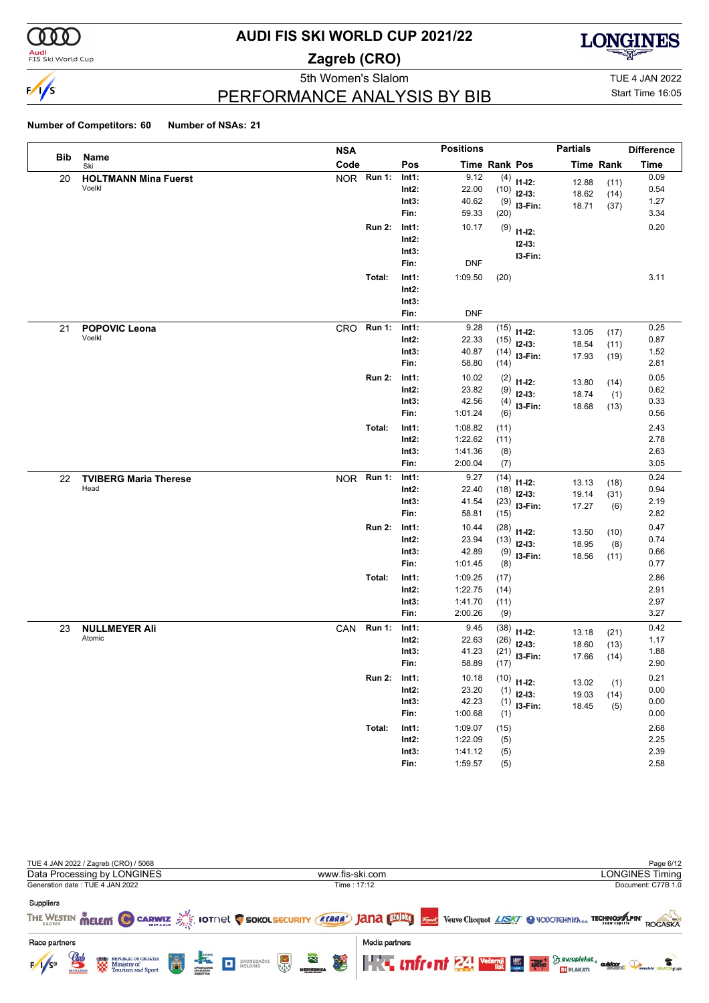

**Audi**<br>FIS Ski World Cup

# **AUDI FIS SKI WORLD CUP 2021/22**

**Zagreb (CRO)**



PERFORMANCE ANALYSIS BY BIB

5th Women's Slalom TUE 4 JAN 2022 Start Time 16:05

|     |                              | <b>NSA</b> |               |          | <b>Positions</b>     |      |               | <b>Partials</b> |                  | <b>Difference</b> |
|-----|------------------------------|------------|---------------|----------|----------------------|------|---------------|-----------------|------------------|-------------------|
| Bib | Name<br>Ski                  | Code       |               | Pos      | <b>Time Rank Pos</b> |      |               |                 | <b>Time Rank</b> | <b>Time</b>       |
| 20  | <b>HOLTMANN Mina Fuerst</b>  |            | NOR Run 1:    | Int1:    | 9.12                 | (4)  | $11-12:$      | 12.88           | (11)             | 0.09              |
|     | Voelkl                       |            |               | $Int2$ : | 22.00                | (10) | $12-13:$      | 18.62           | (14)             | 0.54              |
|     |                              |            |               | Int3:    | 40.62                |      | $(9)$ 13-Fin: | 18.71           | (37)             | 1.27              |
|     |                              |            |               | Fin:     | 59.33                | (20) |               |                 |                  | 3.34              |
|     |                              |            | <b>Run 2:</b> | Int1:    | 10.17                | (9)  | $11 - 12$ :   |                 |                  | 0.20              |
|     |                              |            |               | $Int2$ : |                      |      | $12 - 13:$    |                 |                  |                   |
|     |                              |            |               | Int3:    |                      |      | I3-Fin:       |                 |                  |                   |
|     |                              |            |               | Fin:     | <b>DNF</b>           |      |               |                 |                  |                   |
|     |                              |            | Total:        | Int1:    | 1:09.50              | (20) |               |                 |                  | 3.11              |
|     |                              |            |               | $Int2$ : |                      |      |               |                 |                  |                   |
|     |                              |            |               | Int3:    |                      |      |               |                 |                  |                   |
|     |                              |            |               | Fin:     | <b>DNF</b>           |      |               |                 |                  |                   |
| 21  | <b>POPOVIC Leona</b>         | CRO        | <b>Run 1:</b> | Int1:    | 9.28                 | (15) | $11 - 12$ :   | 13.05           | (17)             | 0.25              |
|     | Voelkl                       |            |               | $Int2$ : | 22.33                | (15) | $12-13:$      | 18.54           | (11)             | 0.87              |
|     |                              |            |               | Int3:    | 40.87                | (14) | I3-Fin:       | 17.93           | (19)             | 1.52              |
|     |                              |            |               | Fin:     | 58.80                | (14) |               |                 |                  | 2.81              |
|     |                              |            | <b>Run 2:</b> | Int1:    | 10.02                | (2)  | $11 - 12$ :   | 13.80           | (14)             | 0.05              |
|     |                              |            |               | $Int2$ : | 23.82                | (9)  | $12-13:$      | 18.74           | (1)              | 0.62              |
|     |                              |            |               | Int3:    | 42.56                | (4)  | I3-Fin:       | 18.68           | (13)             | 0.33              |
|     |                              |            |               | Fin:     | 1:01.24              | (6)  |               |                 |                  | 0.56              |
|     |                              |            | Total:        | Int1:    | 1:08.82              | (11) |               |                 |                  | 2.43              |
|     |                              |            |               | $Int2$ : | 1:22.62              | (11) |               |                 |                  | 2.78              |
|     |                              |            |               | Int3:    | 1:41.36              | (8)  |               |                 |                  | 2.63              |
|     |                              |            |               | Fin:     | 2:00.04              | (7)  |               |                 |                  | 3.05              |
| 22  | <b>TVIBERG Maria Therese</b> | <b>NOR</b> | <b>Run 1:</b> | Int1:    | 9.27                 | (14) | $11 - 12$ :   | 13.13           | (18)             | 0.24              |
|     | Head                         |            |               | $Int2$ : | 22.40                | (18) | $12-13:$      | 19.14           | (31)             | 0.94              |
|     |                              |            |               | Int3:    | 41.54                | (23) | I3-Fin:       | 17.27           | (6)              | 2.19              |
|     |                              |            |               | Fin:     | 58.81                | (15) |               |                 |                  | 2.82              |
|     |                              |            | <b>Run 2:</b> | Int1:    | 10.44                | (28) | $11 - 12$ :   | 13.50           | (10)             | 0.47              |
|     |                              |            |               | $Int2$ : | 23.94                | (13) | $12-13:$      | 18.95           | (8)              | 0.74              |
|     |                              |            |               | Int3:    | 42.89                |      | $(9)$ 13-Fin: | 18.56           | (11)             | 0.66              |
|     |                              |            |               | Fin:     | 1:01.45              | (8)  |               |                 |                  | 0.77              |
|     |                              |            | Total:        | Int1:    | 1:09.25              | (17) |               |                 |                  | 2.86              |
|     |                              |            |               | $Int2$ : | 1:22.75              | (14) |               |                 |                  | 2.91              |
|     |                              |            |               | Int3:    | 1:41.70              | (11) |               |                 |                  | 2.97              |
|     |                              |            |               | Fin:     | 2:00.26              | (9)  |               |                 |                  | 3.27              |
| 23  | <b>NULLMEYER Ali</b>         |            | CAN Run 1:    | Int1:    | 9.45                 | (38) | $11 - 12$ :   | 13.18           | (21)             | 0.42              |
|     | Atomic                       |            |               | $Int2$ : | 22.63                | (26) | $12-13:$      | 18.60           | (13)             | 1.17              |
|     |                              |            |               | Int3:    | 41.23                | (21) | I3-Fin:       | 17.66           | (14)             | 1.88              |
|     |                              |            |               | Fin:     | 58.89                | (17) |               |                 |                  | 2.90              |
|     |                              |            | <b>Run 2:</b> | Int1:    | 10.18                | (10) | $11 - 12$ :   | 13.02           | (1)              | 0.21              |
|     |                              |            |               | $Int2$ : | 23.20                | (1)  | $12-13:$      | 19.03           | (14)             | 0.00              |
|     |                              |            |               | Int3:    | 42.23                | (1)  | I3-Fin:       | 18.45           | (5)              | 0.00              |
|     |                              |            |               | Fin:     | 1:00.68              | (1)  |               |                 |                  | 0.00              |
|     |                              |            | Total:        | Int1:    | 1:09.07              | (15) |               |                 |                  | 2.68              |
|     |                              |            |               | $Int2$ : | 1:22.09              | (5)  |               |                 |                  | 2.25              |
|     |                              |            |               | Int3:    | 1:41.12              | (5)  |               |                 |                  | 2.39              |
|     |                              |            |               | Fin:     | 1:59.57              | (5)  |               |                 |                  | 2.58              |

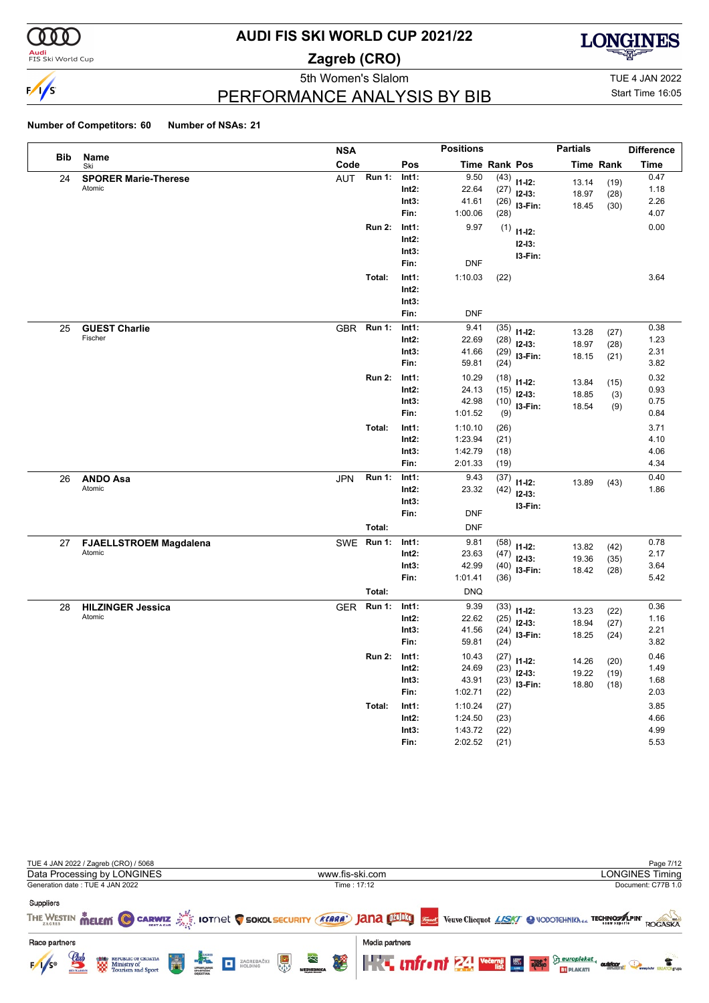

**Audi**<br>FIS Ski World Cup

# **AUDI FIS SKI WORLD CUP 2021/22**

**Zagreb (CRO)**



5th Women's Slalom TUE 4 JAN 2022

Start Time 16:05

### PERFORMANCE ANALYSIS BY BIB

|            |                               | <b>NSA</b> |               |          | <b>Positions</b> |               |                | <b>Partials</b> |           | <b>Difference</b> |
|------------|-------------------------------|------------|---------------|----------|------------------|---------------|----------------|-----------------|-----------|-------------------|
| <b>Bib</b> | Name<br>Ski                   | Code       |               | Pos      |                  | Time Rank Pos |                |                 | Time Rank | <b>Time</b>       |
| 24         | <b>SPORER Marie-Therese</b>   | <b>AUT</b> | <b>Run 1:</b> | Int1:    | 9.50             | (43)          | $11 - 12$ :    | 13.14           | (19)      | 0.47              |
|            | Atomic                        |            |               | Int2:    | 22.64            | (27)          | $12-13:$       | 18.97           | (28)      | 1.18              |
|            |                               |            |               | Int3:    | 41.61            | (26)          | I3-Fin:        | 18.45           | (30)      | 2.26              |
|            |                               |            |               | Fin:     | 1:00.06          | (28)          |                |                 |           | 4.07              |
|            |                               |            | <b>Run 2:</b> | Int1:    | 9.97             |               | $(1)$ 11-12:   |                 |           | 0.00              |
|            |                               |            |               | Int2:    |                  |               | $12 - 13$ :    |                 |           |                   |
|            |                               |            |               | Int3:    |                  |               | I3-Fin:        |                 |           |                   |
|            |                               |            |               | Fin:     | <b>DNF</b>       |               |                |                 |           |                   |
|            |                               |            | Total:        | Int1:    | 1:10.03          | (22)          |                |                 |           | 3.64              |
|            |                               |            |               | Int2:    |                  |               |                |                 |           |                   |
|            |                               |            |               | Int3:    |                  |               |                |                 |           |                   |
|            |                               |            |               | Fin:     | <b>DNF</b>       |               |                |                 |           |                   |
| 25         | <b>GUEST Charlie</b>          | <b>GBR</b> | <b>Run 1:</b> | Int1:    | 9.41             | (35)          | $11 - 12$ :    | 13.28           | (27)      | 0.38              |
|            | Fischer                       |            |               | Int2:    | 22.69            | (28)          | $12-13:$       | 18.97           | (28)      | 1.23              |
|            |                               |            |               | Int3:    | 41.66            | (29)          | I3-Fin:        | 18.15           | (21)      | 2.31              |
|            |                               |            |               | Fin:     | 59.81            | (24)          |                |                 |           | 3.82              |
|            |                               |            | <b>Run 2:</b> | Int1:    | 10.29            | (18)          | $11 - 12$ :    | 13.84           | (15)      | 0.32              |
|            |                               |            |               | Int2:    | 24.13            | (15)          | $12-13:$       | 18.85           | (3)       | 0.93              |
|            |                               |            |               | Int3:    | 42.98            |               | $(10)$ 13-Fin: | 18.54           | (9)       | 0.75              |
|            |                               |            |               | Fin:     | 1:01.52          | (9)           |                |                 |           | 0.84              |
|            |                               |            | Total:        | Int1:    | 1:10.10          | (26)          |                |                 |           | 3.71              |
|            |                               |            |               | Int2:    | 1:23.94          | (21)          |                |                 |           | 4.10              |
|            |                               |            |               | Int3:    | 1:42.79          | (18)          |                |                 |           | 4.06              |
|            |                               |            |               | Fin:     | 2:01.33          | (19)          |                |                 |           | 4.34              |
| 26         | <b>ANDO Asa</b>               | <b>JPN</b> | <b>Run 1:</b> | Int1:    | 9.43             | (37)          | $11 - 12$ :    | 13.89           | (43)      | 0.40              |
|            | Atomic                        |            |               | $Int2$ : | 23.32            | (42)          | $12-13:$       |                 |           | 1.86              |
|            |                               |            |               | Int3:    |                  |               | I3-Fin:        |                 |           |                   |
|            |                               |            |               | Fin:     | <b>DNF</b>       |               |                |                 |           |                   |
|            |                               |            | Total:        |          | <b>DNF</b>       |               |                |                 |           |                   |
| 27         | <b>FJAELLSTROEM Magdalena</b> | SWE        | <b>Run 1:</b> | Int1:    | 9.81             | (58)          | $11 - 12$ :    | 13.82           | (42)      | 0.78              |
|            | Atomic                        |            |               | Int2:    | 23.63            | (47)          | $12-13:$       | 19.36           | (35)      | 2.17              |
|            |                               |            |               | Int3:    | 42.99            | (40)          | I3-Fin:        | 18.42           | (28)      | 3.64              |
|            |                               |            |               | Fin:     | 1:01.41          | (36)          |                |                 |           | 5.42              |
|            |                               |            | Total:        |          | <b>DNQ</b>       |               |                |                 |           |                   |
| 28         | <b>HILZINGER Jessica</b>      | <b>GER</b> | <b>Run 1:</b> | Int1:    | 9.39             | (33)          | $11-12:$       | 13.23           | (22)      | 0.36              |
|            | Atomic                        |            |               | $Int2$ : | 22.62            | (25)          | $12-13:$       | 18.94           | (27)      | 1.16              |
|            |                               |            |               | Int3:    | 41.56            | (24)          | I3-Fin:        | 18.25           | (24)      | 2.21              |
|            |                               |            |               | Fin:     | 59.81            | (24)          |                |                 |           | 3.82              |
|            |                               |            | <b>Run 2:</b> | Int1:    | 10.43            |               | $(27)$ 11-12:  | 14.26           | (20)      | 0.46              |
|            |                               |            |               | $Int2$ : | 24.69            | (23)          | $12-13:$       | 19.22           | (19)      | 1.49              |
|            |                               |            |               | Int3:    | 43.91            | (23)          | I3-Fin:        | 18.80           | (18)      | 1.68              |
|            |                               |            |               | Fin:     | 1:02.71          | (22)          |                |                 |           | 2.03              |
|            |                               |            | Total:        | Int1:    | 1:10.24          | (27)          |                |                 |           | 3.85              |
|            |                               |            |               | Int2:    | 1:24.50          | (23)          |                |                 |           | 4.66              |
|            |                               |            |               | Int3:    | 1:43.72          | (22)          |                |                 |           | 4.99              |
|            |                               |            |               | Fin:     | 2:02.52          | (21)          |                |                 |           | 5.53              |

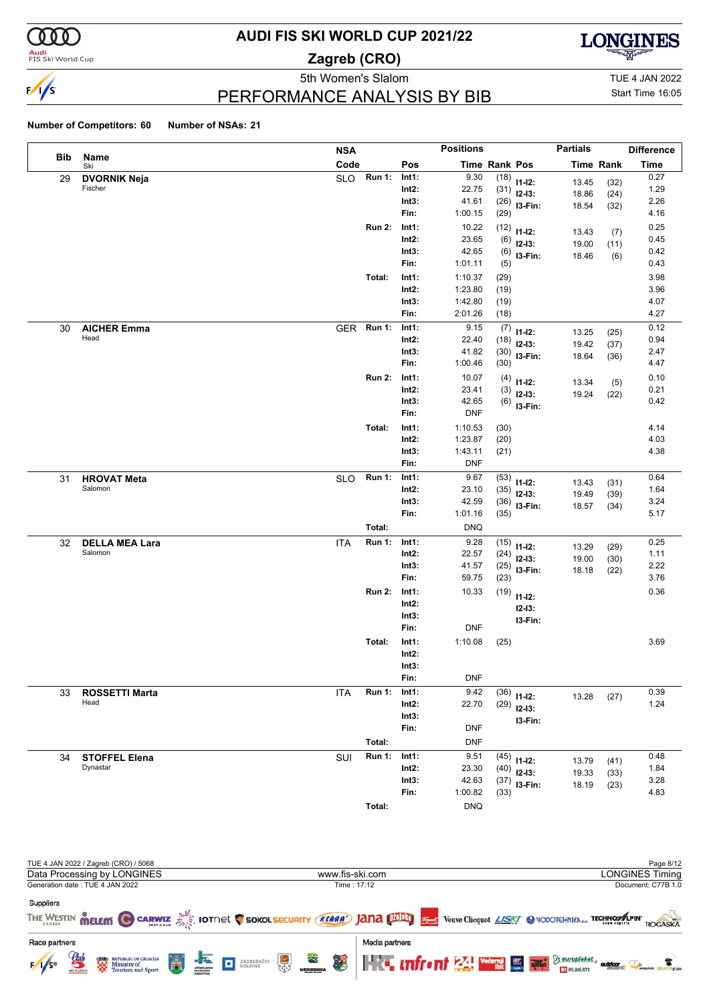

<mark>Audi</mark><br>FIS Ski World Cup

# **AUDI FIS SKI WORLD CUP 2021/22**

**Zagreb (CRO)**



PERFORMANCE ANALYSIS BY BIB

5th Women's Slalom TUE 4 JAN 2022 Start Time 16:05

|     |                            | <b>NSA</b>                         |                | <b>Positions</b>   |              |                         | <b>Partials</b> |                  | <b>Difference</b> |
|-----|----------------------------|------------------------------------|----------------|--------------------|--------------|-------------------------|-----------------|------------------|-------------------|
| Bib | Name<br>Ski                | Code                               | Pos            | Time Rank Pos      |              |                         |                 | <b>Time Rank</b> | <b>Time</b>       |
| 29  | <b>DVORNIK Neja</b>        | $\overline{R}$ un 1:<br><b>SLO</b> | Int1:          | 9.30               |              | $(18)$ 11-12:           | 13.45           | (32)             | 0.27              |
|     | Fischer                    |                                    | $Int2$ :       | 22.75              |              | $(31)$ 12-13:           | 18.86           | (24)             | 1.29              |
|     |                            |                                    | Int3:          | 41.61              | (26)         | I3-Fin:                 | 18.54           | (32)             | 2.26              |
|     |                            |                                    | Fin:           | 1:00.15            | (29)         |                         |                 |                  | 4.16              |
|     |                            | <b>Run 2:</b>                      | Int1:          | 10.22              | (12)         | $11 - 12$ :             | 13.43           | (7)              | 0.25              |
|     |                            |                                    | Int2:          | 23.65              | (6)          | $12-13:$                | 19.00           | (11)             | 0.45              |
|     |                            |                                    | Int3:          | 42.65              | (6)          | I3-Fin:                 | 18.46           | (6)              | 0.42              |
|     |                            |                                    | Fin:           | 1:01.11            | (5)          |                         |                 |                  | 0.43              |
|     |                            | Total:                             | Int1:          | 1:10.37            | (29)         |                         |                 |                  | 3.98              |
|     |                            |                                    | $Int2$ :       | 1:23.80            | (19)         |                         |                 |                  | 3.96              |
|     |                            |                                    | Int3:<br>Fin:  | 1:42.80<br>2:01.26 | (19)<br>(18) |                         |                 |                  | 4.07<br>4.27      |
|     |                            | <b>Run 1:</b>                      | Int1:          | 9.15               |              |                         |                 |                  | 0.12              |
| 30  | <b>AICHER Emma</b><br>Head | <b>GER</b>                         | Int2:          | 22.40              | (7)<br>(18)  | $11 - 12$ :             | 13.25           | (25)             | 0.94              |
|     |                            |                                    | Int3:          | 41.82              | (30)         | $12 - 13:$              | 19.42           | (37)             | 2.47              |
|     |                            |                                    | Fin:           | 1:00.46            | (30)         | I3-Fin:                 | 18.64           | (36)             | 4.47              |
|     |                            | <b>Run 2:</b>                      | Int1:          | 10.07              | (4)          |                         |                 |                  | 0.10              |
|     |                            |                                    | Int2:          | 23.41              | (3)          | $11 - 12$ :<br>$12-13:$ | 13.34           | (5)              | 0.21              |
|     |                            |                                    | Int3:          | 42.65              |              | $(6)$ 13-Fin:           | 19.24           | (22)             | 0.42              |
|     |                            |                                    | Fin:           | <b>DNF</b>         |              |                         |                 |                  |                   |
|     |                            | Total:                             | Int1:          | 1:10.53            | (30)         |                         |                 |                  | 4.14              |
|     |                            |                                    | Int2:          | 1:23.87            | (20)         |                         |                 |                  | 4.03              |
|     |                            |                                    | Int3:          | 1:43.11            | (21)         |                         |                 |                  | 4.38              |
|     |                            |                                    | Fin:           | <b>DNF</b>         |              |                         |                 |                  |                   |
| 31  | <b>HROVAT Meta</b>         | <b>Run 1:</b><br><b>SLO</b>        | Int1:          | 9.67               | (53)         | $11 - 12$ :             | 13.43           | (31)             | 0.64              |
|     | Salomon                    |                                    | Int2:          | 23.10              | (35)         | $12-13:$                | 19.49           | (39)             | 1.64              |
|     |                            |                                    | Int3:          | 42.59              | (36)         | I3-Fin:                 | 18.57           | (34)             | 3.24              |
|     |                            |                                    | Fin:           | 1:01.16            | (35)         |                         |                 |                  | 5.17              |
|     |                            | Total:                             |                | <b>DNQ</b>         |              |                         |                 |                  |                   |
| 32  | <b>DELLA MEA Lara</b>      | <b>Run 1:</b><br><b>ITA</b>        | Int1:          | 9.28               | (15)         | $11 - 12$ :             | 13.29           | (29)             | 0.25              |
|     | Salomon                    |                                    | Int2:          | 22.57              | (24)         | $12-13:$                | 19.00           | (30)             | 1.11              |
|     |                            |                                    | Int3:<br>Fin:  | 41.57<br>59.75     | (25)         | I3-Fin:                 | 18.18           | (22)             | 2.22<br>3.76      |
|     |                            |                                    |                |                    | (23)         |                         |                 |                  |                   |
|     |                            | <b>Run 2:</b>                      | Int1:<br>Int2: | 10.33              |              | $(19)$ 11-12:           |                 |                  | 0.36              |
|     |                            |                                    | Int3:          |                    |              | $12 - 13:$              |                 |                  |                   |
|     |                            |                                    | Fin:           | <b>DNF</b>         |              | I3-Fin:                 |                 |                  |                   |
|     |                            | Total:                             | Int1:          | 1:10.08            | (25)         |                         |                 |                  | 3.69              |
|     |                            |                                    | Int2:          |                    |              |                         |                 |                  |                   |
|     |                            |                                    | Int3:          |                    |              |                         |                 |                  |                   |
|     |                            |                                    | Fin:           | <b>DNF</b>         |              |                         |                 |                  |                   |
| 33  | <b>ROSSETTI Marta</b>      | <b>ITA</b><br><b>Run 1:</b>        | Int1:          | 9.42               | (36)         | $11 - 12$ :             |                 |                  | 0.39              |
|     | Head                       |                                    | $Int2$ :       | 22.70              | (29)         | $12-13:$                | 13.28           | (27)             | 1.24              |
|     |                            |                                    | Int3:          |                    |              | I3-Fin:                 |                 |                  |                   |
|     |                            |                                    | Fin:           | <b>DNF</b>         |              |                         |                 |                  |                   |
|     |                            | Total:                             |                | <b>DNF</b>         |              |                         |                 |                  |                   |
| 34  | <b>STOFFEL Elena</b>       | SUI<br><b>Run 1:</b>               | Int1:          | 9.51               | (45)         | $11 - 12$ :             | 13.79           | (41)             | 0.48              |
|     | Dynastar                   |                                    | Int2:          | 23.30              | (40)         | $12-13:$                | 19.33           | (33)             | 1.84              |
|     |                            |                                    | Int3:          | 42.63              | (37)         | I3-Fin:                 | 18.19           | (23)             | 3.28              |
|     |                            |                                    | Fin:           | 1:00.82            | (33)         |                         |                 |                  | 4.83              |
|     |                            | Total:                             |                | <b>DNQ</b>         |              |                         |                 |                  |                   |

| TUE 4 JAN 2022 / Zagreb (CRO) / 5068                   |                                                                                                                             |                                                                  |                                   |                    |                     |  |                                                                                | Page 8/12          |
|--------------------------------------------------------|-----------------------------------------------------------------------------------------------------------------------------|------------------------------------------------------------------|-----------------------------------|--------------------|---------------------|--|--------------------------------------------------------------------------------|--------------------|
|                                                        | Data Processing by LONGINES                                                                                                 |                                                                  |                                   |                    | www.fis-ski.com     |  |                                                                                | LONGINES Timing    |
| Generation date: TUE 4 JAN 2022                        |                                                                                                                             |                                                                  |                                   |                    | Time: 17:12         |  |                                                                                | Document: C77B 1.0 |
| Suppliers                                              | THE WESTIN MELEM C CARWIZ AS IOTNEL C SOKOL SECURITY (KLARA') JANA DIELY VERVE Cliequot LASKY C VODOTCHNIKN OF TECHNOSALPIN |                                                                  |                                   |                    |                     |  |                                                                                | ROGASKA            |
| Race partners<br><i><b>Club</b></i><br>$F/1/s^{\circ}$ | <b>END</b> REPUBLIC OF CROATIA                                                                                              | <b>ENGINEERING</b><br>SPORTSWORK<br>SPORTSWORK<br>OBJEKTINA<br>Ä | ZAGREBAČKI<br>HOLDING<br><b>D</b> | È.<br>$\mathbf{F}$ | Media partners<br>移 |  | <b>THE INTEGRIT 24 WERE ASSESSED FOR A REAL PROPERTY.</b><br><b>EV PLAKATI</b> |                    |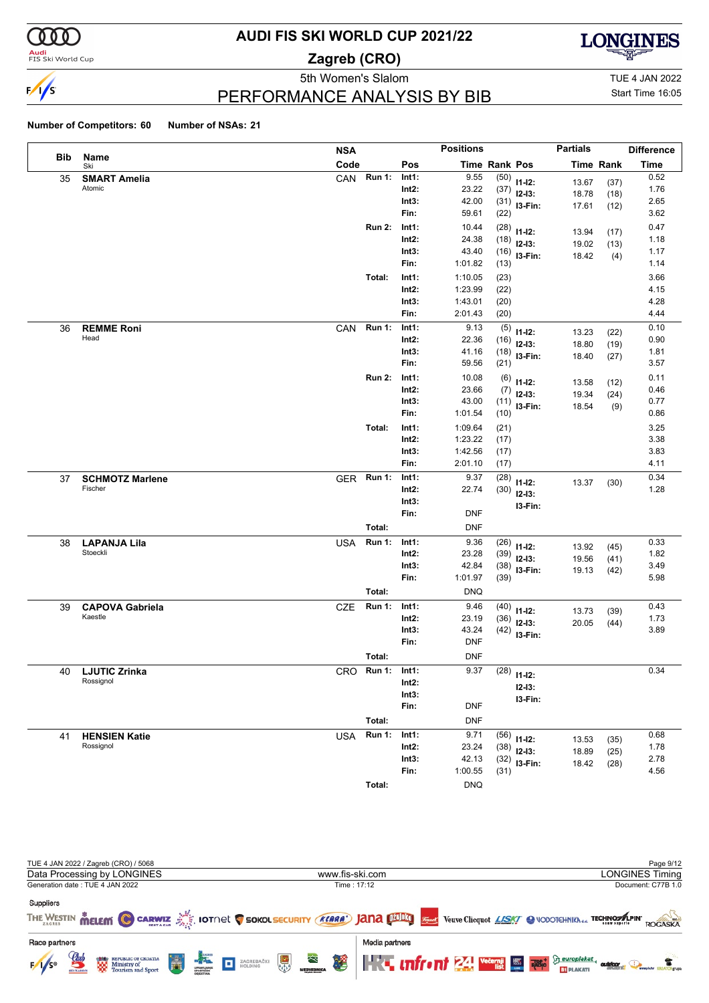

**Audi**<br>FIS Ski World Cup

# **AUDI FIS SKI WORLD CUP 2021/22**

**Zagreb (CRO)**



PERFORMANCE ANALYSIS BY BIB

5th Women's Slalom TUE 4 JAN 2022 Start Time 16:05

#### **Number of Competitors: 60 Number of NSAs: 21**

|     |                        | <b>NSA</b> |               |          | <b>Positions</b> |      |                | <b>Partials</b> |                  | <b>Difference</b> |
|-----|------------------------|------------|---------------|----------|------------------|------|----------------|-----------------|------------------|-------------------|
| Bib | <b>Name</b><br>Ski     | Code       |               | Pos      | Time Rank Pos    |      |                |                 | <b>Time Rank</b> | <b>Time</b>       |
| 35  | <b>SMART Amelia</b>    | CAN        | Run 1:        | Int1:    | 9.55             |      | $(50)$ 11-12:  | 13.67           | (37)             | 0.52              |
|     | Atomic                 |            |               | Int2:    | 23.22            |      | $(37)$ 12-13:  | 18.78           | (18)             | 1.76              |
|     |                        |            |               | Int3:    | 42.00            |      | $(31)$ 13-Fin: | 17.61           | (12)             | 2.65              |
|     |                        |            |               | Fin:     | 59.61            | (22) |                |                 |                  | 3.62              |
|     |                        |            | <b>Run 2:</b> | Int1:    | 10.44            |      | $(28)$ 11-12:  | 13.94           | (17)             | 0.47              |
|     |                        |            |               | Int2:    | 24.38            |      | $(18)$ 12-13:  | 19.02           | (13)             | 1.18              |
|     |                        |            |               | Int3:    | 43.40            |      | $(16)$ 13-Fin: | 18.42           | (4)              | 1.17              |
|     |                        |            |               | Fin:     | 1:01.82          | (13) |                |                 |                  | 1.14              |
|     |                        |            | Total:        | Int1:    | 1:10.05          | (23) |                |                 |                  | 3.66              |
|     |                        |            |               | Int2:    | 1:23.99          | (22) |                |                 |                  | 4.15              |
|     |                        |            |               | Int3:    | 1:43.01          | (20) |                |                 |                  | 4.28              |
|     |                        |            |               | Fin:     | 2:01.43          | (20) |                |                 |                  | 4.44              |
| 36  | <b>REMME Roni</b>      | CAN        | <b>Run 1:</b> | Int1:    | 9.13             | (5)  | $11 - 12$ :    | 13.23           | (22)             | 0.10              |
|     | Head                   |            |               | Int2:    | 22.36            |      | $(16)$ 12-13:  | 18.80           | (19)             | 0.90              |
|     |                        |            |               | Int3:    | 41.16            |      | $(18)$ 13-Fin: | 18.40           | (27)             | 1.81              |
|     |                        |            |               | Fin:     | 59.56            | (21) |                |                 |                  | 3.57              |
|     |                        |            | <b>Run 2:</b> | Int1:    | 10.08            |      | $(6)$ 11-12:   | 13.58           | (12)             | 0.11              |
|     |                        |            |               | Int2:    | 23.66            |      | $(7)$ 12-13:   | 19.34           | (24)             | 0.46              |
|     |                        |            |               | Int3:    | 43.00            |      | $(11)$ 13-Fin: | 18.54           | (9)              | 0.77              |
|     |                        |            |               | Fin:     | 1:01.54          | (10) |                |                 |                  | 0.86              |
|     |                        |            | Total:        | Int1:    | 1:09.64          | (21) |                |                 |                  | 3.25              |
|     |                        |            |               | Int2:    | 1:23.22          | (17) |                |                 |                  | 3.38              |
|     |                        |            |               | Int3:    | 1:42.56          | (17) |                |                 |                  | 3.83              |
|     |                        |            |               | Fin:     | 2:01.10          | (17) |                |                 |                  | 4.11              |
| 37  | <b>SCHMOTZ Marlene</b> | GER Run 1: |               | Int1:    | 9.37             | (28) | $11 - 12$ :    | 13.37           | (30)             | 0.34              |
|     | Fischer                |            |               | $Int2$ : | 22.74            |      | $(30)$ 12-13:  |                 |                  | 1.28              |
|     |                        |            |               | Int3:    |                  |      | I3-Fin:        |                 |                  |                   |
|     |                        |            |               | Fin:     | <b>DNF</b>       |      |                |                 |                  |                   |
|     |                        |            | Total:        |          | <b>DNF</b>       |      |                |                 |                  |                   |
| 38  | <b>LAPANJA Lila</b>    | <b>USA</b> | <b>Run 1:</b> | Int1:    | 9.36             |      | $(26)$ 11-12:  | 13.92           | (45)             | 0.33              |
|     | Stoeckli               |            |               | Int2:    | 23.28            |      | $(39)$ 12-13:  | 19.56           | (41)             | 1.82              |
|     |                        |            |               | Int3:    | 42.84            |      | $(38)$ 13-Fin: | 19.13           | (42)             | 3.49              |
|     |                        |            |               | Fin:     | 1:01.97          | (39) |                |                 |                  | 5.98              |
|     |                        |            | Total:        |          | <b>DNQ</b>       |      |                |                 |                  |                   |
| 39  | <b>CAPOVA Gabriela</b> | <b>CZE</b> | <b>Run 1:</b> | Int1:    | 9.46             |      | $(40)$ 11-12:  | 13.73           | (39)             | 0.43              |
|     | Kaestle                |            |               | $Int2$ : | 23.19            |      | $(36)$ 12-13:  | 20.05           | (44)             | 1.73              |
|     |                        |            |               | Int3:    | 43.24            |      | $(42)$ 13-Fin: |                 |                  | 3.89              |
|     |                        |            |               | Fin:     | <b>DNF</b>       |      |                |                 |                  |                   |
|     |                        |            | Total:        |          | <b>DNF</b>       |      |                |                 |                  |                   |
| 40  | <b>LJUTIC Zrinka</b>   | CRO        | <b>Run 1:</b> | Int1:    | 9.37             |      | $(28)$ 11-12:  |                 |                  | 0.34              |
|     | Rossignol              |            |               | $Int2$ : |                  |      | $12 - 13$ :    |                 |                  |                   |
|     |                        |            |               | Int3:    |                  |      | I3-Fin:        |                 |                  |                   |
|     |                        |            |               | Fin:     | <b>DNF</b>       |      |                |                 |                  |                   |
|     |                        |            | Total:        |          | <b>DNF</b>       |      |                |                 |                  |                   |
| 41  | <b>HENSIEN Katie</b>   | <b>USA</b> | <b>Run 1:</b> | Int1:    | 9.71             |      | $(56)$ 11-12:  |                 |                  | 0.68              |
|     | Rossignol              |            |               | $Int2$ : | 23.24            |      | $(38)$ 12-13:  | 13.53           | (35)             | 1.78              |
|     |                        |            |               | Int3:    | 42.13            |      | $(32)$ 13-Fin: | 18.89<br>18.42  | (25)             | 2.78              |
|     |                        |            |               | Fin:     | 1:00.55          | (31) |                |                 | (28)             | 4.56              |

TUE 4 JAN 2022 / Zagreb (CRO) / 5068 Page 9/12<br>
Data Processing by LONGINES News (CRO) and Data Processing by LONGINES Timing Data Processing by LONGINES www.fis-ski.com Generation date : TUE 4 JAN 2022 Time : 17:12 Document: C77B 1.0 Suppliers THE WESTIN **MELEM CO CARWIZ AND IDTOCK COOKOLSECURITY (KARA) JANA DIMBIO** SE Verve Clicquot LASK/ @ VODOTCHNIKN<sub>dd</sub> TECHNOMAPIN' ROGASKA Race partners Media partners REPUBLIC OF CROATIA<br>Ministry of<br>Tourism and Sport **K.** unfront 24 veeps so  $\sum_{i=1}^{\infty} \frac{eurobakat}{\text{subblock}}$ ZAGREBAČKI  $F/1/s^4$ **S BT** PLAKATI

**Total:** DNQ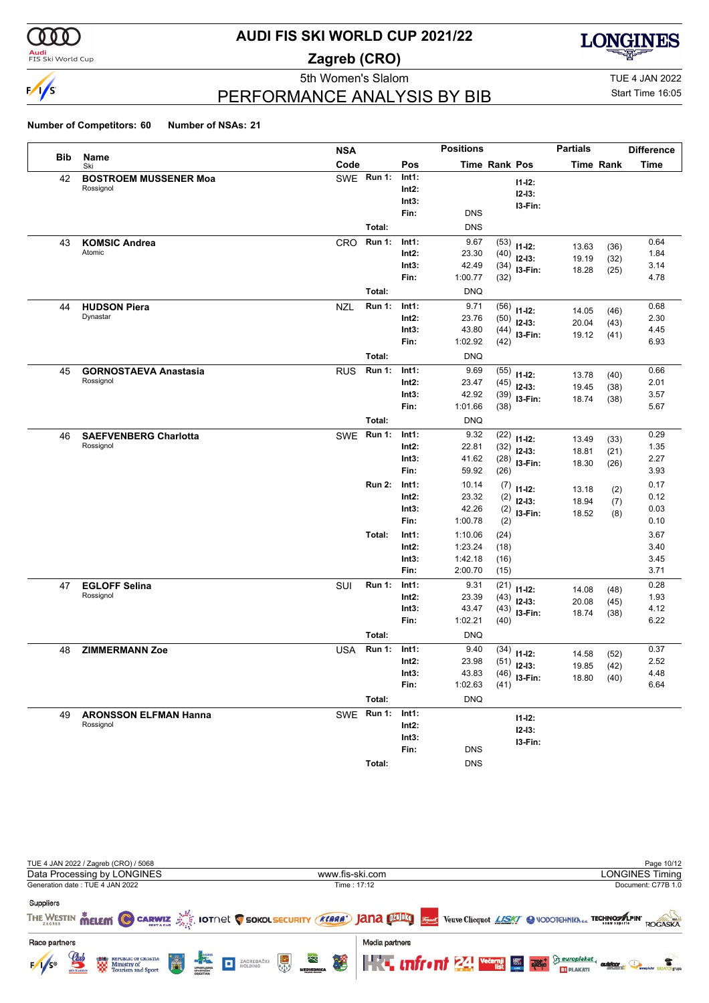

**Audi**<br>FIS Ski World Cup

### **AUDI FIS SKI WORLD CUP 2021/22**

**Zagreb (CRO)**



PERFORMANCE ANALYSIS BY BIB

5th Women's Slalom TUE 4 JAN 2022 Start Time 16:05

|            |                                           | <b>NSA</b> |               |                   | <b>Positions</b> |                      |                              | <b>Partials</b> |            | <b>Difference</b> |
|------------|-------------------------------------------|------------|---------------|-------------------|------------------|----------------------|------------------------------|-----------------|------------|-------------------|
| <b>Bib</b> | Name<br>Ski                               | Code       |               | Pos               |                  | <b>Time Rank Pos</b> |                              |                 | Time Rank  | Time              |
| 42         | <b>BOSTROEM MUSSENER Moa</b>              |            | SWE Run 1:    | Int1:             |                  |                      | $11 - 12$ :                  |                 |            |                   |
|            | Rossignol                                 |            |               | Int2:             |                  |                      | $12 - 13:$                   |                 |            |                   |
|            |                                           |            |               | Int3:             |                  |                      | I3-Fin:                      |                 |            |                   |
|            |                                           |            |               | Fin:              | <b>DNS</b>       |                      |                              |                 |            |                   |
|            |                                           |            | Total:        |                   | <b>DNS</b>       |                      |                              |                 |            |                   |
| 43         | <b>KOMSIC Andrea</b>                      | <b>CRO</b> | <b>Run 1:</b> | Int1:             | 9.67             | (53)                 | $11 - 12$ :                  | 13.63           | (36)       | 0.64              |
|            | Atomic                                    |            |               | Int2:             | 23.30            | (40)                 | $12 - 13:$                   | 19.19           | (32)       | 1.84              |
|            |                                           |            |               | Int3:             | 42.49            | (34)                 | I3-Fin:                      | 18.28           | (25)       | 3.14              |
|            |                                           |            |               | Fin:              | 1:00.77          | (32)                 |                              |                 |            | 4.78              |
|            |                                           |            | Total:        |                   | <b>DNQ</b>       |                      |                              |                 |            |                   |
| 44         | <b>HUDSON Piera</b>                       | NZL        | <b>Run 1:</b> | Int1:             | 9.71             | (56)                 | $11 - 12$ :                  | 14.05           | (46)       | 0.68              |
|            | Dynastar                                  |            |               | Int2:             | 23.76            | (50)                 | $12-13:$                     | 20.04           | (43)       | 2.30              |
|            |                                           |            |               | Int3:             | 43.80            | (44)                 | I3-Fin:                      | 19.12           | (41)       | 4.45              |
|            |                                           |            |               | Fin:              | 1:02.92          | (42)                 |                              |                 |            | 6.93              |
|            |                                           |            | Total:        |                   | <b>DNQ</b>       |                      |                              |                 |            |                   |
| 45         | <b>GORNOSTAEVA Anastasia</b><br>Rossignol | <b>RUS</b> | <b>Run 1:</b> | Int1:             | 9.69             | (55)                 | $11 - 12$ :                  | 13.78           | (40)       | 0.66              |
|            |                                           |            |               | Int2:             | 23.47            | (45)                 | $12-13:$                     | 19.45           | (38)       | 2.01              |
|            |                                           |            |               | Int3:<br>Fin:     | 42.92<br>1:01.66 | (39)                 | I3-Fin:                      | 18.74           | (38)       | 3.57<br>5.67      |
|            |                                           |            |               |                   |                  | (38)                 |                              |                 |            |                   |
|            |                                           |            | Total:        |                   | <b>DNQ</b>       |                      |                              |                 |            |                   |
| 46         | <b>SAEFVENBERG Charlotta</b>              | <b>SWE</b> | <b>Run 1:</b> | Int1:             | 9.32             | (22)                 | $11 - 12$ :                  | 13.49           | (33)       | 0.29              |
|            | Rossignol                                 |            |               | Int2:             | 22.81            | (32)                 | $12-13:$                     | 18.81           | (21)       | 1.35              |
|            |                                           |            |               | Int3:<br>Fin:     | 41.62<br>59.92   | (28)                 | I3-Fin:                      | 18.30           | (26)       | 2.27<br>3.93      |
|            |                                           |            |               |                   |                  | (26)                 |                              |                 |            |                   |
|            |                                           |            | <b>Run 2:</b> | Int1:             | 10.14            | (7)                  | $11 - 12$ :                  | 13.18           | (2)        | 0.17              |
|            |                                           |            |               | $Int2$ :<br>Int3: | 23.32<br>42.26   | (2)                  | $12-13:$                     | 18.94           | (7)        | 0.12<br>0.03      |
|            |                                           |            |               | Fin:              | 1:00.78          | (2)<br>(2)           | I3-Fin:                      | 18.52           | (8)        | 0.10              |
|            |                                           |            | Total:        | Int1:             | 1:10.06          | (24)                 |                              |                 |            | 3.67              |
|            |                                           |            |               | $Int2$ :          | 1:23.24          | (18)                 |                              |                 |            | 3.40              |
|            |                                           |            |               | Int3:             | 1:42.18          | (16)                 |                              |                 |            | 3.45              |
|            |                                           |            |               | Fin:              | 2:00.70          | (15)                 |                              |                 |            | 3.71              |
| 47         | <b>EGLOFF Selina</b>                      | <b>SUI</b> | <b>Run 1:</b> | Int1:             | 9.31             | (21)                 |                              |                 |            | 0.28              |
|            | Rossignol                                 |            |               | $Int2$ :          | 23.39            | (43)                 | $11 - 12$ :                  | 14.08           | (48)       | 1.93              |
|            |                                           |            |               | Int3:             | 43.47            | (43)                 | $12-13:$                     | 20.08           | (45)       | 4.12              |
|            |                                           |            |               | Fin:              | 1:02.21          | (40)                 | I3-Fin:                      | 18.74           | (38)       | 6.22              |
|            |                                           |            | Total:        |                   | <b>DNQ</b>       |                      |                              |                 |            |                   |
| 48         | <b>ZIMMERMANN Zoe</b>                     | <b>USA</b> | <b>Run 1:</b> | Int1:             | 9.40             | (34)                 |                              |                 |            | 0.37              |
|            |                                           |            |               | Int2:             | 23.98            | (51)                 | $11 - 12$ :                  | 14.58           | (52)       | 2.52              |
|            |                                           |            |               | Int3:             | 43.83            |                      | $12 - 13:$<br>$(46)$ 13-Fin: | 19.85           | (42)       | 4.48              |
|            |                                           |            |               | Fin:              | 1:02.63          | (41)                 |                              |                 | 18.80 (40) | 6.64              |
|            |                                           |            | Total:        |                   | <b>DNQ</b>       |                      |                              |                 |            |                   |
| 49         | <b>ARONSSON ELFMAN Hanna</b>              |            | SWE Run 1:    | Int1:             |                  |                      |                              |                 |            |                   |
|            | Rossignol                                 |            |               | Int2:             |                  |                      | $11 - 12$ :                  |                 |            |                   |
|            |                                           |            |               | Int3:             |                  |                      | $12 - 13:$                   |                 |            |                   |
|            |                                           |            |               | Fin:              | DNS              |                      | I3-Fin:                      |                 |            |                   |
|            |                                           |            | Total:        |                   | <b>DNS</b>       |                      |                              |                 |            |                   |

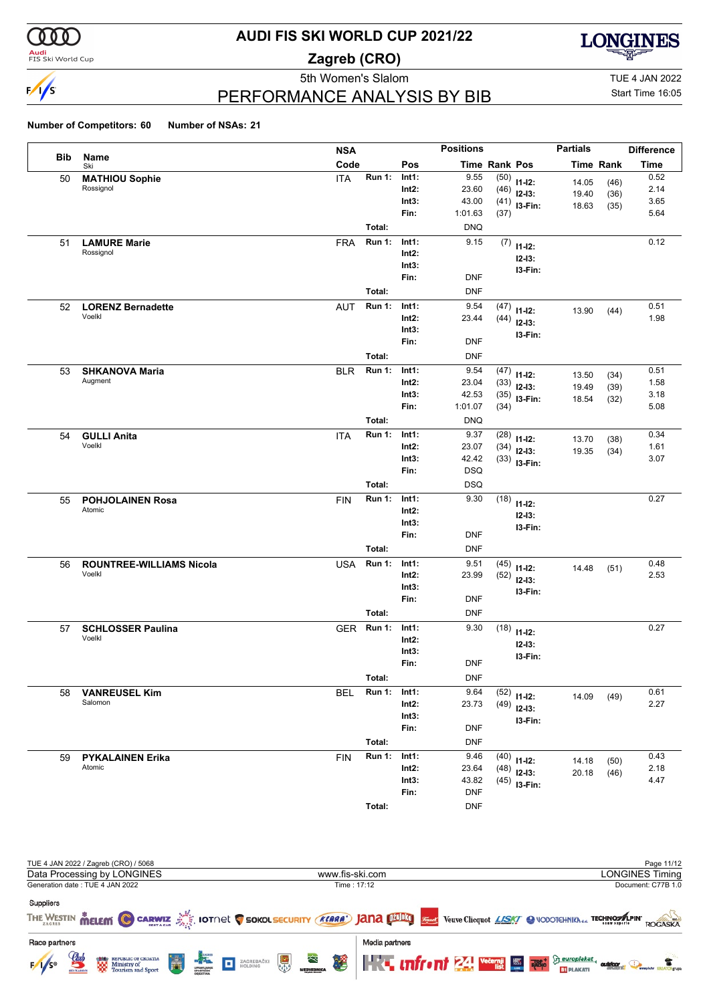

**Audi**<br>FIS Ski World Cup

### **AUDI FIS SKI WORLD CUP 2021/22**

**Zagreb (CRO)**



PERFORMANCE ANALYSIS BY BIB

5th Women's Slalom TUE 4 JAN 2022 Start Time 16:05

|            |                                    | <b>NSA</b> |               |                   | <b>Positions</b>     |              |                            | <b>Partials</b> |                  | <b>Difference</b> |
|------------|------------------------------------|------------|---------------|-------------------|----------------------|--------------|----------------------------|-----------------|------------------|-------------------|
| <b>Bib</b> | Name<br>Ski                        | Code       |               | Pos               | <b>Time Rank Pos</b> |              |                            |                 | <b>Time Rank</b> | <b>Time</b>       |
| 50         | <b>MATHIOU Sophie</b>              | <b>ITA</b> | <b>Run 1:</b> | Int1:             | 9.55                 | (50)         | $11 - 12$ :                | 14.05           | (46)             | 0.52              |
|            | Rossignol                          |            |               | $Int2$ :          | 23.60                | (46)         | $12-13:$                   | 19.40           | (36)             | 2.14              |
|            |                                    |            |               | Int3:             | 43.00                |              | $(41)$ 13-Fin:             | 18.63           | (35)             | 3.65              |
|            |                                    |            |               | Fin:              | 1:01.63              | (37)         |                            |                 |                  | 5.64              |
|            |                                    |            | Total:        |                   | <b>DNQ</b>           |              |                            |                 |                  |                   |
| 51         | <b>LAMURE Marie</b>                | <b>FRA</b> | <b>Run 1:</b> | Int1:             | 9.15                 | (7)          | $11 - 12$ :                |                 |                  | 0.12              |
|            | Rossignol                          |            |               | $Int2$ :          |                      |              | $12 - 13:$                 |                 |                  |                   |
|            |                                    |            |               | Int3:             |                      |              | I3-Fin:                    |                 |                  |                   |
|            |                                    |            |               | Fin:              | <b>DNF</b>           |              |                            |                 |                  |                   |
|            |                                    |            | Total:        |                   | <b>DNF</b>           |              |                            |                 |                  |                   |
| 52         | <b>LORENZ Bernadette</b><br>Voelkl | <b>AUT</b> | Run 1:        | Int1:             | 9.54                 | (47)         | $11 - 12$ :                | 13.90           | (44)             | 0.51              |
|            |                                    |            |               | $Int2$ :<br>Int3: | 23.44                | (44)         | $12-13:$                   |                 |                  | 1.98              |
|            |                                    |            |               | Fin:              | <b>DNF</b>           |              | I3-Fin:                    |                 |                  |                   |
|            |                                    |            | Total:        |                   | <b>DNF</b>           |              |                            |                 |                  |                   |
|            |                                    |            |               |                   |                      |              |                            |                 |                  |                   |
| 53         | <b>SHKANOVA Maria</b><br>Augment   | <b>BLR</b> | <b>Run 1:</b> | Int1:<br>$Int2$ : | 9.54<br>23.04        | (47)         | $11 - 12$ :                | 13.50           | (34)             | 0.51<br>1.58      |
|            |                                    |            |               | Int3:             | 42.53                | (33)<br>(35) | $12-13:$                   | 19.49           | (39)             | 3.18              |
|            |                                    |            |               | Fin:              | 1:01.07              | (34)         | I3-Fin:                    | 18.54           | (32)             | 5.08              |
|            |                                    |            | Total:        |                   | <b>DNQ</b>           |              |                            |                 |                  |                   |
| 54         | <b>GULLI Anita</b>                 | <b>ITA</b> | <b>Run 1:</b> | Int1:             | 9.37                 | (28)         |                            |                 |                  | 0.34              |
|            | Voelkl                             |            |               | $Int2$ :          | 23.07                | (34)         | $11 - 12$ :                | 13.70           | (38)             | 1.61              |
|            |                                    |            |               | Int3:             | 42.42                |              | $12-13:$<br>$(33)$ 13-Fin: | 19.35           | (34)             | 3.07              |
|            |                                    |            |               | Fin:              | <b>DSQ</b>           |              |                            |                 |                  |                   |
|            |                                    |            | Total:        |                   | <b>DSQ</b>           |              |                            |                 |                  |                   |
| 55         | <b>POHJOLAINEN Rosa</b>            | <b>FIN</b> | <b>Run 1:</b> | Int1:             | 9.30                 | (18)         | $11 - 12$ :                |                 |                  | 0.27              |
|            | Atomic                             |            |               | $Int2$ :          |                      |              | $12 - 13:$                 |                 |                  |                   |
|            |                                    |            |               | Int3:             |                      |              | I3-Fin:                    |                 |                  |                   |
|            |                                    |            |               | Fin:              | <b>DNF</b>           |              |                            |                 |                  |                   |
|            |                                    |            | Total:        |                   | <b>DNF</b>           |              |                            |                 |                  |                   |
| 56         | <b>ROUNTREE-WILLIAMS Nicola</b>    | <b>USA</b> | <b>Run 1:</b> | Int1:             | 9.51                 | (45)         | $11 - 12$ :                | 14.48           | (51)             | 0.48              |
|            | Voelkl                             |            |               | $Int2$ :          | 23.99                | (52)         | $12-13:$                   |                 |                  | 2.53              |
|            |                                    |            |               | Int3:             |                      |              | I3-Fin:                    |                 |                  |                   |
|            |                                    |            |               | Fin:              | <b>DNF</b>           |              |                            |                 |                  |                   |
|            |                                    |            | Total:        |                   | <b>DNF</b>           |              |                            |                 |                  |                   |
| 57         | <b>SCHLOSSER Paulina</b>           | <b>GER</b> | <b>Run 1:</b> | Int1:             | 9.30                 | (18)         | $11 - 12$ :                |                 |                  | 0.27              |
|            | Voelkl                             |            |               | $Int2$ :          |                      |              | $12 - 13:$                 |                 |                  |                   |
|            |                                    |            |               | Int3:             |                      |              | I3-Fin:                    |                 |                  |                   |
|            |                                    |            |               | Fin:              | <b>DNF</b>           |              |                            |                 |                  |                   |
|            |                                    |            | Total:        |                   | <b>DNF</b>           |              |                            |                 |                  |                   |
| 58         | <b>VANREUSEL Kim</b>               | <b>BEL</b> | <b>Run 1:</b> | Int1:             | 9.64                 | (52)         | $11 - 12$ :                | 14.09           | (49)             | 0.61              |
|            | Salomon                            |            |               | $Int2$ :          | 23.73                | (49)         | $12-13:$                   |                 |                  | 2.27              |
|            |                                    |            |               | Int3:             |                      |              | I3-Fin:                    |                 |                  |                   |
|            |                                    |            |               | Fin:              | <b>DNF</b>           |              |                            |                 |                  |                   |
|            |                                    |            | Total:        |                   | <b>DNF</b>           |              |                            |                 |                  |                   |
| 59         | <b>PYKALAINEN Erika</b>            | <b>FIN</b> | <b>Run 1:</b> | Int1:             | 9.46                 | (40)         | $11 - 12$ :                | 14.18           | (50)             | 0.43              |
|            | Atomic                             |            |               | $Int2$ :          | 23.64                | (48)         | $12-13:$                   | 20.18           | (46)             | 2.18              |
|            |                                    |            |               | Int3:             | 43.82                |              | $(45)$ 13-Fin:             |                 |                  | 4.47              |
|            |                                    |            |               | Fin:              | <b>DNF</b>           |              |                            |                 |                  |                   |
|            |                                    |            | Total:        |                   | <b>DNF</b>           |              |                            |                 |                  |                   |

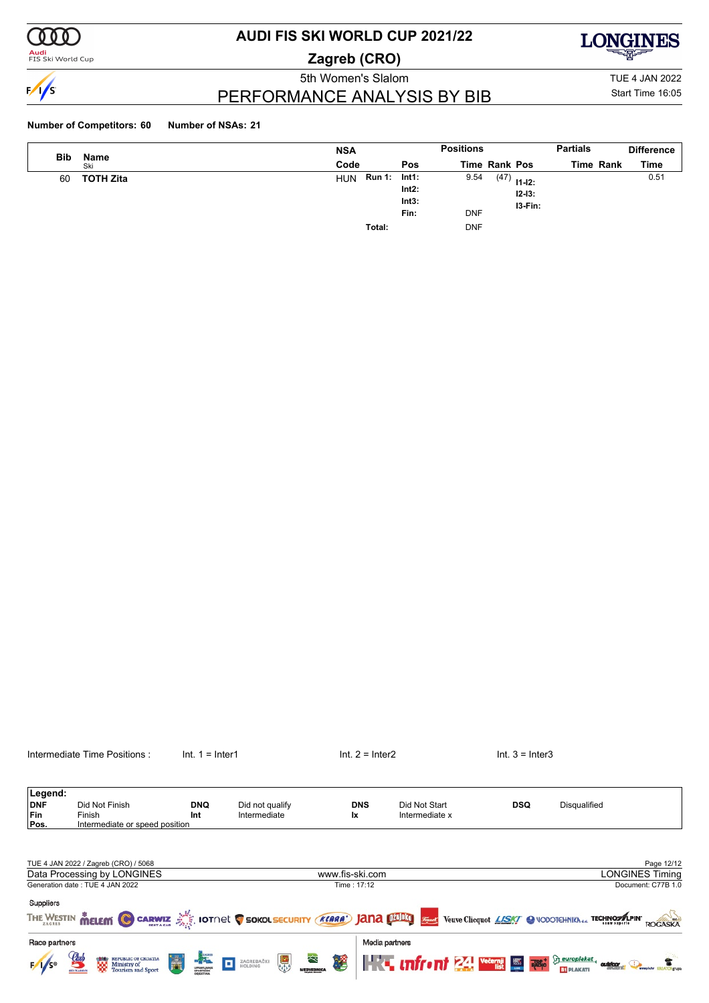

**Audi**<br>FIS Ski World Cup

# **AUDI FIS SKI WORLD CUP 2021/22**

**Zagreb (CRO)**



PERFORMANCE ANALYSIS BY BIB

5th Women's Slalom TUE 4 JAN 2022 Start Time 16:05

| <b>Bib</b> | Name             | <b>NSA</b> |               |                                    | <b>Positions</b>   |               |                       | <b>Partials</b> | <b>Difference</b> |
|------------|------------------|------------|---------------|------------------------------------|--------------------|---------------|-----------------------|-----------------|-------------------|
|            | Ski              | Code       |               | <b>Pos</b>                         |                    | Time Rank Pos |                       | Time Rank       | Time              |
| 60         | <b>TOTH Zita</b> | <b>HUN</b> | <b>Run 1:</b> | Int1:<br>$Int2$ :<br>Int3:<br>Fin: | 9.54<br><b>DNF</b> | $(47)$ 11-12: | $12 - 13:$<br>I3-Fin: |                 | 0.51              |
|            |                  |            | Total:        |                                    | <b>DNF</b>         |               |                       |                 |                   |

|                                      | Intermediate Time Positions:                                                                                | $Int. 1 = Inter1$                                                                                                                                                                                                                                                                                                                                                                                            |                                 | $Int. 2 = Inter2$       |                                                     | $Int. 3 = Inter3$ |                                                                                                   |
|--------------------------------------|-------------------------------------------------------------------------------------------------------------|--------------------------------------------------------------------------------------------------------------------------------------------------------------------------------------------------------------------------------------------------------------------------------------------------------------------------------------------------------------------------------------------------------------|---------------------------------|-------------------------|-----------------------------------------------------|-------------------|---------------------------------------------------------------------------------------------------|
| Legend:<br><b>DNF</b><br>Fin<br>Pos. | Did Not Finish<br>Finish<br>Intermediate or speed position                                                  | <b>DNQ</b><br>Int                                                                                                                                                                                                                                                                                                                                                                                            | Did not qualify<br>Intermediate | <b>DNS</b><br><b>Ix</b> | Did Not Start<br>Intermediate x                     | <b>DSQ</b>        | <b>Disqualified</b>                                                                               |
|                                      | TUE 4 JAN 2022 / Zagreb (CRO) / 5068<br>Data Processing by LONGINES                                         |                                                                                                                                                                                                                                                                                                                                                                                                              |                                 | www.fis-ski.com         |                                                     |                   | Page 12/12<br><b>LONGINES Timing</b>                                                              |
| Suppliers                            | Generation date: TUE 4 JAN 2022<br>THE WESTIN MELEM @ CARWIZ AND LOTAL C SOKOL SECURITY (KLARA) JANA DELIGI |                                                                                                                                                                                                                                                                                                                                                                                                              |                                 | Time: 17:12             |                                                     |                   | Document: C77B 1.0<br>France Veuve Clicquot LISKI & VODOTEHNIKAdd TECHNOSILPIN'<br><b>ROGASKA</b> |
| Race partners                        | Ħ<br><b>ERRO REPUBLIC OF CROATIA</b><br>Ministry of<br>Tourism and Sport                                    | $\begin{picture}(20,20) \put(0,0){\vector(0,1){10}} \put(15,0){\vector(0,1){10}} \put(15,0){\vector(0,1){10}} \put(15,0){\vector(0,1){10}} \put(15,0){\vector(0,1){10}} \put(15,0){\vector(0,1){10}} \put(15,0){\vector(0,1){10}} \put(15,0){\vector(0,1){10}} \put(15,0){\vector(0,1){10}} \put(15,0){\vector(0,1){10}} \put(15,0){\vector(0,1){10}} \put(15,0){\vector(0$<br>o<br>UPRAVLJANJI<br>SPORTSKIH | 冬<br>鳯<br>ZAGREBAČKI<br>HOLDING | Media partners<br>薯     | <b>The uniform 24 vecessi Electroplated</b> content |                   | <b>BY PLAKATI</b>                                                                                 |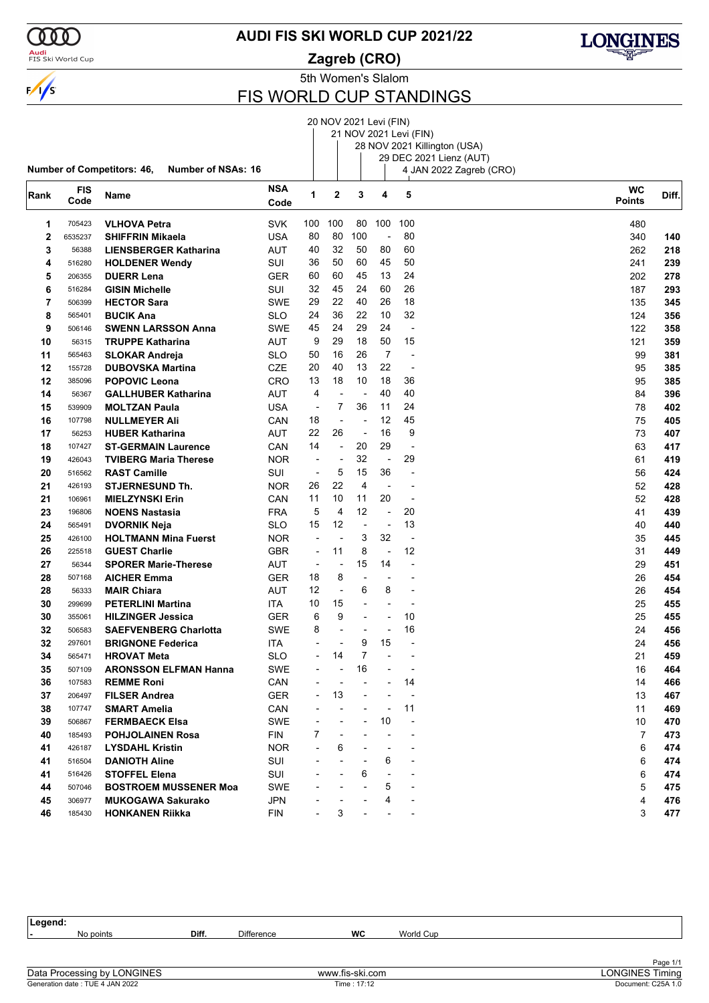

<mark>Audi</mark><br>FIS Ski World Cup

**AUDI FIS SKI WORLD CUP 2021/22**





### FIS WORLD CUP STANDINGS

|      |         |                                                                |            |                          | 20 NOV 2021 Levi (FIN)   |                          |                |                              |                         |               |       |
|------|---------|----------------------------------------------------------------|------------|--------------------------|--------------------------|--------------------------|----------------|------------------------------|-------------------------|---------------|-------|
|      |         |                                                                |            |                          |                          |                          |                | 21 NOV 2021 Levi (FIN)       |                         |               |       |
|      |         |                                                                |            |                          |                          |                          |                | 28 NOV 2021 Killington (USA) |                         |               |       |
|      |         |                                                                |            |                          |                          |                          |                |                              | 29 DEC 2021 Lienz (AUT) |               |       |
|      |         | <b>Number of Competitors: 46,</b><br><b>Number of NSAs: 16</b> |            |                          |                          |                          |                |                              | 4 JAN 2022 Zagreb (CRO) |               |       |
| Rank | FIS     | Name                                                           | <b>NSA</b> | 1                        | 2                        | 3                        | 4              | 5                            |                         | <b>WC</b>     | Diff. |
|      | Code    |                                                                | Code       |                          |                          |                          |                |                              |                         | <b>Points</b> |       |
| 1    | 705423  | <b>VLHOVA Petra</b>                                            | <b>SVK</b> | 100                      | 100                      | 80                       | 100            | 100                          |                         | 480           |       |
| 2    | 6535237 | <b>SHIFFRIN Mikaela</b>                                        | <b>USA</b> | 80                       | 80                       | 100                      | ÷,             | 80                           |                         | 340           | 140   |
| 3    | 56388   | <b>LIENSBERGER Katharina</b>                                   | AUT        | 40                       | 32                       | 50                       | 80             | 60                           |                         | 262           | 218   |
| 4    | 516280  | <b>HOLDENER Wendy</b>                                          | SUI        | 36                       | 50                       | 60                       | 45             | 50                           |                         | 241           | 239   |
| 5    | 206355  | <b>DUERR Lena</b>                                              | <b>GER</b> | 60                       | 60                       | 45                       | 13             | 24                           |                         | 202           | 278   |
| 6    | 516284  | <b>GISIN Michelle</b>                                          | SUI        | 32                       | 45                       | 24                       | 60             | 26                           |                         | 187           | 293   |
| 7    | 506399  | <b>HECTOR Sara</b>                                             | SWE        | 29                       | 22                       | 40                       | 26             | 18                           |                         | 135           | 345   |
| 8    | 565401  | <b>BUCIK Ana</b>                                               | <b>SLO</b> | 24                       | 36                       | 22                       | 10             | 32                           |                         | 124           | 356   |
| 9    | 506146  | <b>SWENN LARSSON Anna</b>                                      | <b>SWE</b> | 45                       | 24                       | 29                       | 24             | ÷,                           |                         | 122           | 358   |
| 10   | 56315   | <b>TRUPPE Katharina</b>                                        | AUT        | 9                        | 29                       | 18                       | 50             | 15                           |                         | 121           | 359   |
| 11   | 565463  | <b>SLOKAR Andreja</b>                                          | SLO        | 50                       | 16                       | 26                       | $\overline{7}$ | $\overline{a}$               |                         | 99            | 381   |
| 12   | 155728  | <b>DUBOVSKA Martina</b>                                        | CZE        | 20                       | 40                       | 13                       | 22             | ÷,                           |                         | 95            | 385   |
| 12   | 385096  | <b>POPOVIC Leona</b>                                           | CRO        | 13                       | 18                       | 10                       | 18             | 36                           |                         | 95            | 385   |
| 14   | 56367   | <b>GALLHUBER Katharina</b>                                     | AUT        | 4                        | L,                       | $\overline{a}$           | 40             | 40                           |                         | 84            | 396   |
| 15   | 539909  | <b>MOLTZAN Paula</b>                                           | <b>USA</b> | ÷,                       | 7                        | 36                       | 11             | 24                           |                         | 78            | 402   |
| 16   | 107798  | <b>NULLMEYER Ali</b>                                           | CAN        | 18                       | L,                       | $\overline{a}$           | 12             | 45                           |                         | 75            | 405   |
| 17   | 56253   | <b>HUBER Katharina</b>                                         | AUT        | 22                       | 26                       | ÷,                       | 16             | 9                            |                         | 73            | 407   |
| 18   | 107427  | <b>ST-GERMAIN Laurence</b>                                     | CAN        | 14                       | $\overline{\phantom{a}}$ | 20                       | 29             | ÷,                           |                         | 63            | 417   |
| 19   | 426043  | <b>TVIBERG Maria Therese</b>                                   | <b>NOR</b> | $\overline{\phantom{a}}$ | ÷,                       | 32                       | ÷,             | 29                           |                         | 61            | 419   |
| 20   | 516562  | <b>RAST Camille</b>                                            | SUI        | $\overline{\phantom{a}}$ | 5                        | 15                       | 36             | $\overline{a}$               |                         | 56            | 424   |
| 21   | 426193  | <b>STJERNESUND Th.</b>                                         | <b>NOR</b> | 26                       | 22                       | $\overline{4}$           | $\overline{a}$ | $\blacksquare$               |                         | 52            | 428   |
| 21   | 106961  | <b>MIELZYNSKI Erin</b>                                         | CAN        | 11                       | 10                       | 11                       | 20             | ÷,                           |                         | 52            | 428   |
| 23   | 196806  | <b>NOENS Nastasia</b>                                          | <b>FRA</b> | 5                        | $\overline{4}$           | 12                       | $\blacksquare$ | 20                           |                         | 41            | 439   |
| 24   | 565491  | <b>DVORNIK Neja</b>                                            | SLO        | 15                       | 12                       | $\overline{\phantom{a}}$ | ÷,             | 13                           |                         | 40            | 440   |
| 25   | 426100  | <b>HOLTMANN Mina Fuerst</b>                                    | <b>NOR</b> | ÷,                       | ÷,                       | 3                        | 32             | $\overline{a}$               |                         | 35            | 445   |
| 26   | 225518  | <b>GUEST Charlie</b>                                           | <b>GBR</b> | $\overline{\phantom{a}}$ | 11                       | 8                        | $\overline{a}$ | 12                           |                         | 31            | 449   |
| 27   | 56344   | <b>SPORER Marie-Therese</b>                                    | AUT        | $\overline{\phantom{a}}$ | $\overline{a}$           | 15                       | 14             | $\overline{a}$               |                         | 29            | 451   |
| 28   | 507168  | <b>AICHER Emma</b>                                             | GER        | 18                       | 8                        | ÷                        |                | $\overline{\phantom{a}}$     |                         | 26            | 454   |
| 28   | 56333   | <b>MAIR Chiara</b>                                             | AUT        | 12                       | $\overline{\phantom{a}}$ | 6                        | 8              | $\overline{a}$               |                         | 26            | 454   |
| 30   | 299699  | <b>PETERLINI Martina</b>                                       | ITA        | 10                       | 15                       | $\overline{a}$           | $\overline{a}$ | $\overline{a}$               |                         | 25            | 455   |
| 30   | 355061  | <b>HILZINGER Jessica</b>                                       | GER        | 6                        | 9                        | $\overline{a}$           | ÷              | 10                           |                         | 25            | 455   |
| 32   | 506583  | <b>SAEFVENBERG Charlotta</b>                                   | <b>SWE</b> | 8                        | $\overline{a}$           | $\blacksquare$           | $\overline{a}$ | 16                           |                         | 24            | 456   |
| 32   | 297601  | <b>BRIGNONE Federica</b>                                       | ITA        | L,                       |                          | 9                        | 15             | $\blacksquare$               |                         | 24            | 456   |
| 34   | 565471  | <b>HROVAT Meta</b>                                             | SLO        |                          | 14                       |                          |                |                              |                         | 21            | 459   |
| 35   | 507109  | <b>ARONSSON ELFMAN Hanna</b>                                   | <b>SWE</b> |                          |                          | 16                       |                |                              |                         | 16            | 464   |
| 36   | 107583  | <b>REMME Roni</b>                                              | CAN        |                          | ÷                        |                          |                | 14                           |                         | 14            | 466   |
| 37   | 206497  | <b>FILSER Andrea</b>                                           | <b>GER</b> |                          | 13                       |                          |                | $\overline{a}$               |                         | 13            | 467   |
| 38   | 107747  | <b>SMART Amelia</b>                                            | CAN        |                          |                          |                          | $\overline{a}$ | 11                           |                         | 11            | 469   |
| 39   | 506867  | <b>FERMBAECK Elsa</b>                                          | SWE        |                          |                          |                          | 10             | $\overline{a}$               |                         | 10            | 470   |
| 40   | 185493  | <b>POHJOLAINEN Rosa</b>                                        | FIN        | 7                        |                          |                          |                |                              |                         | 7             | 473   |
| 41   | 426187  | <b>LYSDAHL Kristin</b>                                         | NOR.       |                          | 6                        |                          |                |                              |                         | 6             | 474   |
| 41   | 516504  | <b>DANIOTH Aline</b>                                           | SUI        |                          |                          |                          | 6              | ٠                            |                         | 6             | 474   |
| 41   | 516426  | <b>STOFFEL Elena</b>                                           | SUI        |                          |                          | 6                        |                |                              |                         | 6             | 474   |
| 44   | 507046  | <b>BOSTROEM MUSSENER Moa</b>                                   | SWE        |                          |                          |                          | 5              | $\blacksquare$               |                         | 5             | 475   |
| 45   | 306977  | <b>MUKOGAWA Sakurako</b>                                       | <b>JPN</b> |                          |                          |                          | 4              |                              |                         | 4             | 476   |
| 46   | 185430  | <b>HONKANEN Riikka</b>                                         | <b>FIN</b> |                          | 3                        |                          |                |                              |                         | 3             | 477   |
|      |         |                                                                |            |                          |                          |                          |                |                              |                         |               |       |

**Legend: -** No points **Diff.** Difference **WC** World Cup Generation date : TUE 4 JAN 2022 Time : 17:12 Document: C25A 1.0 Data Processing by LONGINES www.fis-ski.com LONGINES Timing

LONGINES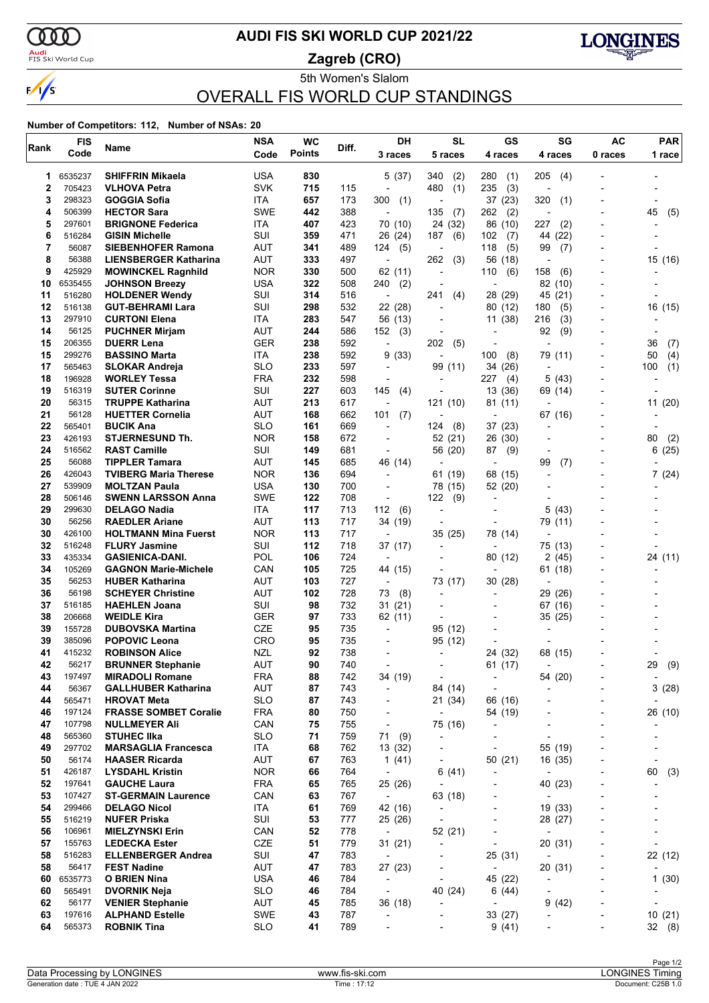

### <mark>Audi</mark><br>FIS Ski World Cup

### **AUDI FIS SKI WORLD CUP 2021/22**

**Zagreb (CRO)**



5th Women's Slalom OVERALL FIS WORLD CUP STANDINGS

| Rank     | <b>FIS</b>        | Name                                              | <b>NSA</b>               | <b>WC</b>     | Diff.      | DH                                                   | <b>SL</b>                 | <b>GS</b>                             | SG                                  | <b>AC</b>                | PAR                             |
|----------|-------------------|---------------------------------------------------|--------------------------|---------------|------------|------------------------------------------------------|---------------------------|---------------------------------------|-------------------------------------|--------------------------|---------------------------------|
|          | Code              |                                                   | Code                     | <b>Points</b> |            | 3 races                                              | 5 races                   | 4 races                               | 4 races                             | 0 races                  | 1 race                          |
| 1        | 6535237           | <b>SHIFFRIN Mikaela</b>                           | <b>USA</b>               | 830           |            | 5(37)                                                | 340<br>(2)                | 280<br>(1)                            | 205<br>(4)                          |                          |                                 |
| 2        | 705423            | <b>VLHOVA Petra</b>                               | <b>SVK</b>               | 715           | 115        | $\overline{a}$                                       | 480<br>(1)                | 235<br>(3)                            |                                     |                          |                                 |
| 3        | 298323            | GOGGIA Sofia                                      | ITA                      | 657           | 173        | 300<br>(1)                                           |                           | 37(23)                                | 320<br>(1)                          |                          |                                 |
| 4        | 506399            | <b>HECTOR Sara</b>                                | <b>SWE</b>               | 442           | 388        | $\overline{\phantom{a}}$                             | 135<br>(7)                | 262<br>(2)                            |                                     |                          | 45<br>(5)                       |
| 5        | 297601            | <b>BRIGNONE Federica</b>                          | ITA                      | 407           | 423        | 70 (10)                                              | 24 (32)                   | 86 (10)                               | 227<br>(2)                          |                          |                                 |
| 6        | 516284            | <b>GISIN Michelle</b>                             | SUI                      | 359           | 471        | 26 (24)                                              | 187<br>(6)                | 102<br>(7)                            | 44<br>(22)                          |                          |                                 |
| 7        | 56087             | <b>SIEBENHOFER Ramona</b>                         | AUT                      | 341           | 489        | (5)<br>124                                           |                           | 118<br>(5)                            | 99<br>(7)                           |                          |                                 |
| 8        | 56388             | <b>LIENSBERGER Katharina</b>                      | AUT                      | 333           | 497        | $\overline{\phantom{a}}$                             | 262<br>(3)                | 56<br>(18)                            |                                     |                          | 15 (16)                         |
| 9<br>10  | 425929<br>6535455 | <b>MOWINCKEL Ragnhild</b>                         | <b>NOR</b><br><b>USA</b> | 330<br>322    | 500<br>508 | 62 (11)                                              | $\overline{a}$            | 110<br>(6)<br>$\overline{a}$          | 158<br>(6)<br>82 (10)               |                          |                                 |
| 11       | 516280            | <b>JOHNSON Breezy</b><br><b>HOLDENER Wendy</b>    | SUI                      | 314           | 516        | 240<br>(2)<br>÷,                                     | 241<br>(4)                | 28 (29)                               | 45 (21)                             |                          |                                 |
| 12       | 516138            | <b>GUT-BEHRAMI Lara</b>                           | SUI                      | 298           | 532        | 22 (28)                                              | $\overline{\phantom{a}}$  | 80 (12)                               | 180<br>(5)                          | $\blacksquare$           | 16 (15)                         |
| 13       | 297910            | <b>CURTONI Elena</b>                              | ITA                      | 283           | 547        | 56 (13)                                              |                           | 11 (38)                               | 216<br>(3)                          |                          |                                 |
| 14       | 56125             | <b>PUCHNER Mirjam</b>                             | <b>AUT</b>               | 244           | 586        | 152<br>(3)                                           |                           |                                       | 92<br>(9)                           |                          |                                 |
| 15       | 206355            | <b>DUERR Lena</b>                                 | GER                      | 238           | 592        | $\overline{\phantom{a}}$                             | 202<br>(5)                | $\overline{\phantom{0}}$              | $\overline{\phantom{a}}$            |                          | (7)<br>36                       |
| 15       | 299276            | <b>BASSINO Marta</b>                              | <b>ITA</b>               | 238           | 592        | 9(33)                                                |                           | 100<br>(8)                            | 79 (11)                             |                          | 50<br>(4)                       |
| 17       | 565463            | <b>SLOKAR Andreja</b>                             | <b>SLO</b>               | 233           | 597        | $\overline{\phantom{a}}$                             | 99 (11)                   | 34 (26)                               |                                     |                          | 100<br>(1)                      |
| 18       | 196928            | <b>WORLEY Tessa</b>                               | <b>FRA</b>               | 232           | 598        | $\overline{\phantom{a}}$                             | $\overline{\phantom{a}}$  | 227<br>(4)                            | 5<br>(43)                           |                          | $\overline{\phantom{0}}$        |
| 19       | 516319            | <b>SUTER Corinne</b>                              | SUI                      | 227           | 603        | 145<br>(4)                                           |                           | 13 (36)                               | 69 (14)                             |                          |                                 |
| 20       | 56315             | <b>TRUPPE Katharina</b>                           | AUT                      | 213           | 617        | $\overline{\phantom{a}}$                             | 121 (10)                  | 81 (11)                               |                                     |                          | 11(20)                          |
| 21       | 56128             | <b>HUETTER Cornelia</b>                           | AUT                      | 168           | 662        | 101<br>(7)                                           |                           | $\blacksquare$                        | 67 (16)                             | $\blacksquare$           |                                 |
| 22       | 565401            | <b>BUCIK Ana</b>                                  | <b>SLO</b>               | 161           | 669        | $\overline{a}$                                       | (8)<br>124                | 37(23)                                |                                     |                          |                                 |
| 23       | 426193            | <b>STJERNESUND Th.</b>                            | <b>NOR</b>               | 158           | 672        |                                                      | 52 (21)                   | 26 (30)                               |                                     |                          | 80<br>(2)                       |
| 24<br>25 | 516562<br>56088   | <b>RAST Camille</b><br><b>TIPPLER Tamara</b>      | SUI<br>AUT               | 149           | 681<br>685 | $\overline{\phantom{a}}$<br>46 (14)                  | 56 (20)<br>$\blacksquare$ | (9)<br>87<br>$\overline{\phantom{a}}$ | $\overline{\phantom{a}}$<br>99      |                          | 6(25)                           |
| 26       | 426043            | <b>TVIBERG Maria Therese</b>                      | <b>NOR</b>               | 145<br>136    | 694        | $\overline{\phantom{a}}$                             | 61 (19)                   | 68 (15)                               | (7)<br>$\overline{\phantom{a}}$     |                          | 7(24)                           |
| 27       | 539909            | <b>MOLTZAN Paula</b>                              | USA                      | 130           | 700        | $\overline{\phantom{a}}$                             | 78 (15)                   | 52 (20)                               | $\overline{\phantom{a}}$            |                          |                                 |
| 28       | 506146            | <b>SWENN LARSSON Anna</b>                         | <b>SWE</b>               | 122           | 708        | ÷,                                                   | 122<br>(9)                | $\overline{\phantom{a}}$              |                                     |                          |                                 |
| 29       | 299630            | <b>DELAGO Nadia</b>                               | ITA                      | 117           | 713        | 112<br>(6)                                           | $\overline{a}$            |                                       | 5<br>(43)                           |                          |                                 |
| 30       | 56256             | <b>RAEDLER Ariane</b>                             | AUT                      | 113           | 717        | 34 (19)                                              | $\overline{\phantom{a}}$  | $\overline{\phantom{a}}$              | 79 (11)                             |                          |                                 |
| 30       | 426100            | <b>HOLTMANN Mina Fuerst</b>                       | <b>NOR</b>               | 113           | 717        | $\overline{\phantom{a}}$                             | 35 (25)                   | 78 (14)                               |                                     |                          |                                 |
| 32       | 516248            | <b>FLURY Jasmine</b>                              | SUI                      | 112           | 718        | 37 (17)                                              | $\overline{a}$            |                                       | 75 (13)                             |                          |                                 |
| 33       | 435334            | <b>GASIENICA-DANI.</b>                            | POL                      | 106           | 724        | $\overline{\phantom{a}}$                             | $\overline{\phantom{a}}$  | 80 (12)                               | 2(45)                               | $\blacksquare$           | 24 (11)                         |
| 34       | 105269            | <b>GAGNON Marie-Michele</b>                       | CAN                      | 105           | 725        | 44 (15)                                              |                           |                                       | 61 (18)                             |                          |                                 |
| 35       | 56253             | <b>HUBER Katharina</b>                            | AUT                      | 103           | 727        | $\overline{\phantom{a}}$                             | 73 (17)                   | 30 (28)                               |                                     |                          |                                 |
| 36       | 56198             | <b>SCHEYER Christine</b>                          | AUT                      | 102           | 728        | 73<br>(8)                                            | $\overline{\phantom{a}}$  | $\overline{\phantom{a}}$              | 29 (26)                             |                          |                                 |
| 37       | 516185            | <b>HAEHLEN Joana</b>                              | SUI                      | 98            | 732        | 31(21)                                               |                           |                                       | 67 (16)                             |                          |                                 |
| 38       | 206668            | <b>WEIDLE Kira</b>                                | <b>GER</b>               | 97            | 733        | 62 (11)                                              | $\overline{a}$            |                                       | 35(25)                              |                          |                                 |
| 39       | 155728            | <b>DUBOVSKA Martina</b>                           | CZE                      | 95            | 735        | $\overline{\phantom{a}}$                             | 95 (12)                   | $\overline{a}$                        | $\overline{\phantom{a}}$            |                          |                                 |
| 39<br>41 | 385096<br>415232  | <b>POPOVIC Leona</b>                              | <b>CRO</b>               | 95<br>92      | 735<br>738 |                                                      | 95 (12)                   |                                       |                                     |                          |                                 |
| 42       | 56217             | <b>ROBINSON Alice</b><br><b>BRUNNER Stephanie</b> | NZL<br>AUT               | 90            | 740        | $\overline{\phantom{a}}$<br>$\overline{\phantom{a}}$ | $\overline{\phantom{a}}$  | 24 (32)<br>61 (17)                    | 68 (15)<br>$\overline{\phantom{a}}$ |                          | 29                              |
| 43       | 197497            | <b>MIRADOLI Romane</b>                            | <b>FRA</b>               | 88            | 742        | 34 (19)                                              | $\blacksquare$            | $\overline{\phantom{a}}$              | 54 (20)                             |                          | (9)<br>$\overline{\phantom{a}}$ |
| 44       | 56367             | <b>GALLHUBER Katharina</b>                        | <b>AUT</b>               | 87            | 743        | $\overline{\phantom{a}}$                             | 84 (14)                   | $\overline{\phantom{a}}$              |                                     |                          | 3(28)                           |
| 44       | 565471            | <b>HROVAT Meta</b>                                | <b>SLO</b>               | 87            | 743        | $\blacksquare$                                       | 21 (34)                   | 66 (16)                               | $\overline{\phantom{a}}$            | $\overline{\phantom{0}}$ | $\overline{\phantom{a}}$        |
| 46       | 197124            | <b>FRASSE SOMBET Coralie</b>                      | <b>FRA</b>               | 80            | 750        | $\overline{\phantom{a}}$                             | $\overline{\phantom{a}}$  | 54 (19)                               |                                     |                          | 26 (10)                         |
| 47       | 107798            | <b>NULLMEYER Ali</b>                              | CAN                      | 75            | 755        | $\blacksquare$                                       | 75 (16)                   | $\overline{\phantom{a}}$              | $\overline{a}$                      | $\overline{\phantom{0}}$ |                                 |
| 48       | 565360            | <b>STUHEC IIka</b>                                | <b>SLO</b>               | 71            | 759        | 71<br>(9)                                            | $\overline{\phantom{a}}$  | $\overline{\phantom{a}}$              | $\overline{\phantom{a}}$            | $\overline{\phantom{0}}$ |                                 |
| 49       | 297702            | <b>MARSAGLIA Francesca</b>                        | ITA                      | 68            | 762        | 13 (32)                                              | $\overline{\phantom{a}}$  | $\overline{\phantom{a}}$              | 55 (19)                             |                          |                                 |
| 50       | 56174             | <b>HAASER Ricarda</b>                             | AUT                      | 67            | 763        | 1 $(41)$                                             | $\blacksquare$            | 50(21)                                | 16 (35)                             | $\overline{\phantom{a}}$ |                                 |
| 51       | 426187            | <b>LYSDAHL Kristin</b>                            | <b>NOR</b>               | 66            | 764        | $\sim$                                               | 6(41)                     | $\overline{\phantom{a}}$              | $\sim$                              |                          | 60<br>(3)                       |
| 52       | 197641            | <b>GAUCHE Laura</b>                               | <b>FRA</b>               | 65            | 765        | 25 (26)                                              | $\sim$                    | $\overline{\phantom{0}}$              | 40 (23)                             |                          |                                 |
| 53       | 107427            | <b>ST-GERMAIN Laurence</b>                        | CAN                      | 63            | 767        | $\sim$                                               | 63 (18)                   | -                                     | $\blacksquare$                      |                          |                                 |
| 54       | 299466            | <b>DELAGO Nicol</b>                               | ITA                      | 61            | 769        | 42 (16)                                              | $\blacksquare$            | $\overline{\phantom{a}}$              | 19 (33)                             | $\overline{\phantom{a}}$ |                                 |
| 55       | 516219            | <b>NUFER Priska</b>                               | SUI                      | 53            | 777        | 25 (26)                                              | $\overline{\phantom{a}}$  | $\overline{\phantom{0}}$              | 28 (27)                             |                          |                                 |
| 56       | 106961            | <b>MIELZYNSKI Erin</b>                            | CAN                      | 52            | 778        | $\sim$                                               | 52 (21)                   | $\overline{\phantom{a}}$              | $\overline{\phantom{a}}$            |                          |                                 |
| 57<br>58 | 155763<br>516283  | <b>LEDECKA Ester</b>                              | CZE<br>SUI               | 51            | 779        | 31(21)                                               | $\overline{\phantom{a}}$  | $\overline{\phantom{a}}$<br>25 (31)   | 20 (31)<br>$\overline{\phantom{a}}$ | $\overline{a}$           | 22 (12)                         |
| 58       | 56417             | <b>ELLENBERGER Andrea</b><br><b>FEST Nadine</b>   | AUT                      | 47<br>47      | 783<br>783 | $\sim$<br>27 (23)                                    | $\overline{\phantom{a}}$  | $\overline{\phantom{a}}$              | 20 (31)                             |                          |                                 |
| 60       | 6535773           | O BRIEN Nina                                      | USA                      | 46            | 784        | $\sim$                                               | $\overline{\phantom{a}}$  | 45 (22)                               | $\overline{\phantom{a}}$            | $\blacksquare$           | 1(30)                           |
| 60       | 565491            | <b>DVORNIK Neja</b>                               | <b>SLO</b>               | 46            | 784        | $\overline{\phantom{a}}$                             | 40 (24)                   | 6(44)                                 | $\overline{\phantom{a}}$            |                          |                                 |
| 62       | 56177             | <b>VENIER Stephanie</b>                           | AUT                      | 45            | 785        | 36 (18)                                              | $\overline{a}$            | $\overline{\phantom{0}}$              | 9(42)                               | $\overline{\phantom{a}}$ |                                 |
| 63       | 197616            | <b>ALPHAND Estelle</b>                            | SWE                      | 43            | 787        | $\blacksquare$                                       |                           | 33 (27)                               | $\overline{a}$                      | $\overline{a}$           | 10(21)                          |
| 64       | 565373            | <b>ROBNIK Tina</b>                                | SLO                      | 41            | 789        |                                                      |                           | 9(41)                                 |                                     |                          | 32(8)                           |
|          |                   |                                                   |                          |               |            |                                                      |                           |                                       |                                     |                          |                                 |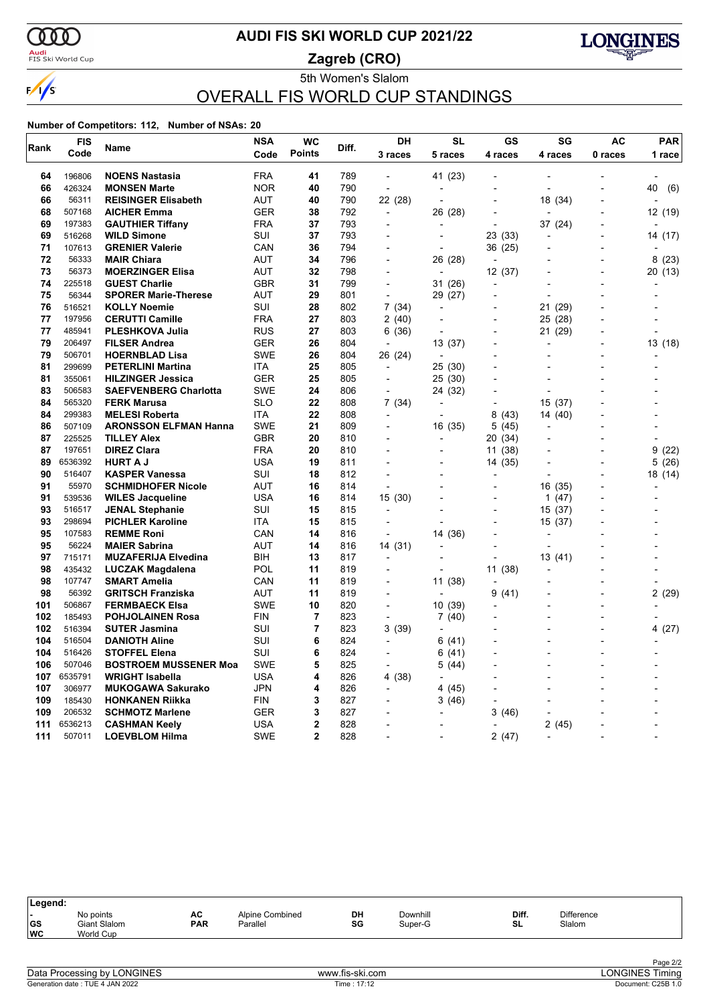

### <mark>Audi</mark><br>FIS Ski World Cup

# **AUDI FIS SKI WORLD CUP 2021/22**

**Zagreb (CRO)**



5th Women's Slalom OVERALL FIS WORLD CUP STANDINGS

|      | <b>FIS</b> | Name                         | <b>NSA</b> | <b>WC</b>      | Diff. | DH                       | <b>SL</b>                | GS                       | SG                       | <b>AC</b>                | <b>PAR</b> |
|------|------------|------------------------------|------------|----------------|-------|--------------------------|--------------------------|--------------------------|--------------------------|--------------------------|------------|
| Rank | Code       |                              | Code       | <b>Points</b>  |       | 3 races                  | 5 races                  | 4 races                  | 4 races                  | 0 races                  | 1 race     |
| 64   | 196806     | <b>NOENS Nastasia</b>        | <b>FRA</b> | 41             | 789   | $\overline{a}$           | 41 (23)                  |                          |                          |                          |            |
| 66   | 426324     | <b>MONSEN Marte</b>          | <b>NOR</b> | 40             | 790   | $\overline{\phantom{a}}$ | $\overline{a}$           |                          | $\overline{a}$           |                          | (6)<br>40  |
| 66   | 56311      | <b>REISINGER Elisabeth</b>   | <b>AUT</b> | 40             | 790   | 22 (28)                  | $\blacksquare$           |                          | 18 (34)                  |                          |            |
| 68   | 507168     | <b>AICHER Emma</b>           | <b>GER</b> | 38             | 792   | $\overline{\phantom{a}}$ | 26 (28)                  | $\overline{a}$           |                          | $\overline{a}$           | 12 (19)    |
| 69   | 197383     | <b>GAUTHIER Tiffany</b>      | <b>FRA</b> | 37             | 793   | $\overline{a}$           |                          | $\overline{a}$           | 37 (24)                  | $\overline{a}$           |            |
| 69   | 516268     | <b>WILD Simone</b>           | SUI        | 37             | 793   | $\overline{\phantom{a}}$ |                          | 23 (33)                  |                          | $\overline{\phantom{0}}$ | 14 (17)    |
| 71   | 107613     | <b>GRENIER Valerie</b>       | CAN        | 36             | 794   | $\overline{\phantom{a}}$ |                          | 36 (25)                  |                          | $\overline{\phantom{0}}$ |            |
| 72   | 56333      | <b>MAIR Chiara</b>           | <b>AUT</b> | 34             | 796   | $\blacksquare$           | 26 (28)                  |                          |                          | $\overline{a}$           | 8(23)      |
| 73   | 56373      | <b>MOERZINGER Elisa</b>      | <b>AUT</b> | 32             | 798   |                          |                          | 12 (37)                  |                          | $\overline{\phantom{a}}$ | 20 (13)    |
| 74   | 225518     | <b>GUEST Charlie</b>         | GBR        | 31             | 799   | $\blacksquare$           | 31 (26)                  | $\overline{\phantom{0}}$ |                          | $\overline{\phantom{a}}$ |            |
| 75   | 56344      | <b>SPORER Marie-Therese</b>  | AUT        | 29             | 801   | $\overline{\phantom{a}}$ | 29 (27)                  | $\overline{a}$           |                          |                          |            |
| 76   | 516521     | <b>KOLLY Noemie</b>          | SUI        | 28             | 802   | 7(34)                    | ÷,                       | -                        | 21<br>(29)               |                          |            |
| 77   | 197956     | <b>CERUTTI Camille</b>       | FRA        | 27             | 803   | 2 (40)                   |                          | $\overline{a}$           | 25 (28)                  |                          |            |
| 77   | 485941     | <b>PLESHKOVA Julia</b>       | RUS        | 27             | 803   | 6 (36)                   |                          |                          | 21 (29)                  |                          |            |
| 79   | 206497     | <b>FILSER Andrea</b>         | GER        | 26             | 804   |                          | 13 (37)                  |                          |                          |                          | 13 (18)    |
| 79   | 506701     | <b>HOERNBLAD Lisa</b>        | SWE        | 26             | 804   | 26 (24)                  |                          |                          |                          |                          |            |
| 81   | 299699     | <b>PETERLINI Martina</b>     | ITA        | 25             | 805   | $\overline{\phantom{a}}$ | 25 (30)                  |                          |                          |                          |            |
| 81   | 355061     | <b>HILZINGER Jessica</b>     | <b>GER</b> | 25             | 805   | $\overline{\phantom{a}}$ | 25 (30)                  |                          |                          |                          |            |
| 83   | 506583     | <b>SAEFVENBERG Charlotta</b> | <b>SWE</b> | 24             | 806   | $\blacksquare$           | 24 (32)                  |                          | $\blacksquare$           |                          |            |
| 84   | 565320     | <b>FERK Marusa</b>           | SLO        | 22             | 808   | 7 (34)                   | $\overline{a}$           | $\overline{a}$           | 15 (37)                  |                          |            |
| 84   | 299383     | <b>MELESI Roberta</b>        | ITA        | 22             | 808   | $\overline{\phantom{a}}$ | $\overline{a}$           | 8<br>(43)                | 14 (40)                  | $\overline{a}$           |            |
| 86   | 507109     | <b>ARONSSON ELFMAN Hanna</b> | SWE        | 21             | 809   | $\overline{a}$           | 16 (35)                  | 5 (45)                   | $\overline{a}$           |                          |            |
| 87   | 225525     | <b>TILLEY Alex</b>           | GBR        | 20             | 810   | $\overline{\phantom{a}}$ | $\overline{a}$           | 20 (34)                  | ÷,                       | $\overline{a}$           |            |
| 87   | 197651     | <b>DIREZ Clara</b>           | <b>FRA</b> | 20             | 810   |                          |                          | 11 (38)                  |                          |                          | 9(22)      |
| 89   | 6536392    | <b>HURT A J</b>              | <b>USA</b> | 19             | 811   |                          |                          | 14 (35)                  |                          | $\overline{a}$           | 5(26)      |
| 90   | 516407     | <b>KASPER Vanessa</b>        | SUI        | 18             | 812   |                          |                          |                          |                          |                          | 18 (14)    |
| 91   | 55970      | <b>SCHMIDHOFER Nicole</b>    | AUT        | 16             | 814   | $\overline{\phantom{a}}$ |                          | $\overline{a}$           | 16 (35)                  |                          |            |
| 91   | 539536     | <b>WILES Jacqueline</b>      | USA        | 16             | 814   | 15(30)                   |                          |                          | $\mathbf{1}$<br>(47)     |                          |            |
| 93   | 516517     | <b>JENAL Stephanie</b>       | SUI        | 15             | 815   | $\blacksquare$           |                          | $\overline{a}$           | 15 (37)                  |                          |            |
| 93   | 298694     | <b>PICHLER Karoline</b>      | <b>ITA</b> | 15             | 815   |                          |                          |                          | 15 (37)                  |                          |            |
| 95   | 107583     | <b>REMME Roni</b>            | CAN        | 14             | 816   | ÷,                       | 14 (36)                  |                          |                          |                          |            |
| 95   | 56224      | <b>MAIER Sabrina</b>         | AUT        | 14             | 816   | 14 (31)                  |                          |                          |                          |                          |            |
| 97   | 715171     | <b>MUZAFERIJA Elvedina</b>   | BIH        | 13             | 817   | $\overline{a}$           |                          |                          | 13 (41)                  |                          |            |
| 98   | 435432     | <b>LUCZAK Magdalena</b>      | POL        | 11             | 819   | $\overline{\phantom{a}}$ |                          | 11 (38)                  |                          |                          |            |
| 98   | 107747     | <b>SMART Amelia</b>          | CAN        | 11             | 819   | $\overline{a}$           | 11 (38)                  | $\overline{\phantom{a}}$ |                          | $\overline{a}$           |            |
| 98   | 56392      | <b>GRITSCH Franziska</b>     | <b>AUT</b> | 11             | 819   | $\blacksquare$           | $\overline{\phantom{a}}$ | 9<br>(41)                | $\overline{\phantom{a}}$ | $\overline{\phantom{a}}$ | 2(29)      |
| 101  | 506867     | <b>FERMBAECK Elsa</b>        | SWE        | 10             | 820   | $\overline{\phantom{a}}$ | 10 (39)                  |                          |                          | $\overline{a}$           |            |
| 102  | 185493     | <b>POHJOLAINEN Rosa</b>      | <b>FIN</b> | 7              | 823   | ÷,                       | 7(40)                    |                          | $\overline{a}$           | $\blacksquare$           |            |
| 102  | 516394     | <b>SUTER Jasmina</b>         | SUI        | 7              | 823   | 3(39)                    |                          |                          |                          | $\overline{\phantom{0}}$ | 4 (27)     |
| 104  | 516504     | <b>DANIOTH Aline</b>         | <b>SUI</b> | 6              | 824   | $\overline{\phantom{a}}$ | 6 (41)                   |                          | $\overline{a}$           | $\overline{a}$           |            |
| 104  | 516426     | <b>STOFFEL Elena</b>         | SUI        | 6              | 824   |                          | 6(41)                    |                          |                          |                          |            |
| 106  | 507046     | <b>BOSTROEM MUSSENER Moa</b> | SWE        | 5              | 825   | $\overline{a}$           | 5 (44)                   |                          |                          |                          |            |
| 107  | 6535791    | <b>WRIGHT Isabella</b>       | USA        | 4              | 826   | 4 (38)                   |                          |                          |                          |                          |            |
| 107  | 306977     | <b>MUKOGAWA Sakurako</b>     | <b>JPN</b> | 4              | 826   | $\blacksquare$           | 4 (45)                   | $\overline{a}$           |                          |                          |            |
| 109  | 185430     | <b>HONKANEN Riikka</b>       | FIN        | 3              | 827   |                          | 3(46)                    |                          |                          |                          |            |
| 109  | 206532     | <b>SCHMOTZ Marlene</b>       | GER        | 3              | 827   |                          |                          | 3 (46)                   |                          |                          |            |
| 111  | 6536213    | <b>CASHMAN Keely</b>         | USA        | $\overline{2}$ | 828   | $\overline{a}$           |                          |                          | 2(45)                    |                          |            |
| 111  | 507011     | <b>LOEVBLOM Hilma</b>        | <b>SWE</b> | $\mathbf{2}$   | 828   |                          |                          | 2(47)                    |                          |                          |            |

| ∣Legend:                      |                                        |                  |                             |          |                     |             |                             |  |
|-------------------------------|----------------------------------------|------------------|-----------------------------|----------|---------------------|-------------|-----------------------------|--|
| . .<br><b>GS</b><br><b>WC</b> | No points<br>Giant Slalom<br>World Cup | AC<br><b>PAR</b> | Alpine Combined<br>Parallel | DH<br>SG | Downhill<br>Super-G | Diff.<br>SL | <b>Difference</b><br>Slalom |  |
|                               |                                        |                  |                             |          |                     |             |                             |  |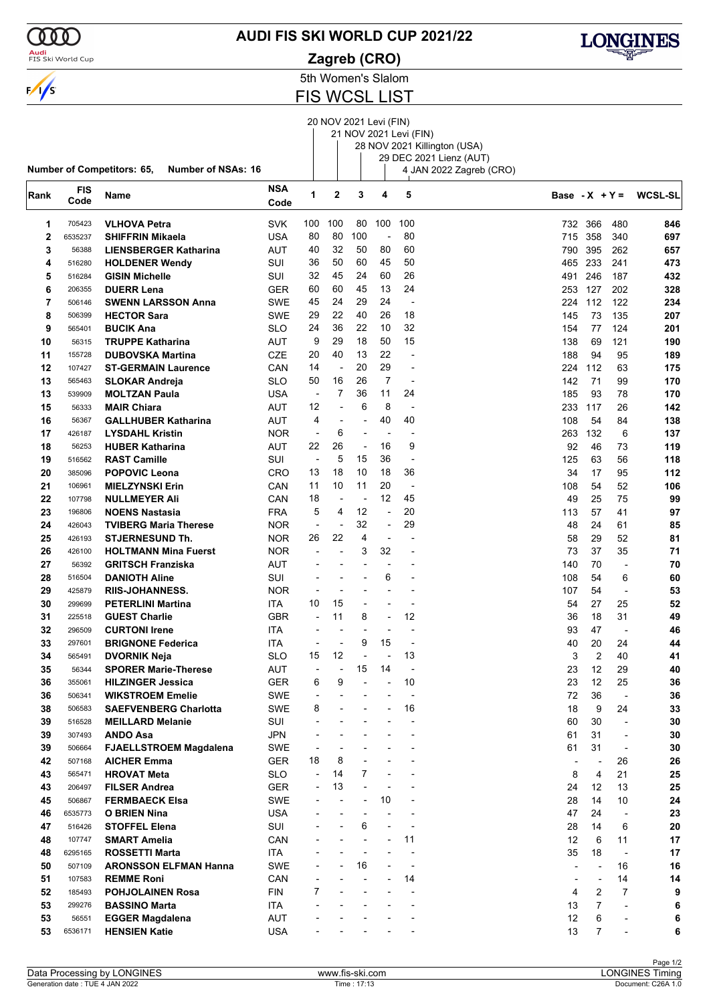

### **AUDI FIS SKI WORLD CUP 2021/22**

**Zagreb (CRO)**



5th Women's Slalom

FIS WCSL LIST

# 20 NOV 2021 Levi (FIN)

|             |                    |                                                         |            |                          |                          |                          |                          | 21 NOV 2021 Levi (FIN)   | 28 NOV 2021 Killington (USA) |                          |                |                          |                |
|-------------|--------------------|---------------------------------------------------------|------------|--------------------------|--------------------------|--------------------------|--------------------------|--------------------------|------------------------------|--------------------------|----------------|--------------------------|----------------|
|             |                    |                                                         |            |                          |                          |                          |                          |                          | 29 DEC 2021 Lienz (AUT)      |                          |                |                          |                |
|             |                    | Number of Competitors: 65,<br><b>Number of NSAs: 16</b> |            |                          |                          |                          |                          |                          | 4 JAN 2022 Zagreb (CRO)      |                          |                |                          |                |
|             |                    |                                                         | <b>NSA</b> |                          |                          |                          |                          |                          |                              |                          |                |                          |                |
| Rank        | <b>FIS</b><br>Code | Name                                                    | Code       | 1                        | 2                        | 3                        | 4                        | 5                        |                              | Base $-X + Y =$          |                |                          | <b>WCSL-SL</b> |
| 1           | 705423             | <b>VLHOVA Petra</b>                                     | <b>SVK</b> | 100                      | 100                      | 80                       | 100                      | 100                      |                              | 732                      | 366            | 480                      | 846            |
| $\mathbf 2$ | 6535237            | <b>SHIFFRIN Mikaela</b>                                 | <b>USA</b> | 80                       | 80                       | 100                      | $\overline{a}$           | 80                       |                              | 715                      | 358            | 340                      | 697            |
| 3           | 56388              | <b>LIENSBERGER Katharina</b>                            | AUT        | 40                       | 32                       | 50                       | 80                       | 60                       |                              | 790                      | 395            | 262                      | 657            |
| 4           | 516280             | <b>HOLDENER Wendy</b>                                   | SUI        | 36                       | 50                       | 60                       | 45                       | 50                       |                              | 465                      | 233            | 241                      | 473            |
| 5           | 516284             | <b>GISIN Michelle</b>                                   | SUI        | 32                       | 45                       | 24                       | 60                       | 26                       |                              | 491                      | 246            | 187                      | 432            |
| 6           | 206355             | <b>DUERR Lena</b>                                       | GER        | 60                       | 60                       | 45                       | 13                       | 24                       |                              | 253                      | 127            | 202                      | 328            |
| 7           | 506146             | <b>SWENN LARSSON Anna</b>                               | SWE        | 45                       | 24                       | 29                       | 24                       | $\overline{\phantom{a}}$ |                              | 224                      | 112            | 122                      | 234            |
| 8           | 506399             | <b>HECTOR Sara</b>                                      | SWE        | 29                       | 22                       | 40                       | 26                       | 18                       |                              | 145                      | 73             | 135                      | 207            |
| 9           | 565401             | <b>BUCIK Ana</b>                                        | SLO        | 24                       | 36                       | 22                       | 10                       | 32                       |                              | 154                      | 77             | 124                      | 201            |
| 10          | 56315              | <b>TRUPPE Katharina</b>                                 | AUT        | 9                        | 29                       | 18                       | 50                       | 15                       |                              | 138                      | 69             | 121                      | 190            |
| 11          | 155728             | <b>DUBOVSKA Martina</b>                                 | CZE        | 20                       | 40                       | 13                       | 22                       | -                        |                              | 188                      | 94             | 95                       | 189            |
| 12          | 107427             |                                                         |            | 14                       | $\overline{\phantom{a}}$ | 20                       | 29                       | $\overline{\phantom{0}}$ |                              | 224                      | 112            | 63                       | 175            |
|             | 565463             | <b>ST-GERMAIN Laurence</b>                              | CAN        | 50                       | 16                       | 26                       | $\overline{7}$           | $\overline{a}$           |                              | 142                      | 71             |                          |                |
| 13          |                    | <b>SLOKAR Andreja</b>                                   | SLO        |                          | 7                        | 36                       | 11                       |                          |                              |                          |                | 99                       | 170            |
| 13          | 539909             | <b>MOLTZAN Paula</b>                                    | USA        | $\overline{\phantom{a}}$ |                          |                          |                          | 24                       |                              | 185                      | 93             | 78                       | 170            |
| 15          | 56333              | <b>MAIR Chiara</b>                                      | AUT        | 12                       | L                        | 6                        | 8                        | $\overline{\phantom{a}}$ |                              | 233                      | 117            | 26                       | 142            |
| 16          | 56367              | <b>GALLHUBER Katharina</b>                              | AUT        | 4                        | L,                       | $\overline{\phantom{a}}$ | 40                       | 40                       |                              | 108                      | 54             | 84                       | 138            |
| 17          | 426187             | <b>LYSDAHL Kristin</b>                                  | <b>NOR</b> | $\overline{\phantom{a}}$ | 6                        | $\overline{\phantom{a}}$ | ٠                        | -                        |                              | 263                      | 132            | 6                        | 137            |
| 18          | 56253              | <b>HUBER Katharina</b>                                  | AUT        | 22                       | 26                       | $\overline{\phantom{a}}$ | 16                       | 9                        |                              | 92                       | 46             | 73                       | 119            |
| 19          | 516562             | <b>RAST Camille</b>                                     | SUI        | $\overline{\phantom{a}}$ | 5                        | 15                       | 36                       | ٠                        |                              | 125                      | 63             | 56                       | 118            |
| 20          | 385096             | <b>POPOVIC Leona</b>                                    | CRO        | 13                       | 18                       | 10                       | 18                       | 36                       |                              | 34                       | 17             | 95                       | 112            |
| 21          | 106961             | <b>MIELZYNSKI Erin</b>                                  | CAN        | 11                       | 10                       | 11                       | 20                       | $\overline{\phantom{a}}$ |                              | 108                      | 54             | 52                       | 106            |
| 22          | 107798             | <b>NULLMEYER Ali</b>                                    | CAN        | 18                       | L,                       | $\overline{\phantom{a}}$ | 12                       | 45                       |                              | 49                       | 25             | 75                       | 99             |
| 23          | 196806             | <b>NOENS Nastasia</b>                                   | <b>FRA</b> | 5                        | 4                        | 12                       | ÷,                       | 20                       |                              | 113                      | 57             | 41                       | 97             |
| 24          | 426043             | <b>TVIBERG Maria Therese</b>                            | <b>NOR</b> | $\overline{a}$           |                          | 32                       | $\overline{a}$           | 29                       |                              | 48                       | 24             | 61                       | 85             |
| 25          | 426193             | <b>STJERNESUND Th.</b>                                  | <b>NOR</b> | 26                       | 22                       | 4                        | $\overline{\phantom{a}}$ | $\overline{a}$           |                              | 58                       | 29             | 52                       | 81             |
| 26          | 426100             | <b>HOLTMANN Mina Fuerst</b>                             | <b>NOR</b> | $\overline{\phantom{a}}$ | $\overline{\phantom{0}}$ | 3                        | 32                       | -                        |                              | 73                       | 37             | 35                       | 71             |
| 27          | 56392              | <b>GRITSCH Franziska</b>                                | AUT        |                          |                          |                          |                          | $\overline{a}$           |                              | 140                      | 70             | $\overline{\phantom{a}}$ | 70             |
| 28          | 516504             | <b>DANIOTH Aline</b>                                    | SUI        | $\overline{a}$           | $\blacksquare$           |                          | 6                        | $\overline{\phantom{a}}$ |                              | 108                      | 54             | 6                        | 60             |
| 29          | 425879             | <b>RIIS-JOHANNESS.</b>                                  | <b>NOR</b> | $\overline{a}$           | ٠                        | $\blacksquare$           | $\overline{\phantom{a}}$ | $\overline{a}$           |                              | 107                      | 54             | $\overline{\phantom{a}}$ | 53             |
| 30          | 299699             | <b>PETERLINI Martina</b>                                | ITA        | 10                       | 15                       | $\overline{a}$           |                          | -                        |                              | 54                       | 27             | 25                       | 52             |
| 31          | 225518             | <b>GUEST Charlie</b>                                    | GBR        | $\blacksquare$           | 11                       | 8                        | $\overline{\phantom{a}}$ | 12                       |                              | 36                       | 18             | 31                       | 49             |
| 32          | 296509             | <b>CURTONI Irene</b>                                    | ITA        | ÷                        | L,                       | $\overline{\phantom{a}}$ |                          | ٠                        |                              | 93                       | 47             | ÷,                       | 46             |
| 33          | 297601             | <b>BRIGNONE Federica</b>                                | ITA        | $\overline{a}$           |                          | 9                        | 15                       | $\overline{a}$           |                              | 40                       | 20             | 24                       | 44             |
| 34          | 565491             | DVORNIK Neja                                            | SLO        | 15                       | 12                       |                          |                          | 13                       |                              | 3                        | $\overline{2}$ | 40                       | 41             |
| 35          | 56344              | <b>SPORER Marie-Therese</b>                             | <b>AUT</b> |                          |                          | 15                       | 14                       |                          |                              | 23                       | 12             | 29                       | 40             |
| 36          | 355061             | <b>HILZINGER Jessica</b>                                | <b>GER</b> | 6                        | 9                        |                          |                          | 10                       |                              | 23                       | 12             | 25                       | 36             |
| 36          | 506341             | <b>WIKSTROEM Emelie</b>                                 | SWE        | $\overline{\phantom{a}}$ |                          |                          |                          |                          |                              | 72                       | 36             | ÷,                       | 36             |
| 38          | 506583             | <b>SAEFVENBERG Charlotta</b>                            | SWE        | 8                        |                          |                          | $\overline{a}$           | 16                       |                              | 18                       | 9              | 24                       | 33             |
| 39          | 516528             | <b>MEILLARD Melanie</b>                                 | SUI        |                          |                          |                          |                          | $\overline{a}$           |                              | 60                       | 30             | $\overline{\phantom{0}}$ | $30\,$         |
| 39          | 307493             | <b>ANDO Asa</b>                                         | JPN        |                          |                          |                          |                          | $\blacksquare$           |                              | 61                       | 31             | $\overline{\phantom{a}}$ | $30\,$         |
| 39          | 506664             | <b>FJAELLSTROEM Magdalena</b>                           | SWE        |                          |                          |                          |                          |                          |                              | 61                       | 31             | $\overline{\phantom{a}}$ | 30             |
| 42          | 507168             | <b>AICHER Emma</b>                                      | <b>GER</b> | 18                       | 8                        |                          |                          |                          |                              | $\overline{\phantom{a}}$ |                | 26                       | 26             |
| 43          | 565471             | <b>HROVAT Meta</b>                                      | <b>SLO</b> | $\blacksquare$           | 14                       | 7                        |                          |                          |                              | 8                        | $\overline{4}$ | 21                       | 25             |
| 43          | 206497             | <b>FILSER Andrea</b>                                    | GER.       | ÷,                       | 13                       |                          |                          |                          |                              | 24                       | 12             | 13                       | 25             |
| 45          | 506867             | <b>FERMBAECK Elsa</b>                                   | SWE        |                          |                          |                          | 10                       |                          |                              | 28                       | 14             | 10                       | 24             |
| 46          | 6535773            | <b>O BRIEN Nina</b>                                     | USA        |                          | $\overline{\phantom{a}}$ | $\blacksquare$           |                          | $\overline{\phantom{0}}$ |                              | 47                       | 24             | $\overline{\phantom{a}}$ | 23             |
|             |                    |                                                         | SUI        |                          | $\overline{\phantom{a}}$ | 6                        | $\overline{\phantom{a}}$ | ٠                        |                              |                          | 14             |                          |                |
| 47          | 516426             | <b>STOFFEL Elena</b>                                    |            |                          |                          |                          |                          | 11                       |                              | 28<br>12                 | 6              | 6<br>11                  | 20<br>17       |
| 48          | 107747             | <b>SMART Amelia</b>                                     | CAN        |                          |                          |                          |                          | $\overline{a}$           |                              |                          |                |                          |                |
| 48          | 6295165            | <b>ROSSETTI Marta</b>                                   | <b>ITA</b> |                          |                          |                          |                          |                          |                              | 35                       | 18             | $\overline{\phantom{a}}$ | 17             |
| 50          | 507109             | <b>ARONSSON ELFMAN Hanna</b>                            | <b>SWE</b> |                          |                          | 16                       |                          | $\overline{\phantom{a}}$ |                              | $\overline{a}$           | ÷,             | 16                       | 16             |
| 51          | 107583             | <b>REMME Roni</b>                                       | CAN        |                          |                          | ÷,                       |                          | 14                       |                              | $\blacksquare$           | $\overline{a}$ | 14                       | 14             |
| 52          | 185493             | <b>POHJOLAINEN Rosa</b>                                 | FIN        | 7                        | $\overline{\phantom{a}}$ | $\blacksquare$           |                          | $\overline{\phantom{a}}$ |                              | 4                        | 2              | 7                        | 9              |
| 53          | 299276             | <b>BASSINO Marta</b>                                    | ITA        |                          |                          |                          |                          |                          |                              | 13                       | $\overline{7}$ | $\overline{\phantom{a}}$ | 6              |
| 53          | 56551              | <b>EGGER Magdalena</b>                                  | AUT        |                          |                          |                          |                          |                          |                              | 12                       | 6              |                          | 6              |
| 53          | 6536171            | <b>HENSIEN Katie</b>                                    | <b>USA</b> |                          |                          |                          |                          |                          |                              | 13                       | $\overline{7}$ |                          | 6              |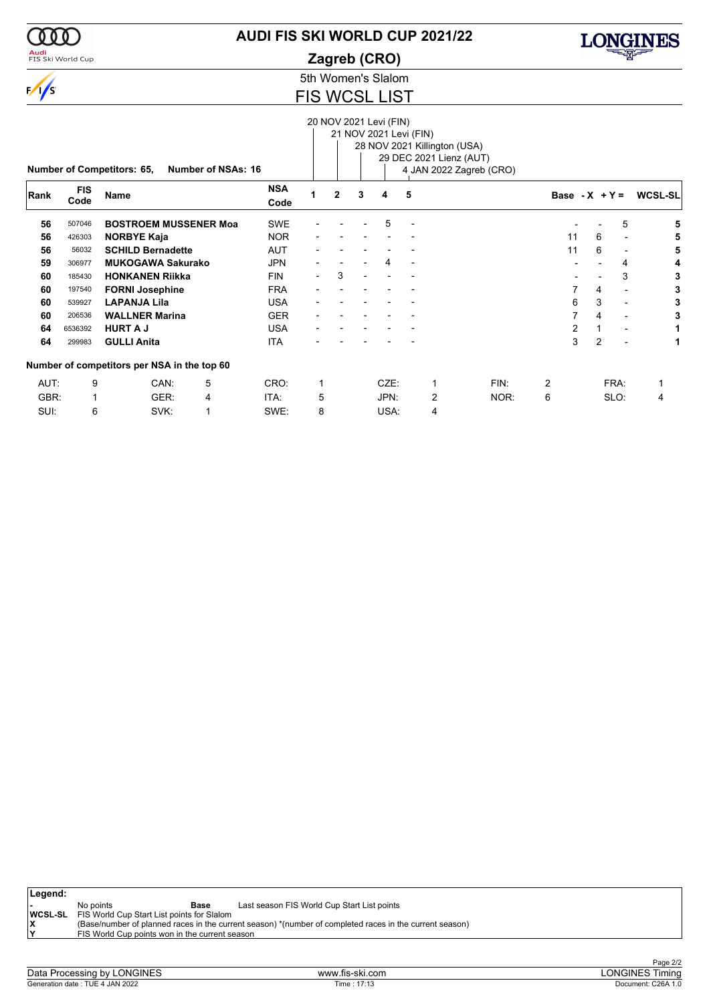### <mark>Audi</mark><br>FIS Ski World Cup

# **AUDI FIS SKI WORLD CUP 2021/22**

**Zagreb (CRO)**



5th Women's Slalom

### FIS WCSL LIST

|      |            |                                             |                    |            |                          |                |                | 20 NOV 2021 Levi (FIN) |                          |                              |                         |                  |                |                |                |
|------|------------|---------------------------------------------|--------------------|------------|--------------------------|----------------|----------------|------------------------|--------------------------|------------------------------|-------------------------|------------------|----------------|----------------|----------------|
|      |            |                                             |                    |            |                          |                |                | 21 NOV 2021 Levi (FIN) |                          |                              |                         |                  |                |                |                |
|      |            |                                             |                    |            |                          |                |                |                        |                          | 28 NOV 2021 Killington (USA) |                         |                  |                |                |                |
|      |            |                                             |                    |            |                          |                |                |                        |                          | 29 DEC 2021 Lienz (AUT)      |                         |                  |                |                |                |
|      |            | <b>Number of Competitors: 65,</b>           | Number of NSAs: 16 |            |                          |                |                |                        |                          |                              | 4 JAN 2022 Zagreb (CRO) |                  |                |                |                |
|      | <b>FIS</b> |                                             |                    | <b>NSA</b> |                          |                |                |                        |                          |                              |                         |                  |                |                |                |
| Rank | Code       | <b>Name</b>                                 |                    | Code       |                          | $\overline{2}$ | 3              | 4                      | 5                        |                              |                         | Base - $X + Y =$ |                |                | <b>WCSL-SL</b> |
| 56   | 507046     | <b>BOSTROEM MUSSENER Moa</b>                |                    | <b>SWE</b> |                          |                |                | 5                      | $\overline{\phantom{a}}$ |                              |                         |                  |                | 5              | 5              |
| 56   | 426303     | <b>NORBYE Kaja</b>                          |                    | <b>NOR</b> |                          |                |                |                        |                          |                              |                         | 11               | 6              |                | 5              |
| 56   | 56032      | <b>SCHILD Bernadette</b>                    |                    | <b>AUT</b> |                          |                |                |                        |                          |                              |                         | 11               | 6              |                | 5              |
| 59   | 306977     | <b>MUKOGAWA Sakurako</b>                    |                    | <b>JPN</b> |                          |                |                | 4                      | $\overline{\phantom{a}}$ |                              |                         |                  |                | 4              | 4              |
| 60   | 185430     | <b>HONKANEN Riikka</b>                      |                    | <b>FIN</b> | $\overline{\phantom{0}}$ | 3              | $\blacksquare$ |                        |                          |                              |                         |                  |                | 3              | 3              |
| 60   | 197540     | <b>FORNI Josephine</b>                      |                    | <b>FRA</b> |                          |                |                |                        |                          |                              |                         | 7                | 4              |                | 3              |
| 60   | 539927     | <b>LAPANJA Lila</b>                         |                    | <b>USA</b> |                          |                |                |                        |                          |                              |                         | 6                | 3              |                | 3              |
| 60   | 206536     | <b>WALLNER Marina</b>                       |                    | <b>GER</b> |                          |                |                |                        |                          |                              |                         |                  | 4              | $\blacksquare$ | 3              |
| 64   | 6536392    | <b>HURT A J</b>                             |                    | <b>USA</b> |                          |                |                |                        |                          |                              |                         | $\overline{2}$   |                |                |                |
| 64   | 299983     | <b>GULLI Anita</b>                          |                    | <b>ITA</b> |                          |                |                |                        |                          |                              |                         | 3                | $\overline{2}$ |                | 1              |
|      |            | Number of competitors per NSA in the top 60 |                    |            |                          |                |                |                        |                          |                              |                         |                  |                |                |                |
| AUT: | 9          | CAN:                                        | 5                  | CRO:       | 1                        |                |                | CZE:                   |                          | 1                            | FIN:                    | $\overline{2}$   |                | FRA:           |                |
| GBR: |            | GER:                                        | 4                  | ITA:       | 5                        |                |                | JPN:                   |                          | $\overline{2}$               | NOR:                    | 6                |                | SLO:           | 4              |
| SUI: | 6          | SVK:                                        |                    | SWE:       | 8                        |                |                | USA:                   |                          | $\overline{4}$               |                         |                  |                |                |                |

| Legend: |                                                           |      |                                                                                                         |
|---------|-----------------------------------------------------------|------|---------------------------------------------------------------------------------------------------------|
|         | No points                                                 | Base | Last season FIS World Cup Start List points                                                             |
|         | <b>WCSL-SL</b> FIS World Cup Start List points for Slalom |      |                                                                                                         |
|         |                                                           |      | (Base/number of planned races in the current season) *(number of completed races in the current season) |
|         | FIS World Cup points won in the current season            |      |                                                                                                         |
|         |                                                           |      |                                                                                                         |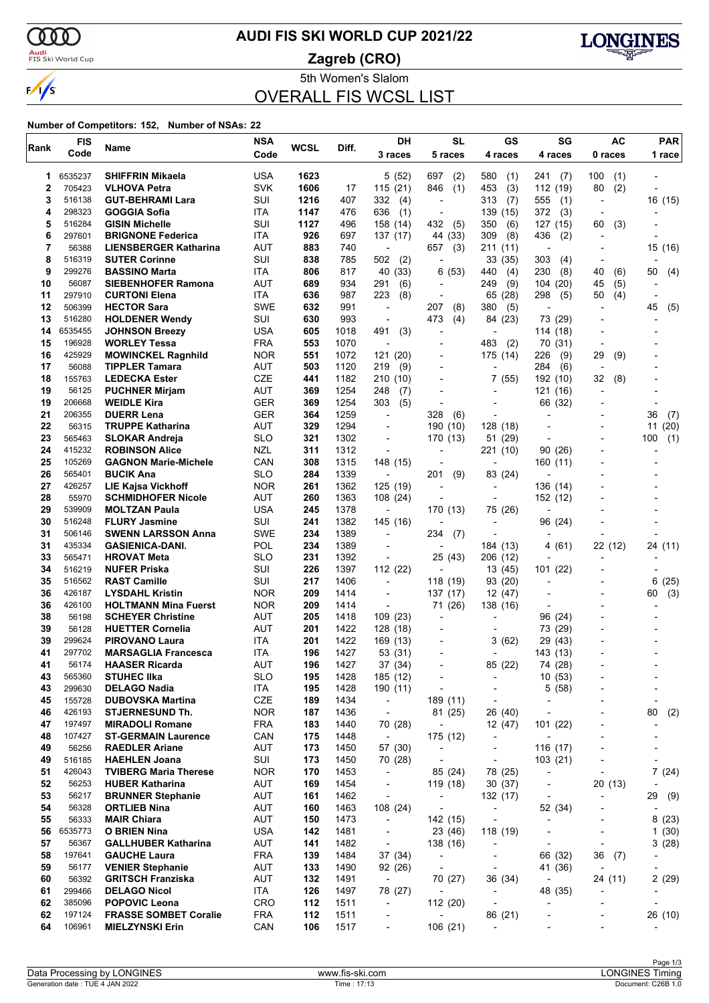

### <mark>Audi</mark><br>FIS Ski World Cup

# **AUDI FIS SKI WORLD CUP 2021/22**

**Zagreb (CRO)**



5th Women's Slalom

# OVERALL FIS WCSL LIST

| Rank     | <b>FIS</b>       | Name                                           | <b>NSA</b>               | <b>WCSL</b> | Diff.        | DH                                                   | <b>SL</b>                   | <b>GS</b>                                                | SG                                  | AC                                         | <b>PAR</b>               |
|----------|------------------|------------------------------------------------|--------------------------|-------------|--------------|------------------------------------------------------|-----------------------------|----------------------------------------------------------|-------------------------------------|--------------------------------------------|--------------------------|
|          | Code             |                                                | Code                     |             |              | 3 races                                              | 5 races                     | 4 races                                                  | 4 races                             | 0 races                                    | 1 race                   |
| 1        | 6535237          | <b>SHIFFRIN Mikaela</b>                        | <b>USA</b>               | 1623        |              | 5(52)                                                | 697<br>(2)                  | 580<br>(1)                                               | 241<br>(7)                          | 100<br>(1)                                 |                          |
| 2        | 705423           | <b>VLHOVA Petra</b>                            | <b>SVK</b>               | 1606        | 17           | 115(21)                                              | (1)<br>846                  | 453<br>(3)                                               | 112 (19)                            | 80<br>(2)                                  |                          |
| 3        | 516138           | <b>GUT-BEHRAMI Lara</b>                        | SUI                      | 1216        | 407          | 332<br>(4)                                           | $\overline{a}$              | 313<br>(7)                                               | 555<br>(1)                          | $\overline{\phantom{a}}$                   | 16 (15)                  |
| 4        | 298323           | <b>GOGGIA Sofia</b>                            | ITA                      | 1147        | 476          | 636<br>(1)                                           | $\overline{a}$              | 139 (15)                                                 | 372<br>(3)                          |                                            |                          |
| 5        | 516284           | <b>GISIN Michelle</b>                          | SUI                      | 1127        | 496          | 158 (14)                                             | 432<br>(5)                  | 350<br>(6)                                               | 127 (15)                            | 60<br>(3)                                  |                          |
| 6        | 297601           | <b>BRIGNONE Federica</b>                       | ITA                      | 926         | 697          | 137 (17)                                             | 44 (33)                     | 309<br>(8)                                               | 436<br>(2)                          |                                            |                          |
| 7        | 56388            | <b>LIENSBERGER Katharina</b>                   | AUT                      | 883         | 740          |                                                      | (3)<br>657                  | 211 (11)                                                 | $\overline{a}$                      |                                            | 15 (16)                  |
| 8<br>9   | 516319<br>299276 | <b>SUTER Corinne</b><br><b>BASSINO Marta</b>   | SUI<br>ITA               | 838<br>806  | 785<br>817   | 502<br>(2)<br>40 (33)                                | $\overline{a}$<br>(53)<br>6 | 33 (35)<br>440                                           | 303<br>(4)<br>230                   | 40<br>(6)                                  | 50                       |
| 10       | 56087            | <b>SIEBENHOFER Ramona</b>                      | AUT                      | 689         | 934          | 291<br>(6)                                           | $\overline{a}$              | (4)<br>249<br>(9)                                        | (8)<br>104 (20)                     | (5)<br>45                                  | (4)                      |
| 11       | 297910           | <b>CURTONI Elena</b>                           | ITA                      | 636         | 987          | 223<br>(8)                                           | -                           | 65 (28)                                                  | 298<br>(5)                          | 50<br>(4)                                  |                          |
| 12       | 506399           | <b>HECTOR Sara</b>                             | SWE                      | 632         | 991          | $\overline{\phantom{a}}$                             | 207<br>(8)                  | 380<br>(5)                                               | $\overline{\phantom{a}}$            |                                            | 45<br>(5)                |
| 13       | 516280           | <b>HOLDENER Wendy</b>                          | SUI                      | 630         | 993          |                                                      | 473<br>(4)                  | 84 (23)                                                  | 73 (29)                             |                                            |                          |
| 14       | 6535455          | <b>JOHNSON Breezy</b>                          | USA                      | 605         | 1018         | 491<br>(3)                                           | $\overline{\phantom{a}}$    | $\blacksquare$                                           | 114 (18)                            | $\overline{\phantom{a}}$                   |                          |
| 15       | 196928           | <b>WORLEY Tessa</b>                            | <b>FRA</b>               | 553         | 1070         |                                                      | $\overline{\phantom{a}}$    | 483<br>(2)                                               | 70 (31)                             | $\blacksquare$                             |                          |
| 16       | 425929           | <b>MOWINCKEL Ragnhild</b>                      | <b>NOR</b>               | 551         | 1072         | 121 (20)                                             |                             | 175 (14)                                                 | 226<br>(9)                          | 29<br>(9)                                  |                          |
| 17       | 56088            | <b>TIPPLER Tamara</b>                          | <b>AUT</b>               | 503         | 1120         | 219<br>(9)                                           | $\overline{a}$              | $\overline{a}$                                           | 284<br>(6)                          | $\overline{\phantom{a}}$                   |                          |
| 18       | 155763           | <b>LEDECKA Ester</b>                           | CZE                      | 441         | 1182         | 210 (10)                                             | $\overline{\phantom{0}}$    | 7 (55)                                                   | 192 (10)                            | 32<br>(8)                                  |                          |
| 19       | 56125            | <b>PUCHNER Mirjam</b>                          | <b>AUT</b>               | 369         | 1254         | 248<br>(7)                                           |                             |                                                          | 121 (16)                            |                                            |                          |
| 19<br>21 | 206668<br>206355 | <b>WEIDLE Kira</b><br><b>DUERR Lena</b>        | <b>GER</b><br><b>GER</b> | 369<br>364  | 1254<br>1259 | 303<br>(5)<br>$\overline{\phantom{a}}$               | $\overline{a}$<br>328       | $\overline{\phantom{a}}$                                 | 66 (32)                             |                                            |                          |
| 22       | 56315            | <b>TRUPPE Katharina</b>                        | <b>AUT</b>               | 329         | 1294         |                                                      | (6)<br>190 (10)             | 128 (18)                                                 |                                     |                                            | 36<br>(7)<br>11(20)      |
| 23       | 565463           | <b>SLOKAR Andreja</b>                          | <b>SLO</b>               | 321         | 1302         | $\overline{a}$                                       | 170 (13)                    | 51 (29)                                                  | $\overline{a}$                      |                                            | (1)<br>100               |
| 24       | 415232           | <b>ROBINSON Alice</b>                          | <b>NZL</b>               | 311         | 1312         | $\overline{\phantom{a}}$                             | $\blacksquare$              | 221 (10)                                                 | 90(26)                              |                                            |                          |
| 25       | 105269           | <b>GAGNON Marie-Michele</b>                    | CAN                      | 308         | 1315         | 148 (15)                                             |                             |                                                          | 160 (11)                            |                                            |                          |
| 26       | 565401           | <b>BUCIK Ana</b>                               | <b>SLO</b>               | 284         | 1339         | $\overline{a}$                                       | (9)<br>201                  | 83 (24)                                                  |                                     |                                            |                          |
| 27       | 426257           | LIE Kajsa Vickhoff                             | <b>NOR</b>               | 261         | 1362         | 125 (19)                                             | $\overline{a}$              | $\overline{a}$                                           | 136 (14)                            |                                            |                          |
| 28       | 55970            | <b>SCHMIDHOFER Nicole</b>                      | <b>AUT</b>               | 260         | 1363         | 108 (24)                                             |                             |                                                          | 152 (12)                            |                                            |                          |
| 29       | 539909           | <b>MOLTZAN Paula</b>                           | USA                      | 245         | 1378         | $\blacksquare$                                       | 170 (13)                    | 75 (26)                                                  | $\overline{\phantom{a}}$            |                                            |                          |
| 30       | 516248           | <b>FLURY Jasmine</b>                           | SUI                      | 241         | 1382         | 145 (16)                                             |                             | $\overline{\phantom{a}}$                                 | 96 (24)                             |                                            |                          |
| 31       | 506146           | <b>SWENN LARSSON Anna</b>                      | <b>SWE</b>               | 234         | 1389         |                                                      | 234<br>(7)                  |                                                          |                                     |                                            |                          |
| 31<br>33 | 435334<br>565471 | <b>GASIENICA-DANI.</b>                         | POL<br><b>SLO</b>        | 234<br>231  | 1389         |                                                      |                             | 184 (13)                                                 | 4 (61)                              | 22 (12)                                    | 24 (11)                  |
| 34       | 516219           | <b>HROVAT Meta</b><br><b>NUFER Priska</b>      | SUI                      | 226         | 1392<br>1397 | $\overline{\phantom{a}}$<br>112 (22)                 | 25 (43)                     | 206 (12)<br>13 (45)                                      | 101 (22)                            |                                            |                          |
| 35       | 516562           | <b>RAST Camille</b>                            | SUI                      | 217         | 1406         | $\overline{\phantom{a}}$                             | 118 (19)                    | 93 (20)                                                  |                                     |                                            | 6(25)                    |
| 36       | 426187           | <b>LYSDAHL Kristin</b>                         | <b>NOR</b>               | 209         | 1414         | $\overline{\phantom{a}}$                             | 137 (17)                    | 12 (47)                                                  | $\overline{a}$                      |                                            | (3)<br>60                |
| 36       | 426100           | <b>HOLTMANN Mina Fuerst</b>                    | <b>NOR</b>               | 209         | 1414         |                                                      | 71 (26)                     | 138 (16)                                                 |                                     |                                            |                          |
| 38       | 56198            | <b>SCHEYER Christine</b>                       | AUT                      | 205         | 1418         | 109 (23)                                             | $\overline{\phantom{a}}$    |                                                          | 96 (24)                             |                                            |                          |
| 39       | 56128            | <b>HUETTER Cornelia</b>                        | AUT                      | 201         | 1422         | 128 (18)                                             | $\blacksquare$              |                                                          | 73 (29)                             |                                            |                          |
| 39       | 299624           | <b>PIROVANO Laura</b>                          | <b>ITA</b>               | 201         | 1422         | 169 (13)                                             |                             | 3<br>(62)                                                | 29 (43)                             |                                            |                          |
| 41       | 297702           | <b>MARSAGLIA Francesca</b>                     | ITA                      | 196         | 1427         | 53 (31)                                              | ٠                           | $\overline{a}$                                           | 143 (13)                            |                                            |                          |
| 41       | 56174            | <b>HAASER Ricarda</b>                          | AUT                      | 196         | 1427         | 37 (34)                                              |                             | 85 (22)                                                  | 74 (28)                             |                                            |                          |
| 43       | 565360           | <b>STUHEC IIka</b>                             | <b>SLO</b>               | 195         | 1428         | 185 (12)                                             | -                           | $\overline{\phantom{a}}$                                 | 10(53)                              |                                            |                          |
| 43<br>45 | 299630<br>155728 | <b>DELAGO Nadia</b><br><b>DUBOVSKA Martina</b> | ITA<br>CZE               | 195<br>189  | 1428<br>1434 | 190 (11)<br>$\blacksquare$                           | $\overline{a}$<br>189 (11)  | $\overline{\phantom{a}}$<br>$\overline{\phantom{a}}$     | 5(58)<br>$\overline{\phantom{a}}$   |                                            | $\overline{\phantom{a}}$ |
| 46       | 426193           | <b>STJERNESUND Th.</b>                         | <b>NOR</b>               | 187         | 1436         | $\overline{\phantom{a}}$                             | 81 (25)                     | 26 (40)                                                  | $\overline{\phantom{a}}$            |                                            | 80<br>(2)                |
| 47       | 197497           | <b>MIRADOLI Romane</b>                         | <b>FRA</b>               | 183         | 1440         | 70 (28)                                              | $\overline{\phantom{a}}$    | 12(47)                                                   | 101(22)                             |                                            |                          |
| 48       | 107427           | <b>ST-GERMAIN Laurence</b>                     | CAN                      | 175         | 1448         | $\overline{\phantom{a}}$                             | 175 (12)                    | $\overline{\phantom{a}}$                                 | $\overline{\phantom{a}}$            | $\overline{\phantom{a}}$                   |                          |
| 49       | 56256            | <b>RAEDLER Ariane</b>                          | AUT                      | 173         | 1450         | 57 (30)                                              | $\overline{\phantom{a}}$    | $\qquad \qquad \blacksquare$                             | 116 (17)                            |                                            |                          |
| 49       | 516185           | <b>HAEHLEN Joana</b>                           | SUI                      | 173         | 1450         | 70 (28)                                              | $\overline{\phantom{a}}$    | $\overline{\phantom{a}}$                                 | 103 (21)                            | ٠                                          | -                        |
| 51       | 426043           | <b>TVIBERG Maria Therese</b>                   | <b>NOR</b>               | 170         | 1453         | $\overline{\phantom{a}}$                             | 85 (24)                     | 78 (25)                                                  | $\overline{\phantom{a}}$            |                                            | 7(24)                    |
| 52       | 56253            | <b>HUBER Katharina</b>                         | AUT                      | 169         | 1454         |                                                      | 119 (18)                    | 30(37)                                                   | $\overline{\phantom{a}}$            | 20(13)                                     |                          |
| 53       | 56217            | <b>BRUNNER Stephanie</b>                       | AUT                      | 161         | 1462         | $\overline{a}$                                       | $\overline{\phantom{a}}$    | 132 (17)                                                 |                                     |                                            | 29<br>(9)                |
| 54       | 56328            | <b>ORTLIEB Nina</b>                            | AUT                      | 160         | 1463         | 108 (24)                                             | $\overline{\phantom{a}}$    | $\overline{\phantom{a}}$                                 | 52 (34)                             | $\overline{a}$                             |                          |
| 55       | 56333            | <b>MAIR Chiara</b>                             | AUT                      | 150         | 1473         | $\overline{\phantom{a}}$                             | 142 (15)                    | $\overline{\phantom{a}}$                                 |                                     |                                            | 8(23)                    |
| 56<br>57 | 6535773<br>56367 | O BRIEN Nina<br><b>GALLHUBER Katharina</b>     | <b>USA</b><br>AUT        | 142<br>141  | 1481<br>1482 | $\overline{\phantom{a}}$<br>$\overline{\phantom{a}}$ | 23 (46)<br>138 (16)         | 118 (19)                                                 |                                     | $\overline{a}$<br>$\overline{\phantom{a}}$ | 1(30)<br>3(28)           |
| 58       | 197641           | <b>GAUCHE Laura</b>                            | <b>FRA</b>               | 139         | 1484         | 37 (34)                                              | $\overline{\phantom{a}}$    | $\overline{\phantom{a}}$<br>$\qquad \qquad \blacksquare$ | $\overline{\phantom{a}}$<br>66 (32) | 36<br>(7)                                  |                          |
| 59       | 56177            | <b>VENIER Stephanie</b>                        | AUT                      | 133         | 1490         | 92 (26)                                              | $\overline{\phantom{a}}$    | $\overline{\phantom{a}}$                                 | 41 (36)                             | $\overline{\phantom{a}}$                   |                          |
| 60       | 56392            | <b>GRITSCH Franziska</b>                       | AUT                      | 132         | 1491         | $\overline{\phantom{a}}$                             | 70 (27)                     | 36 (34)                                                  | $\overline{\phantom{a}}$            | 24 (11)                                    | 2(29)                    |
| 61       | 299466           | <b>DELAGO Nicol</b>                            | ITA                      | 126         | 1497         | 78 (27)                                              | $\overline{\phantom{a}}$    | $\overline{\phantom{a}}$                                 | 48 (35)                             |                                            |                          |
| 62       | 385096           | <b>POPOVIC Leona</b>                           | <b>CRO</b>               | 112         | 1511         | $\overline{\phantom{a}}$                             | 112(20)                     | $\overline{\phantom{a}}$                                 |                                     |                                            |                          |
| 62       | 197124           | <b>FRASSE SOMBET Coralie</b>                   | <b>FRA</b>               | 112         | 1511         | $\overline{\phantom{a}}$                             | $\overline{\phantom{a}}$    | 86 (21)                                                  | $\overline{a}$                      | ٠                                          | 26 (10)                  |
| 64       | 106961           | <b>MIELZYNSKI Erin</b>                         | CAN                      | 106         | 1517         | $\overline{\phantom{a}}$                             | 106 (21)                    | ÷,                                                       |                                     |                                            |                          |
|          |                  |                                                |                          |             |              |                                                      |                             |                                                          |                                     |                                            |                          |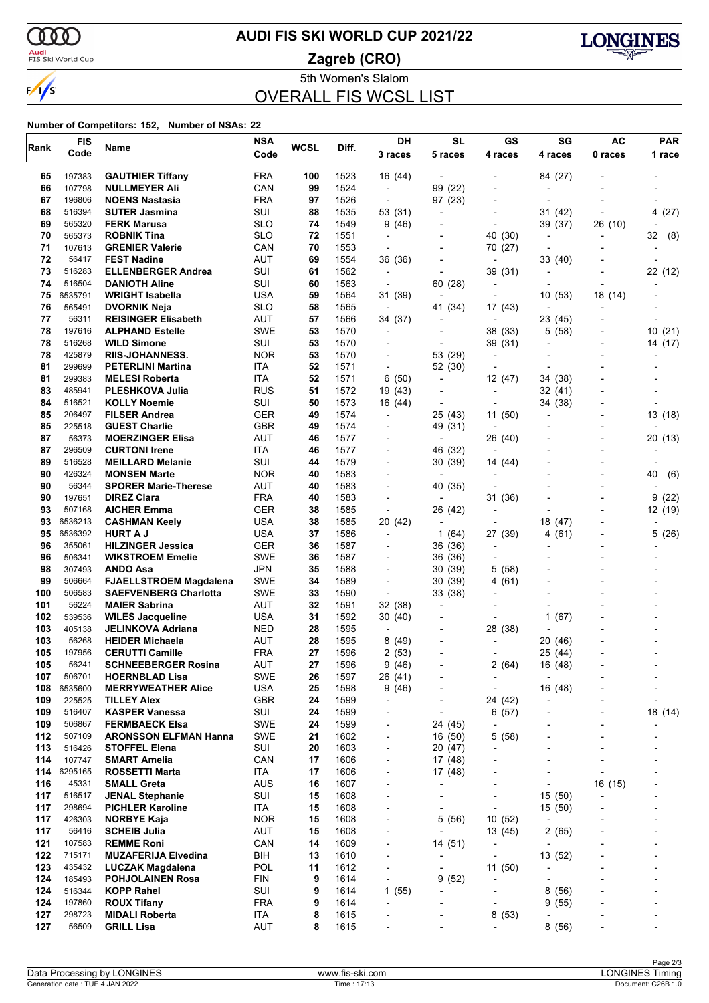

### <mark>Audi</mark><br>FIS Ski World Cup

# **AUDI FIS SKI WORLD CUP 2021/22**

**Zagreb (CRO)**



5th Women's Slalom

# OVERALL FIS WCSL LIST

| Rank       | <b>FIS</b>        | Name                                                 | <b>NSA</b>        | <b>WCSL</b> | Diff.        | DH                                                   | <b>SL</b>                 | <b>GS</b>                          | SG                                  | <b>AC</b>                | <b>PAR</b> |
|------------|-------------------|------------------------------------------------------|-------------------|-------------|--------------|------------------------------------------------------|---------------------------|------------------------------------|-------------------------------------|--------------------------|------------|
|            | Code              |                                                      | Code              |             |              | 3 races                                              | 5 races                   | 4 races                            | 4 races                             | 0 races                  | 1 race     |
| 65         | 197383            | <b>GAUTHIER Tiffany</b>                              | <b>FRA</b>        | 100         | 1523         | 16 (44)                                              | $\overline{\phantom{a}}$  |                                    | 84 (27)                             |                          |            |
| 66         | 107798            | <b>NULLMEYER Ali</b>                                 | CAN               | 99          | 1524         | $\overline{\phantom{a}}$                             | 99 (22)                   | $\overline{\phantom{0}}$           |                                     |                          |            |
| 67         | 196806            | <b>NOENS Nastasia</b>                                | <b>FRA</b>        | 97          | 1526         | $\overline{\phantom{a}}$                             | 97 (23)                   | $\overline{\phantom{0}}$           | $\overline{\phantom{a}}$            |                          |            |
| 68         | 516394            | <b>SUTER Jasmina</b>                                 | SUI               | 88          | 1535         | 53 (31)                                              | ٠                         |                                    | 31 (42)                             |                          | 4 (27)     |
| 69         | 565320            | <b>FERK Marusa</b>                                   | <b>SLO</b>        | 74          | 1549         | 9(46)                                                |                           | $\overline{\phantom{0}}$           | 39 (37)                             | 26 (10)                  |            |
| 70         | 565373            | <b>ROBNIK Tina</b>                                   | SLO               | 72          | 1551         | $\overline{\phantom{a}}$                             | $\overline{a}$            | (30)<br>40                         | $\overline{a}$                      | $\overline{\phantom{a}}$ | 32<br>(8)  |
| 71         | 107613            | <b>GRENIER Valerie</b>                               | CAN               | 70          | 1553         | $\overline{\phantom{a}}$                             |                           | 70 (27)                            |                                     |                          |            |
| 72         | 56417             | <b>FEST Nadine</b>                                   | <b>AUT</b>        | 69          | 1554         | 36 (36)                                              |                           | $\overline{\phantom{a}}$           | 33 (40)                             |                          |            |
| 73         | 516283            | <b>ELLENBERGER Andrea</b><br><b>DANIOTH Aline</b>    | SUI               | 61          | 1562         | $\overline{\phantom{a}}$                             | $\overline{\phantom{a}}$  | 39 (31)                            | $\overline{a}$                      |                          | 22 (12)    |
| 74<br>75   | 516504<br>6535791 | <b>WRIGHT Isabella</b>                               | SUI<br><b>USA</b> | 60<br>59    | 1563<br>1564 | $\overline{\phantom{a}}$<br>31 (39)                  | 60 (28)<br>$\blacksquare$ | $\overline{\phantom{0}}$           | 10(53)                              | 18 (14)                  |            |
| 76         | 565491            | <b>DVORNIK Neja</b>                                  | SLO               | 58          | 1565         | $\overline{\phantom{a}}$                             | 41 (34)                   | 17 (43)                            | $\overline{a}$                      | $\overline{a}$           |            |
| 77         | 56311             | <b>REISINGER Elisabeth</b>                           | AUT               | 57          | 1566         | 34 (37)                                              |                           | $\overline{\phantom{0}}$           | 23 (45)                             |                          |            |
| 78         | 197616            | <b>ALPHAND Estelle</b>                               | <b>SWE</b>        | 53          | 1570         | $\overline{\phantom{a}}$                             |                           | 38 (33)                            | 5 (58)                              |                          | 10(21)     |
| 78         | 516268            | <b>WILD Simone</b>                                   | SUI               | 53          | 1570         | $\overline{\phantom{0}}$                             | $\overline{a}$            | 39 (31)                            | ÷                                   |                          | 14 (17)    |
| 78         | 425879            | <b>RIIS-JOHANNESS.</b>                               | <b>NOR</b>        | 53          | 1570         |                                                      | 53 (29)                   | $\qquad \qquad \blacksquare$       |                                     |                          |            |
| 81         | 299699            | <b>PETERLINI Martina</b>                             | <b>ITA</b>        | 52          | 1571         | $\overline{\phantom{a}}$                             | 52 (30)                   | $\overline{\phantom{0}}$           |                                     |                          |            |
| 81         | 299383            | <b>MELESI Roberta</b>                                | ITA               | 52          | 1571         | 6 (50)                                               | $\overline{\phantom{a}}$  | 12 (47)                            | 34 (38)                             |                          |            |
| 83         | 485941            | <b>PLESHKOVA Julia</b>                               | <b>RUS</b>        | 51          | 1572         | 19 (43)                                              |                           | $\overline{\phantom{0}}$           | 32 (41)                             |                          |            |
| 84         | 516521            | <b>KOLLY Noemie</b>                                  | SUI               | 50          | 1573         | 16 (44)                                              | $\overline{\phantom{a}}$  | $\overline{\phantom{0}}$           | 34 (38)                             |                          |            |
| 85         | 206497            | <b>FILSER Andrea</b>                                 | GER               | 49          | 1574         | -                                                    | 25 (43)                   | 11 (50)                            |                                     |                          | 13 (18)    |
| 85         | 225518            | <b>GUEST Charlie</b>                                 | <b>GBR</b>        | 49          | 1574         |                                                      | 49 (31)                   |                                    |                                     |                          |            |
| 87         | 56373             | <b>MOERZINGER Elisa</b>                              | <b>AUT</b>        | 46          | 1577         | $\blacksquare$                                       | $\overline{\phantom{0}}$  | 26 (40)                            |                                     |                          | 20(13)     |
| 87         | 296509            | <b>CURTONI Irene</b>                                 | ITA               | 46          | 1577         | $\overline{\phantom{0}}$                             | 46 (32)                   | $\overline{\phantom{a}}$           |                                     |                          |            |
| 89<br>90   | 516528<br>426324  | <b>MEILLARD Melanie</b>                              | SUI<br><b>NOR</b> | 44<br>40    | 1579<br>1583 | $\blacksquare$                                       | 30 (39)                   | 14 (44)                            |                                     |                          |            |
| 90         | 56344             | <b>MONSEN Marte</b><br><b>SPORER Marie-Therese</b>   | <b>AUT</b>        | 40          | 1583         | $\overline{\phantom{0}}$                             | 40 (35)                   | $\overline{\phantom{a}}$           |                                     | $\overline{\phantom{a}}$ | 40<br>(6)  |
| 90         | 197651            | <b>DIREZ Clara</b>                                   | <b>FRA</b>        | 40          | 1583         |                                                      |                           | 31 (36)                            |                                     |                          | 9<br>(22)  |
| 93         | 507168            | <b>AICHER Emma</b>                                   | <b>GER</b>        | 38          | 1585         | $\overline{a}$                                       | 26 (42)                   | $\overline{\phantom{0}}$           |                                     |                          | 12 (19)    |
| 93         | 6536213           | <b>CASHMAN Keely</b>                                 | <b>USA</b>        | 38          | 1585         | 20 (42)                                              | $\overline{\phantom{a}}$  | $\overline{a}$                     | 18 (47)                             |                          |            |
| 95         | 6536392           | <b>HURT A J</b>                                      | USA               | 37          | 1586         | $\overline{a}$                                       | 1 (64)                    | 27 (39)                            | (61)<br>4                           |                          | 5(26)      |
| 96         | 355061            | <b>HILZINGER Jessica</b>                             | <b>GER</b>        | 36          | 1587         | $\overline{\phantom{0}}$                             | 36 (36)                   | $\overline{\phantom{a}}$           |                                     |                          |            |
| 96         | 506341            | <b>WIKSTROEM Emelie</b>                              | <b>SWE</b>        | 36          | 1587         | $\overline{\phantom{0}}$                             | 36 (36)                   | $\overline{\phantom{0}}$           |                                     |                          |            |
| 98         | 307493            | <b>ANDO Asa</b>                                      | <b>JPN</b>        | 35          | 1588         |                                                      | 30 (39)                   | 5<br>(58)                          |                                     |                          |            |
| 99         | 506664            | <b>FJAELLSTROEM Magdalena</b>                        | <b>SWE</b>        | 34          | 1589         | $\overline{\phantom{a}}$                             | 30 (39)                   | (61)<br>4                          |                                     |                          |            |
| 100        | 506583            | <b>SAEFVENBERG Charlotta</b>                         | <b>SWE</b>        | 33          | 1590         | ÷,                                                   | 33 (38)                   | -                                  |                                     |                          |            |
| 101        | 56224             | <b>MAIER Sabrina</b>                                 | AUT               | 32          | 1591         | 32 (38)                                              | $\overline{a}$            |                                    |                                     |                          |            |
| 102        | 539536            | <b>WILES Jacqueline</b>                              | <b>USA</b>        | 31          | 1592         | 30 (40)                                              |                           | $\overline{\phantom{0}}$           | (67)<br>1                           |                          |            |
| 103        | 405138            | JELINKOVA Adriana                                    | NED               | 28          | 1595         | $\overline{\phantom{a}}$                             | $\overline{a}$            | 28 (38)                            |                                     |                          |            |
| 103        | 56268             | <b>HEIDER Michaela</b>                               | <b>AUT</b>        | 28          | 1595         | 8(49)                                                |                           |                                    | 20 (46)                             |                          |            |
| 105<br>105 | 197956<br>56241   | <b>CERUTTI Camille</b><br><b>SCHNEEBERGER Rosina</b> | <b>FRA</b><br>AUT | 27<br>27    | 1596<br>1596 | 2(53)<br>9(46)                                       | -                         | 2                                  | 25 (44)                             |                          |            |
| 107        | 506701            | <b>HOERNBLAD Lisa</b>                                | <b>SWE</b>        | 26          | 1597         | 26 (41)                                              |                           | (64)                               | 16 (48)<br>$\overline{\phantom{a}}$ |                          |            |
| 108        | 6535600           | <b>MERRYWEATHER Alice</b>                            | <b>USA</b>        | 25          | 1598         | 9(46)                                                | $\overline{a}$            | -                                  | 16 (48)                             |                          |            |
| 109        | 225525            | <b>TILLEY Alex</b>                                   | <b>GBR</b>        | 24          | 1599         | $\overline{\phantom{0}}$                             | $\overline{\phantom{0}}$  | 24 (42)                            | -                                   |                          |            |
| 109        | 516407            | <b>KASPER Vanessa</b>                                | SUI               | 24          | 1599         | $\overline{a}$                                       | $\overline{\phantom{0}}$  | 6(57)                              |                                     |                          | 18 (14)    |
| 109        | 506867            | <b>FERMBAECK Elsa</b>                                | SWE               | 24          | 1599         | $\overline{\phantom{a}}$                             | 24 (45)                   | -                                  |                                     | $\overline{a}$           |            |
| 112        | 507109            | <b>ARONSSON ELFMAN Hanna</b>                         | <b>SWE</b>        | 21          | 1602         | $\overline{\phantom{a}}$                             | 16 (50)                   | 5<br>(58)                          | $\overline{a}$                      | $\overline{a}$           |            |
| 113        | 516426            | <b>STOFFEL Elena</b>                                 | SUI               | 20          | 1603         | $\overline{\phantom{0}}$                             | 20 (47)                   |                                    |                                     |                          |            |
| 114        | 107747            | <b>SMART Amelia</b>                                  | CAN               | 17          | 1606         | $\overline{\phantom{0}}$                             | 17 (48)                   | $\overline{\phantom{0}}$           | $\overline{\phantom{a}}$            | $\overline{\phantom{a}}$ |            |
| 114        | 6295165           | ROSSETTI Marta                                       | ITA               | 17          | 1606         | $\overline{\phantom{a}}$                             | 17 (48)                   | -                                  | $\overline{a}$                      |                          |            |
| 116        | 45331             | <b>SMALL Greta</b>                                   | <b>AUS</b>        | 16          | 1607         | ٠                                                    |                           |                                    | ÷                                   | 16 (15)                  |            |
| 117        | 516517            | <b>JENAL Stephanie</b>                               | SUI               | 15          | 1608         | $\overline{\phantom{0}}$                             | $\overline{\phantom{a}}$  | -                                  | 15 (50)                             |                          |            |
| 117        | 298694            | <b>PICHLER Karoline</b>                              | ITA.              | 15          | 1608         | $\overline{\phantom{0}}$                             | $\overline{\phantom{a}}$  | $\overline{\phantom{0}}$           | 15 (50)                             |                          |            |
| 117        | 426303            | <b>NORBYE Kaja</b>                                   | <b>NOR</b>        | 15          | 1608         | ٠                                                    | 5(56)                     | 10 (52)                            | $\overline{a}$                      |                          |            |
| 117        | 56416             | <b>SCHEIB Julia</b>                                  | AUT               | 15          | 1608         | $\overline{\phantom{0}}$                             |                           | 13 (45)                            | 2(65)                               | $\overline{\phantom{a}}$ |            |
| 121        | 107583            | <b>REMME Roni</b>                                    | CAN               | 14          | 1609         | $\overline{\phantom{a}}$                             | 14 (51)                   | $\overline{\phantom{a}}$           | ÷,                                  |                          |            |
| 122<br>123 | 715171<br>435432  | <b>MUZAFERIJA Elvedina</b>                           | BIH<br>POL        | 13<br>11    | 1610         | $\overline{\phantom{0}}$                             | $\overline{\phantom{0}}$  | $\overline{\phantom{a}}$           | 13 (52)<br>$\overline{a}$           |                          |            |
| 124        | 185493            | LUCZAK Magdalena<br><b>POHJOLAINEN Rosa</b>          | FIN               | 9           | 1612<br>1614 | $\overline{\phantom{0}}$<br>$\overline{\phantom{a}}$ | 9(52)                     | 11(50)<br>$\overline{\phantom{0}}$ | ÷                                   |                          |            |
| 124        | 516344            | <b>KOPP Rahel</b>                                    | SUI               | 9           | 1614         | 1(55)                                                |                           |                                    | 8(56)                               |                          |            |
| 124        | 197860            | <b>ROUX Tifany</b>                                   | <b>FRA</b>        | 9           | 1614         | $\overline{\phantom{0}}$                             |                           | $\overline{\phantom{0}}$           | 9(55)                               | $\overline{\phantom{0}}$ |            |
| 127        | 298723            | <b>MIDALI Roberta</b>                                | ITA               | 8           | 1615         | $\overline{\phantom{0}}$                             | ٠                         | 8<br>(53)                          |                                     |                          |            |
| 127        | 56509             | <b>GRILL Lisa</b>                                    | <b>AUT</b>        | 8           | 1615         |                                                      |                           | -                                  | 8(56)                               |                          |            |
|            |                   |                                                      |                   |             |              |                                                      |                           |                                    |                                     |                          |            |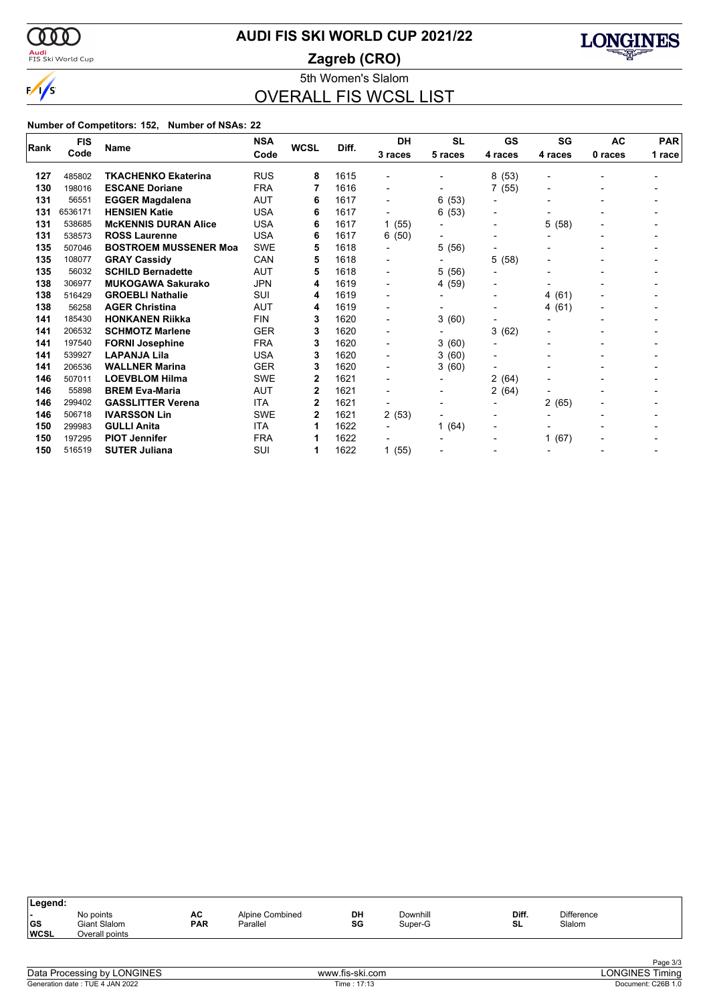

### <mark>Audi</mark><br>FIS Ski World Cup

# **AUDI FIS SKI WORLD CUP 2021/22**

**Zagreb (CRO)**



5th Women's Slalom OVERALL FIS WCSL LIST

|      | <b>FIS</b> | <b>Name</b>                  | <b>NSA</b> | <b>WCSL</b> | Diff. | DH                       | <b>SL</b>                | GS                       | SG        | <b>AC</b> | <b>PAR</b> |
|------|------------|------------------------------|------------|-------------|-------|--------------------------|--------------------------|--------------------------|-----------|-----------|------------|
| Rank | Code       |                              | Code       |             |       | 3 races                  | 5 races                  | 4 races                  | 4 races   | 0 races   | 1 race     |
|      |            |                              |            |             |       |                          |                          |                          |           |           |            |
| 127  | 485802     | <b>TKACHENKO Ekaterina</b>   | <b>RUS</b> | 8           | 1615  |                          |                          | (53)<br>8                |           |           |            |
| 130  | 198016     | <b>ESCANE Doriane</b>        | <b>FRA</b> | 7           | 1616  | $\overline{\phantom{0}}$ |                          | 7(55)                    |           |           |            |
| 131  | 56551      | <b>EGGER Magdalena</b>       | <b>AUT</b> | 6           | 1617  | $\blacksquare$           | 6(53)                    | -                        |           |           |            |
| 131  | 6536171    | <b>HENSIEN Katie</b>         | <b>USA</b> | 6           | 1617  | $\overline{\phantom{a}}$ | 6(53)                    | $\blacksquare$           |           |           |            |
| 131  | 538685     | <b>MCKENNIS DURAN Alice</b>  | <b>USA</b> | 6           | 1617  | 1(55)                    | $\blacksquare$           | $\blacksquare$           | 5 (58)    |           |            |
| 131  | 538573     | <b>ROSS Laurenne</b>         | <b>USA</b> | 6           | 1617  | 6(50)                    |                          | $\overline{\phantom{0}}$ |           |           |            |
| 135  | 507046     | <b>BOSTROEM MUSSENER Moa</b> | <b>SWE</b> | 5           | 1618  | $\overline{\phantom{a}}$ | 5 (56)                   | -                        |           |           |            |
| 135  | 108077     | <b>GRAY Cassidy</b>          | CAN        | 5           | 1618  | $\blacksquare$           | $\overline{\phantom{0}}$ | 5<br>(58)                |           |           |            |
| 135  | 56032      | <b>SCHILD Bernadette</b>     | <b>AUT</b> | 5           | 1618  | $\blacksquare$           | 5 (56)                   | -                        |           |           |            |
| 138  | 306977     | <b>MUKOGAWA Sakurako</b>     | <b>JPN</b> | 4           | 1619  | -                        | 4 (59)                   | -                        |           |           |            |
| 138  | 516429     | <b>GROEBLI Nathalie</b>      | SUI        | 4           | 1619  | $\blacksquare$           | $\blacksquare$           | -                        | (61)<br>4 |           |            |
| 138  | 56258      | <b>AGER Christina</b>        | AUT        | 4           | 1619  | $\blacksquare$           | $\blacksquare$           | -                        | 4(61)     |           |            |
| 141  | 185430     | <b>HONKANEN Riikka</b>       | <b>FIN</b> | 3           | 1620  | $\blacksquare$           | 3(60)                    | -                        |           |           |            |
| 141  | 206532     | <b>SCHMOTZ Marlene</b>       | <b>GER</b> | 3           | 1620  | $\blacksquare$           |                          | 3<br>(62)                |           |           |            |
| 141  | 197540     | <b>FORNI Josephine</b>       | <b>FRA</b> | 3           | 1620  | $\blacksquare$           | 3(60)                    | -                        |           |           |            |
| 141  | 539927     | <b>LAPANJA Lila</b>          | <b>USA</b> | 3           | 1620  | $\blacksquare$           | 3(60)                    | -                        |           |           |            |
| 141  | 206536     | <b>WALLNER Marina</b>        | <b>GER</b> | 3           | 1620  | -                        | 3(60)                    | -                        |           |           |            |
| 146  | 507011     | <b>LOEVBLOM Hilma</b>        | <b>SWE</b> | 2           | 1621  |                          |                          | 2(64)                    |           |           |            |
| 146  | 55898      | <b>BREM Eva-Maria</b>        | <b>AUT</b> | 2           | 1621  | $\blacksquare$           | $\blacksquare$           | 2(64)                    |           |           |            |
| 146  | 299402     | <b>GASSLITTER Verena</b>     | <b>ITA</b> | 2           | 1621  | $\blacksquare$           | $\blacksquare$           | -                        | 2 (65)    |           |            |
| 146  | 506718     | <b>IVARSSON Lin</b>          | <b>SWE</b> | 2           | 1621  | 2(53)                    | $\blacksquare$           | $\blacksquare$           |           |           |            |
| 150  | 299983     | <b>GULLI Anita</b>           | <b>ITA</b> | 1           | 1622  |                          | 1 $(64)$                 | -                        |           |           |            |
| 150  | 197295     | <b>PIOT Jennifer</b>         | <b>FRA</b> | 1           | 1622  |                          |                          | -                        | (67)<br>1 |           |            |
| 150  | 516519     | <b>SUTER Juliana</b>         | SUI        | 1           | 1622  | 1(55)                    |                          | -                        |           |           |            |

| Diff.<br>Downhill<br><b>Difference</b><br>No points<br>DH<br>AC<br>Alpine Combined<br>. .<br> GS<br>SG<br><b>PAR</b><br>SL<br>Slalom<br>Giant Slalom<br>Parallel<br>Super-G<br>Overall points | Legend:     |  |  |  |  |
|-----------------------------------------------------------------------------------------------------------------------------------------------------------------------------------------------|-------------|--|--|--|--|
|                                                                                                                                                                                               | <b>WCSL</b> |  |  |  |  |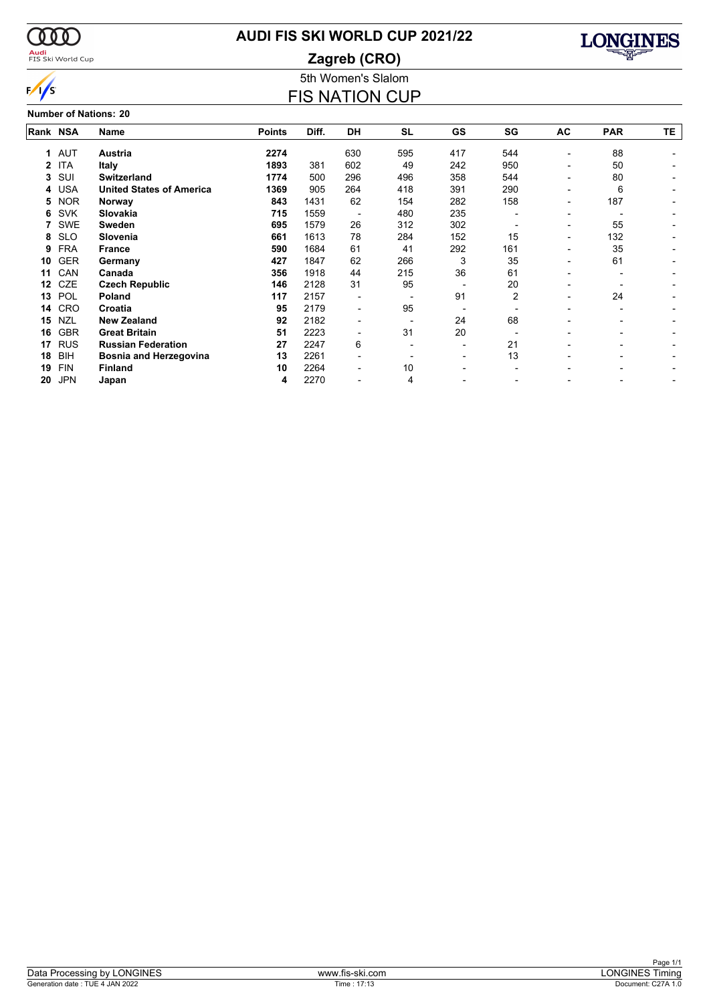

### <mark>Audi</mark><br>FIS Ski World Cup

### **AUDI FIS SKI WORLD CUP 2021/22**

**Zagreb (CRO)**



### 5th Women's Slalom FIS NATION CUP

**Number of Nations: 20**

| Rank NSA |            | Name                            | <b>Points</b> | Diff. | <b>DH</b> | <b>SL</b> | GS  | SG             | AC                       | <b>PAR</b> | TE. |
|----------|------------|---------------------------------|---------------|-------|-----------|-----------|-----|----------------|--------------------------|------------|-----|
| 1.       | <b>AUT</b> | Austria                         | 2274          |       | 630       | 595       | 417 | 544            |                          | 88         |     |
| 2        | <b>ITA</b> | <b>Italy</b>                    | 1893          | 381   | 602       | 49        | 242 | 950            |                          | 50         |     |
| 3        | SUI        | <b>Switzerland</b>              | 1774          | 500   | 296       | 496       | 358 | 544            |                          | 80         |     |
| 4        | <b>USA</b> | <b>United States of America</b> | 1369          | 905   | 264       | 418       | 391 | 290            | $\overline{\phantom{0}}$ | 6          |     |
| 5        | <b>NOR</b> | Norway                          | 843           | 1431  | 62        | 154       | 282 | 158            |                          | 187        |     |
| 6        | <b>SVK</b> | Slovakia                        | 715           | 1559  |           | 480       | 235 |                |                          |            |     |
|          | <b>SWE</b> | <b>Sweden</b>                   | 695           | 1579  | 26        | 312       | 302 |                | $\overline{\phantom{0}}$ | 55         |     |
| 8        | <b>SLO</b> | Slovenia                        | 661           | 1613  | 78        | 284       | 152 | 15             |                          | 132        |     |
| 9        | <b>FRA</b> | <b>France</b>                   | 590           | 1684  | 61        | 41        | 292 | 161            |                          | 35         |     |
| 10       | <b>GER</b> | Germany                         | 427           | 1847  | 62        | 266       | 3   | 35             |                          | 61         |     |
| 11       | CAN        | Canada                          | 356           | 1918  | 44        | 215       | 36  | 61             |                          |            |     |
| 12       | <b>CZE</b> | <b>Czech Republic</b>           | 146           | 2128  | 31        | 95        |     | 20             |                          |            |     |
| 13       | POL        | Poland                          | 117           | 2157  |           |           | 91  | $\overline{2}$ |                          | 24         |     |
| 14       | CRO        | Croatia                         | 95            | 2179  |           | 95        |     |                |                          |            |     |
| 15       | <b>NZL</b> | <b>New Zealand</b>              | 92            | 2182  |           |           | 24  | 68             |                          |            |     |
| 16       | <b>GBR</b> | <b>Great Britain</b>            | 51            | 2223  |           | 31        | 20  |                |                          |            |     |
| 17       | <b>RUS</b> | <b>Russian Federation</b>       | 27            | 2247  | 6         |           |     | 21             |                          |            |     |
| 18       | <b>BIH</b> | <b>Bosnia and Herzegovina</b>   | 13            | 2261  |           |           |     | 13             |                          |            |     |
| 19       | <b>FIN</b> | <b>Finland</b>                  | 10            | 2264  |           | 10        |     |                |                          |            |     |
| 20       | <b>JPN</b> | Japan                           | 4             | 2270  |           | 4         |     |                |                          |            |     |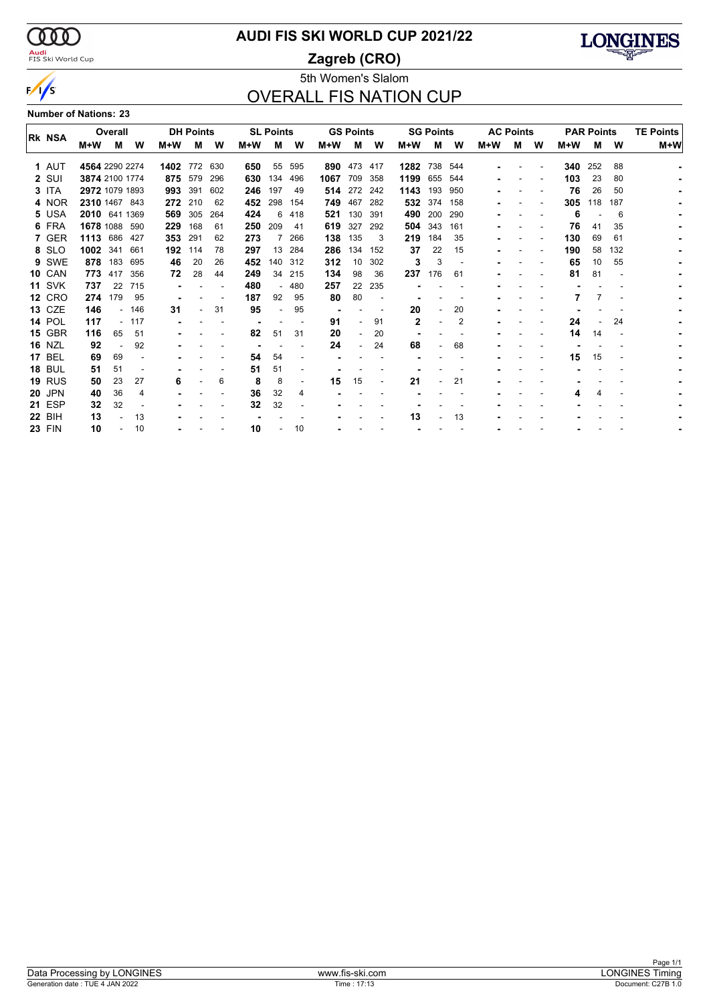

### <mark>Audi</mark><br>FIS Ski World Cup

### **AUDI FIS SKI WORLD CUP 2021/22**

**Zagreb (CRO)**



### 5th Women's Slalom OVERALL FIS NATION CUP

#### **Number of Nations: 23**

|                |                | Overall |        |      | <b>DH Points</b> |     |     | <b>SL Points</b> |                |      | <b>GS Points</b> |     |              | <b>SG Points</b> |     |     | <b>AC Points</b> |   |     | <b>PAR Points</b> |     | <b>TE Points</b> |
|----------------|----------------|---------|--------|------|------------------|-----|-----|------------------|----------------|------|------------------|-----|--------------|------------------|-----|-----|------------------|---|-----|-------------------|-----|------------------|
| <b>IRK NSA</b> | M+W            | м       | W      | M+W  | м                | W   | M+W | М                | W              | M+W  | м                | W   | M+W          | м                | w   | M+W | М                | W | M+W | м                 | W   | M+W              |
| 1 AUT          | 4564 2290 2274 |         |        | 1402 | 772              | 630 | 650 | 55               | 595            | 890  | 473              | 417 | 1282         | 738              | 544 |     |                  |   | 340 | 252               | 88  |                  |
| 2 SUI          | 3874 2100 1774 |         |        |      | 875 579          | 296 | 630 | 134              | 496            | 1067 | 709              | 358 | 1199         | 655              | 544 |     |                  |   | 103 | 23                | 80  |                  |
| 3 ITA          | 2972 1079 1893 |         |        | 993  | 391              | 602 | 246 | 197              | 49             | 514  | 272              | 242 | 1143         | 193              | 950 |     |                  |   | 76  | 26                | 50  |                  |
| 4 NOR          | 2310 1467 843  |         |        |      | 272 210          | 62  | 452 | 298              | 154            | 749  | 467              | 282 | 532 374      |                  | 158 |     |                  |   | 305 | 118               | 187 |                  |
| 5 USA          | 2010 641 1369  |         |        | 569  | 305              | 264 | 424 | 6                | 418            | 521  | 130              | 391 | 490          | 200              | 290 |     |                  |   | 6   |                   | 6   |                  |
| 6 FRA          | 1678 1088 590  |         |        | 229  | 168              | -61 | 250 | 209              | 41             | 619  | 327              | 292 | 504 343      |                  | 161 |     |                  |   | 76  | 41                | 35  |                  |
| 7 GER          | 1113           | 686     | 427    | 353  | 291              | 62  | 273 |                  | 266            | 138  | 135              | 3   | 219          | 184              | 35  |     |                  |   | 130 | 69                | 61  |                  |
| 8 SLO          | 1002 341       |         | 661    | 192  | 114              | 78  | 297 | 13               | 284            | 286  | 134              | 152 | 37           | 22               | 15  |     |                  |   | 190 | 58                | 132 |                  |
| 9 SWE          |                | 878 183 | 695    | 46   | 20               | 26  | 452 | 140              | 312            | 312  | 10 <sup>°</sup>  | 302 | 3            | 3                |     |     |                  |   | 65  | 10                | 55  |                  |
| <b>10 CAN</b>  | 773            | 417     | 356    | 72   | 28               | 44  | 249 | 34               | 215            | 134  | 98               | 36  | 237          | 176              | 61  |     |                  |   | 81  | 81                |     |                  |
| <b>11 SVK</b>  | 737            | 22      | 715    |      |                  |     | 480 |                  | 480            | 257  | 22               | 235 |              |                  |     |     |                  |   |     |                   |     |                  |
| <b>12 CRO</b>  | 274            | 179     | 95     |      |                  |     | 187 | 92               | 95             | 80   | 80               |     |              |                  |     |     |                  |   |     |                   |     |                  |
| <b>13 CZE</b>  | 146            |         | $-146$ | 31   |                  | 31  | 95  |                  | 95             |      |                  |     | 20           |                  | 20  |     |                  |   |     |                   |     |                  |
| <b>14 POL</b>  | 117            |         | $-117$ |      |                  |     |     |                  |                | 91   |                  | 91  | $\mathbf{2}$ |                  | 2   |     |                  |   | 24  |                   | 24  |                  |
| <b>15 GBR</b>  | 116            | 65      | 51     |      |                  |     | 82  | 51               | 31             | 20   |                  | 20  |              |                  |     |     |                  |   | 14  | 14                |     |                  |
| <b>16 NZL</b>  | 92             |         | 92     |      |                  |     |     |                  |                | 24   |                  | 24  | 68           |                  | 68  |     |                  |   |     |                   |     |                  |
| <b>17 BEL</b>  | 69             | 69      |        |      |                  |     | 54  | 54               |                |      |                  |     |              |                  |     |     |                  |   | 15  | 15                |     |                  |
| <b>18 BUL</b>  | 51             | 51      |        |      |                  |     | 51  | 51               |                |      |                  |     |              |                  |     |     |                  |   |     |                   |     |                  |
| <b>19 RUS</b>  | 50             | 23      | 27     | 6    |                  | 6   | 8   | 8                | $\blacksquare$ | 15   | 15               |     | 21           |                  | 21  |     |                  |   |     |                   |     |                  |
| <b>20 JPN</b>  | 40             | 36      | 4      |      |                  |     | 36  | 32               | 4              |      |                  |     |              |                  |     |     |                  |   |     |                   |     |                  |
| <b>21 ESP</b>  | 32             | 32      |        |      |                  |     | 32  | 32               |                |      |                  |     |              |                  |     |     |                  |   |     |                   |     |                  |
| <b>22 BIH</b>  | 13             |         | 13     |      |                  |     |     |                  |                |      |                  |     | 13           |                  | 13  |     |                  |   |     |                   |     |                  |
| <b>23 FIN</b>  | 10             |         | 10     |      |                  |     | 10  |                  | 10             |      |                  |     |              |                  |     |     |                  |   |     |                   |     |                  |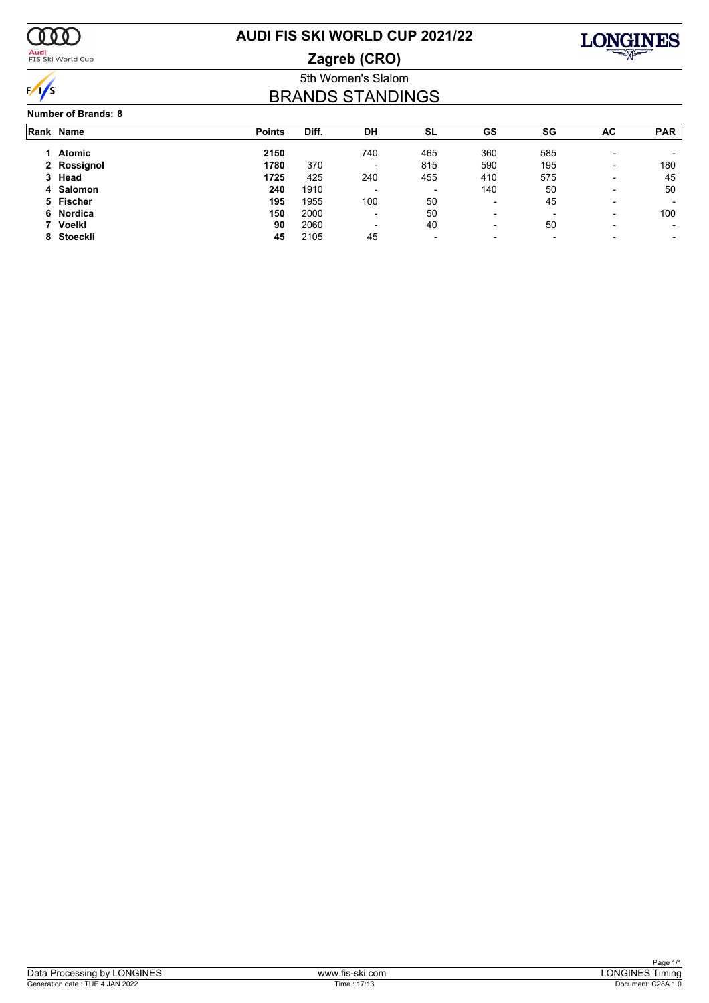

<mark>Audi</mark><br>FIS Ski World Cup

## **AUDI FIS SKI WORLD CUP 2021/22**

**Zagreb (CRO)**



### 5th Women's Slalom BRANDS STANDINGS

#### **Number of Brands: 8**

| Rank Name   | <b>Points</b> | Diff. | DH                       | SL                       | <b>GS</b>                | SG                       | AC | <b>PAR</b> |
|-------------|---------------|-------|--------------------------|--------------------------|--------------------------|--------------------------|----|------------|
| Atomic      | 2150          |       | 740                      | 465                      | 360                      | 585                      | -  |            |
| 2 Rossignol | 1780          | 370   | $\overline{\phantom{a}}$ | 815                      | 590                      | 195                      | -  | 180        |
| 3 Head      | 1725          | 425   | 240                      | 455                      | 410                      | 575                      | -  | 45         |
| 4 Salomon   | 240           | 1910  | $\overline{\phantom{a}}$ | $\overline{\phantom{0}}$ | 140                      | 50                       | -  | 50         |
| 5 Fischer   | 195           | 1955  | 100                      | 50                       | $\overline{\phantom{a}}$ | 45                       | -  |            |
| 6 Nordica   | 150           | 2000  | $\overline{\phantom{0}}$ | 50                       | $\overline{\phantom{0}}$ | $\overline{\phantom{0}}$ | -  | 100        |
| 7 Voelkl    | 90            | 2060  | $\overline{\phantom{0}}$ | 40                       | $\overline{\phantom{0}}$ | 50                       | -  |            |
| 8 Stoeckli  | 45            | 2105  | 45                       | $\overline{\phantom{a}}$ | $\overline{\phantom{0}}$ | $\overline{\phantom{0}}$ |    | ۰          |
|             |               |       |                          |                          |                          |                          |    |            |